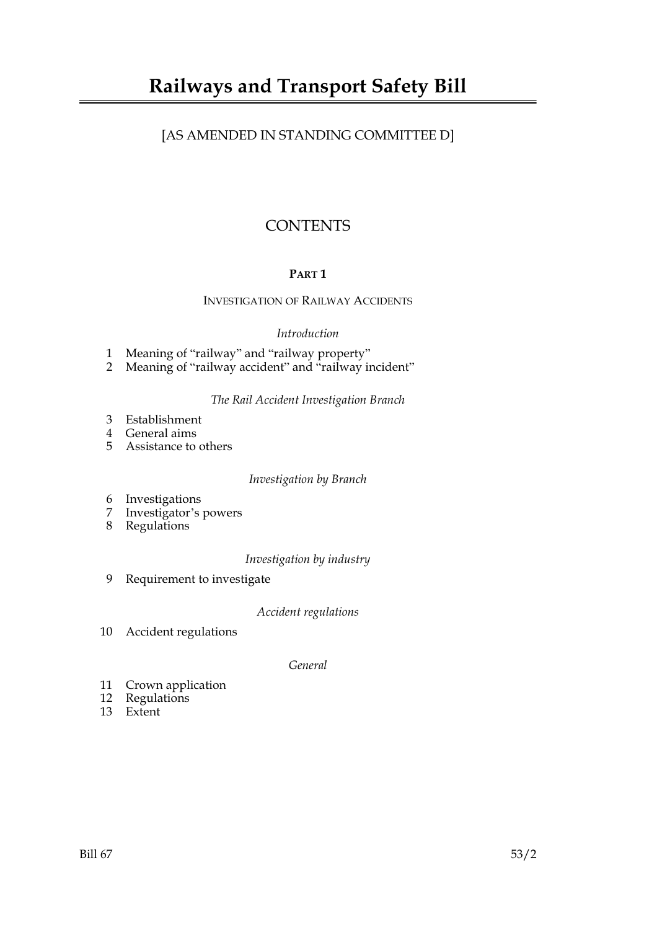# **Railways and Transport Safety Bill**

# [AS AMENDED IN STANDING COMMITTEE D]

# **CONTENTS**

# **PART 1**

# INVESTIGATION OF RAILWAY ACCIDENTS

# *Introduction*

- 1 Meaning of "railway" and "railway property"
- 2 Meaning of "railway accident" and "railway incident"

#### *The Rail Accident Investigation Branch*

- 3 Establishment
- 4 General aims
- 5 Assistance to others

#### *Investigation by Branch*

- 6 Investigations
- 7 Investigator's powers
- 8 Regulations

# *Investigation by industry*

9 Requirement to investigate

# *Accident regulations*

10 Accident regulations

#### *General*

- 11 Crown application
- 12 Regulations
- 13 Extent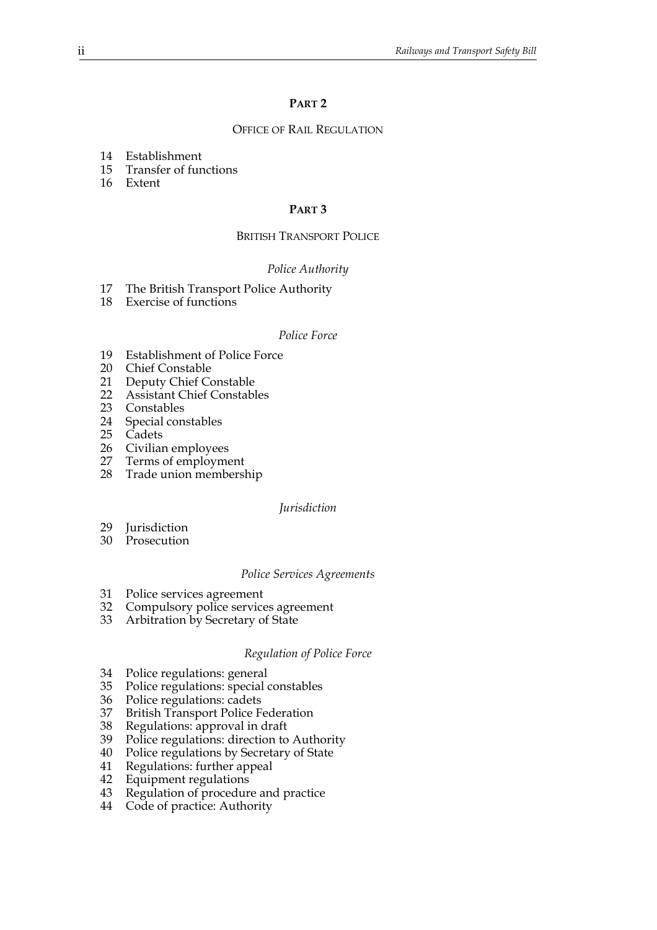## **PART 2**

#### OFFICE OF RAIL REGULATION

- 14 Establishment
- 15 Transfer of functions
- 16 Extent

#### **PART 3**

#### BRITISH TRANSPORT POLICE

#### *Police Authority*

- 17 The British Transport Police Authority
- 18 Exercise of functions

#### *Police Force*

- 19 Establishment of Police Force
- 20 Chief Constable
- 21 Deputy Chief Constable
- 22 Assistant Chief Constables
- 23 Constables
- 24 Special constables
- 25 Cadets
- 26 Civilian employees
- 27 Terms of employment
- 28 Trade union membership

#### *Jurisdiction*

- 29 Jurisdiction
- 30 Prosecution

#### *Police Services Agreements*

- 31 Police services agreement
- 32 Compulsory police services agreement
- 33 Arbitration by Secretary of State

#### *Regulation of Police Force*

- 34 Police regulations: general<br>35 Police regulations: special
- Police regulations: special constables
- 36 Police regulations: cadets<br>37 British Transport Police F
- 37 British Transport Police Federation
- 38 Regulations: approval in draft<br>39 Police regulations: direction to
- Police regulations: direction to Authority
- 40 Police regulations by Secretary of State
- 41 Regulations: further appeal
- 42 Equipment regulations<br>43 Regulation of procedur
- Regulation of procedure and practice
- 44 Code of practice: Authority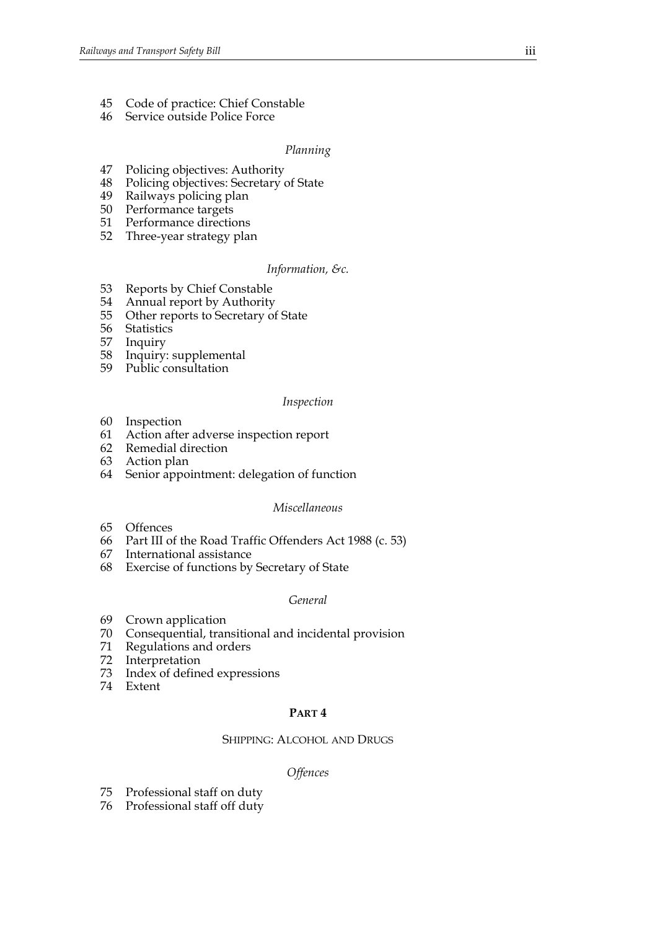- 45 Code of practice: Chief Constable
- 46 Service outside Police Force

#### *Planning*

- 47 Policing objectives: Authority<br>48 Policing objectives: Secretary
- Policing objectives: Secretary of State
- 49 Railways policing plan
- 50 Performance targets
- Performance directions
- 52 Three-year strategy plan

#### *Information, &c.*

- 53 Reports by Chief Constable
- 54 Annual report by Authority
- 55 Other reports to Secretary of State
- 56 Statistics
- 57 Inquiry
- 58 Inquiry: supplemental
- 59 Public consultation

#### *Inspection*

- 60 Inspection
- 61 Action after adverse inspection report
- 62 Remedial direction
- 63 Action plan
- 64 Senior appointment: delegation of function

#### *Miscellaneous*

- 65 Offences
- 66 Part III of the Road Traffic Offenders Act 1988 (c. 53)
- 67 International assistance
- 68 Exercise of functions by Secretary of State

#### *General*

- 69 Crown application<br>70 Consequential, tran
- 70 Consequential, transitional and incidental provision
- 71 Regulations and orders
- 72 Interpretation
- 73 Index of defined expressions
- 74 Extent

#### **PART 4**

#### SHIPPING: ALCOHOL AND DRUGS

#### *Offences*

- 75 Professional staff on duty
- 76 Professional staff off duty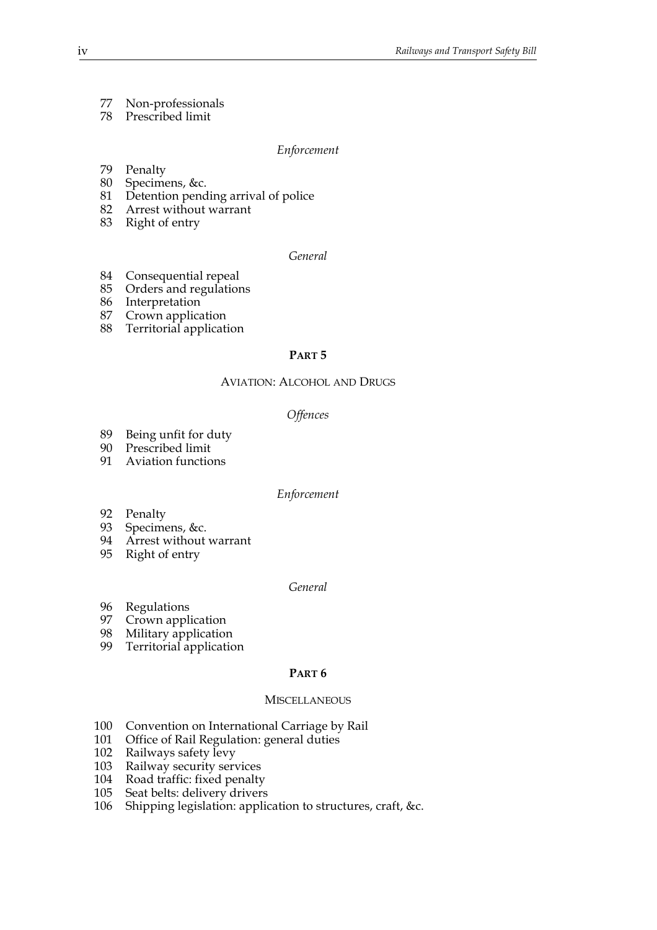- 77 Non-professionals
- 78 Prescribed limit

#### *Enforcement*

79 Penalty

#### 80 Specimens, &c.

- 81 Detention pending arrival of police
- 82 Arrest without warrant
- 83 Right of entry

#### *General*

- 84 Consequential repeal
- 85 Orders and regulations
- 86 Interpretation
- 87 Crown application
- 88 Territorial application

#### **PART 5**

#### AVIATION: ALCOHOL AND DRUGS

#### *Offences*

- 89 Being unfit for duty<br>90 Prescribed limit
- Prescribed limit
- 91 Aviation functions

#### *Enforcement*

- 92 Penalty<br>93 Specime
- Specimens, &c.
- 94 Arrest without warrant
- 95 Right of entry

#### *General*

- 96 Regulations<br>97 Crown appli
- Crown application
- 98 Military application
- 99 Territorial application

#### **PART 6**

#### **MISCELLANEOUS**

- 100 Convention on International Carriage by Rail
- 101 Office of Rail Regulation: general duties
- 102 Railways safety levy
- 103 Railway security services
- 104 Road traffic: fixed penalty<br>105 Seat belts: delivery drivers
- Seat belts: delivery drivers
- 106 Shipping legislation: application to structures, craft, &c.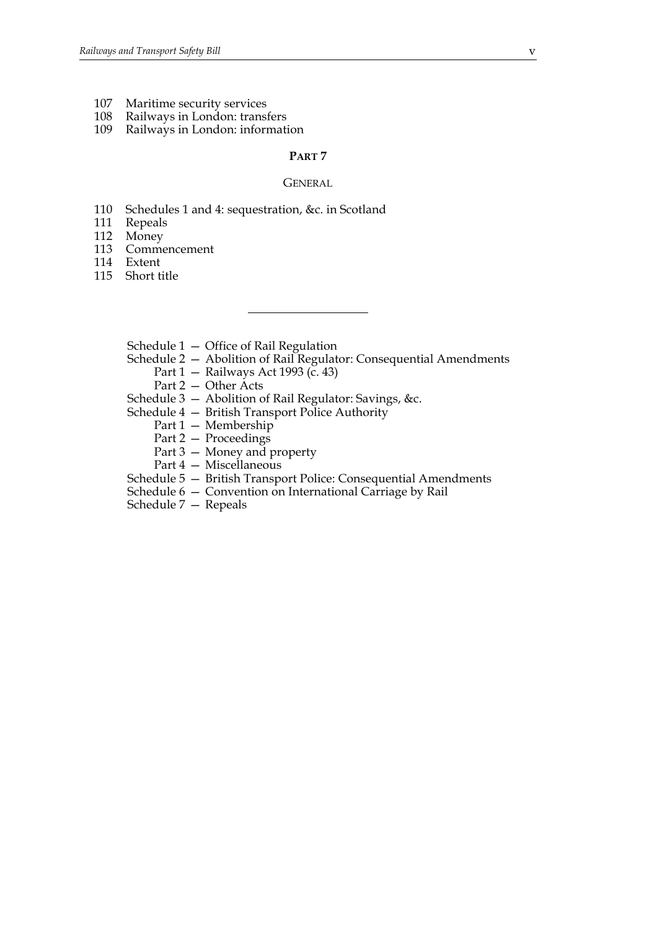- 107 Maritime security services
- 108 Railways in London: transfers
- 109 Railways in London: information

#### **PART 7**

#### **GENERAL**

- 110 Schedules 1 and 4: sequestration, &c. in Scotland
- 111 Repeals
- 112 Money<br>113 Comme
- Commencement
- 114 Extent
- 115 Short title
	- Schedule 1 Office of Rail Regulation
	- Schedule 2 Abolition of Rail Regulator: Consequential Amendments
		- Part 1 Railways Act 1993 (c. 43)
		- Part 2 Other Ácts
	- Schedule 3 Abolition of Rail Regulator: Savings, &c.
	- Schedule 4 British Transport Police Authority
		- Part 1 Membership
		- Part 2 Proceedings
		- Part 3 Money and property
		- Part 4 Miscellaneous
	- Schedule 5 British Transport Police: Consequential Amendments
	- Schedule 6 Convention on International Carriage by Rail
	- Schedule 7 Repeals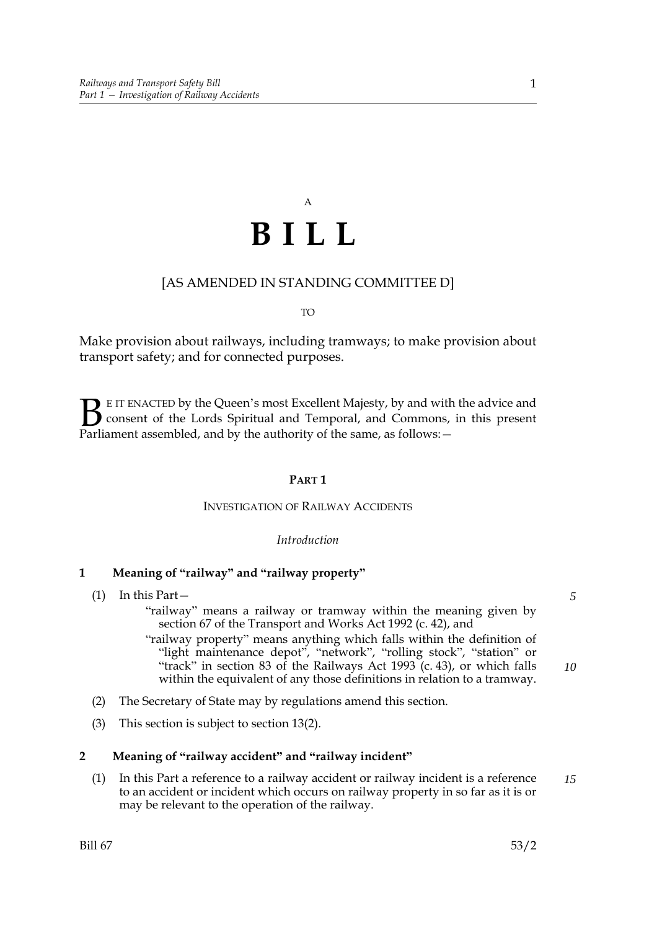# A **BILL**

# [AS AMENDED IN STANDING COMMITTEE D]

TO

Make provision about railways, including tramways; to make provision about transport safety; and for connected purposes.

E IT ENACTED by the Queen's most Excellent Majesty, by and with the advice and consent of the Lords Spiritual and Temporal, and Commons, in this present Parliament assembled, and by the authority of the same, as follows: - $\mathbf{B}_{\text{rel}}$ 

# **PART 1**

#### INVESTIGATION OF RAILWAY ACCIDENTS

#### *Introduction*

# **1 Meaning of "railway" and "railway property"**

(1) In this Part—

"railway" means a railway or tramway within the meaning given by section 67 of the Transport and Works Act 1992 (c. 42), and

- "railway property" means anything which falls within the definition of "light maintenance depot", "network", "rolling stock", "station" or "track" in section 83 of the Railways Act 1993 (c. 43), or which falls within the equivalent of any those definitions in relation to a tramway.
- (2) The Secretary of State may by regulations amend this section.
- (3) This section is subject to section 13(2).

# **2 Meaning of "railway accident" and "railway incident"**

(1) In this Part a reference to a railway accident or railway incident is a reference to an accident or incident which occurs on railway property in so far as it is or may be relevant to the operation of the railway. *15*

1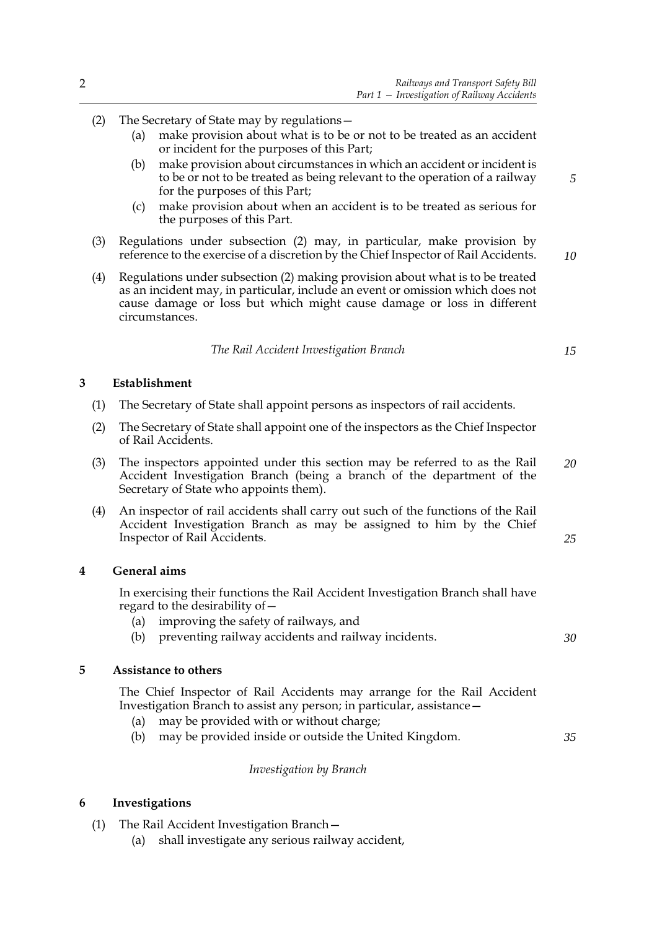- (2) The Secretary of State may by regulations—
	- (a) make provision about what is to be or not to be treated as an accident or incident for the purposes of this Part;
	- (b) make provision about circumstances in which an accident or incident is to be or not to be treated as being relevant to the operation of a railway for the purposes of this Part;
	- (c) make provision about when an accident is to be treated as serious for the purposes of this Part.
- (3) Regulations under subsection (2) may, in particular, make provision by reference to the exercise of a discretion by the Chief Inspector of Rail Accidents.
- (4) Regulations under subsection (2) making provision about what is to be treated as an incident may, in particular, include an event or omission which does not cause damage or loss but which might cause damage or loss in different circumstances.

*The Rail Accident Investigation Branch*

**3 Establishment**

- (1) The Secretary of State shall appoint persons as inspectors of rail accidents.
- (2) The Secretary of State shall appoint one of the inspectors as the Chief Inspector of Rail Accidents.
- (3) The inspectors appointed under this section may be referred to as the Rail Accident Investigation Branch (being a branch of the department of the Secretary of State who appoints them). *20*
- (4) An inspector of rail accidents shall carry out such of the functions of the Rail Accident Investigation Branch as may be assigned to him by the Chief Inspector of Rail Accidents.

# **4 General aims**

In exercising their functions the Rail Accident Investigation Branch shall have regard to the desirability of—

- (a) improving the safety of railways, and
- (b) preventing railway accidents and railway incidents.

# **5 Assistance to others**

The Chief Inspector of Rail Accidents may arrange for the Rail Accident Investigation Branch to assist any person; in particular, assistance—

- (a) may be provided with or without charge;
- (b) may be provided inside or outside the United Kingdom. *35*

*Investigation by Branch*

# **6 Investigations**

- (1) The Rail Accident Investigation Branch—
	- (a) shall investigate any serious railway accident,

*10*

*15*

*5*

*25*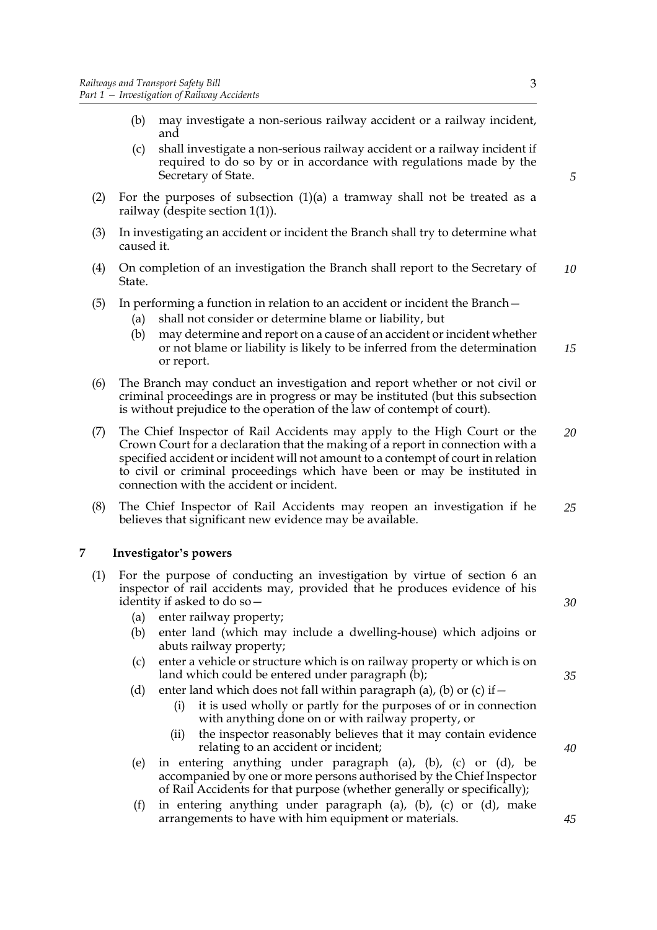- (b) may investigate a non-serious railway accident or a railway incident, and
- (c) shall investigate a non-serious railway accident or a railway incident if required to do so by or in accordance with regulations made by the Secretary of State.
- (2) For the purposes of subsection  $(1)(a)$  a tramway shall not be treated as a railway (despite section 1(1)).
- (3) In investigating an accident or incident the Branch shall try to determine what caused it.
- (4) On completion of an investigation the Branch shall report to the Secretary of State. *10*
- (5) In performing a function in relation to an accident or incident the Branch—
	- (a) shall not consider or determine blame or liability, but
	- (b) may determine and report on a cause of an accident or incident whether or not blame or liability is likely to be inferred from the determination or report.
- (6) The Branch may conduct an investigation and report whether or not civil or criminal proceedings are in progress or may be instituted (but this subsection is without prejudice to the operation of the law of contempt of court).
- (7) The Chief Inspector of Rail Accidents may apply to the High Court or the Crown Court for a declaration that the making of a report in connection with a specified accident or incident will not amount to a contempt of court in relation to civil or criminal proceedings which have been or may be instituted in connection with the accident or incident. *20*
- (8) The Chief Inspector of Rail Accidents may reopen an investigation if he believes that significant new evidence may be available. *25*

# **7 Investigator's powers**

- (1) For the purpose of conducting an investigation by virtue of section 6 an inspector of rail accidents may, provided that he produces evidence of his identity if asked to do so—
	- (a) enter railway property;
	- (b) enter land (which may include a dwelling-house) which adjoins or abuts railway property;
	- (c) enter a vehicle or structure which is on railway property or which is on land which could be entered under paragraph  $(b)$ ;
	- (d) enter land which does not fall within paragraph (a), (b) or (c) if  $$ 
		- it is used wholly or partly for the purposes of or in connection with anything done on or with railway property, or
		- (ii) the inspector reasonably believes that it may contain evidence relating to an accident or incident;
	- (e) in entering anything under paragraph (a), (b), (c) or (d), be accompanied by one or more persons authorised by the Chief Inspector of Rail Accidents for that purpose (whether generally or specifically);
	- (f) in entering anything under paragraph (a), (b), (c) or (d), make arrangements to have with him equipment or materials.

*15*

3

*35*

*30*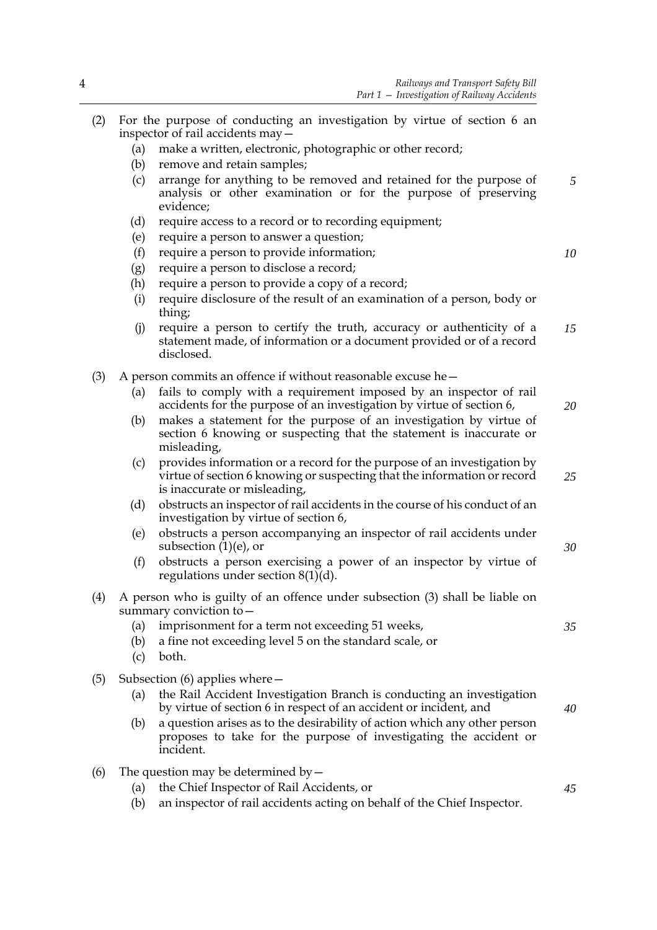- (2) For the purpose of conducting an investigation by virtue of section 6 an inspector of rail accidents may—
	- (a) make a written, electronic, photographic or other record;
	- (b) remove and retain samples;
	- (c) arrange for anything to be removed and retained for the purpose of analysis or other examination or for the purpose of preserving evidence; *5*
	- (d) require access to a record or to recording equipment;
	- (e) require a person to answer a question;
	- (f) require a person to provide information;
	- (g) require a person to disclose a record;
	- (h) require a person to provide a copy of a record;
	- (i) require disclosure of the result of an examination of a person, body or thing;
	- (j) require a person to certify the truth, accuracy or authenticity of a statement made, of information or a document provided or of a record disclosed. *15*
- (3) A person commits an offence if without reasonable excuse he—
	- (a) fails to comply with a requirement imposed by an inspector of rail accidents for the purpose of an investigation by virtue of section 6,
	- (b) makes a statement for the purpose of an investigation by virtue of section 6 knowing or suspecting that the statement is inaccurate or misleading,
	- (c) provides information or a record for the purpose of an investigation by virtue of section 6 knowing or suspecting that the information or record is inaccurate or misleading, *25*
	- (d) obstructs an inspector of rail accidents in the course of his conduct of an investigation by virtue of section 6,
	- (e) obstructs a person accompanying an inspector of rail accidents under subsection  $(1)(e)$ , or
	- (f) obstructs a person exercising a power of an inspector by virtue of regulations under section  $8(1)(d)$ .
- (4) A person who is guilty of an offence under subsection (3) shall be liable on summary conviction to—
	- (a) imprisonment for a term not exceeding 51 weeks,
	- (b) a fine not exceeding level 5 on the standard scale, or
	- (c) both.
- (5) Subsection (6) applies where—
	- (a) the Rail Accident Investigation Branch is conducting an investigation by virtue of section 6 in respect of an accident or incident, and
	- (b) a question arises as to the desirability of action which any other person proposes to take for the purpose of investigating the accident or incident.
- (6) The question may be determined by  $-$ 
	- (a) the Chief Inspector of Rail Accidents, or
	- (b) an inspector of rail accidents acting on behalf of the Chief Inspector.

*40*

*45*

*10*

*20*

*30*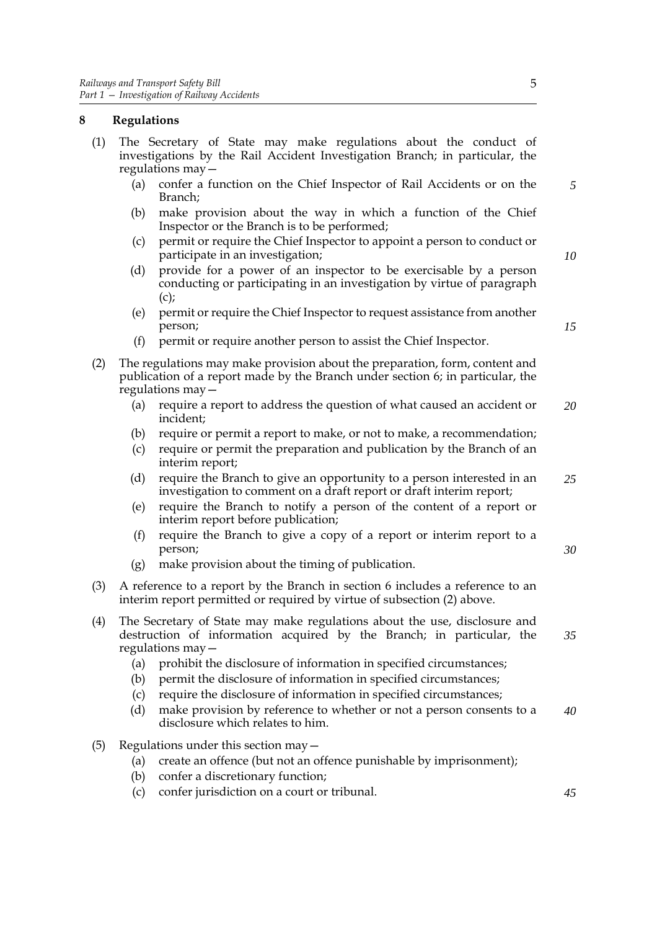# **8 Regulations**

- (1) The Secretary of State may make regulations about the conduct of investigations by the Rail Accident Investigation Branch; in particular, the regulations may—
	- (a) confer a function on the Chief Inspector of Rail Accidents or on the Branch;
	- (b) make provision about the way in which a function of the Chief Inspector or the Branch is to be performed;
	- (c) permit or require the Chief Inspector to appoint a person to conduct or participate in an investigation;
	- (d) provide for a power of an inspector to be exercisable by a person conducting or participating in an investigation by virtue of paragraph  $(c)$ ;
	- (e) permit or require the Chief Inspector to request assistance from another person;
	- (f) permit or require another person to assist the Chief Inspector.
- (2) The regulations may make provision about the preparation, form, content and publication of a report made by the Branch under section 6; in particular, the regulations may—
	- (a) require a report to address the question of what caused an accident or incident; *20*
	- (b) require or permit a report to make, or not to make, a recommendation;
	- (c) require or permit the preparation and publication by the Branch of an interim report;
	- (d) require the Branch to give an opportunity to a person interested in an investigation to comment on a draft report or draft interim report; *25*
	- (e) require the Branch to notify a person of the content of a report or interim report before publication;
	- (f) require the Branch to give a copy of a report or interim report to a person;
	- (g) make provision about the timing of publication.
- (3) A reference to a report by the Branch in section 6 includes a reference to an interim report permitted or required by virtue of subsection (2) above.
- (4) The Secretary of State may make regulations about the use, disclosure and destruction of information acquired by the Branch; in particular, the regulations may— *35*
	- (a) prohibit the disclosure of information in specified circumstances;
	- (b) permit the disclosure of information in specified circumstances;
	- (c) require the disclosure of information in specified circumstances;
	- (d) make provision by reference to whether or not a person consents to a disclosure which relates to him. *40*
- (5) Regulations under this section may—
	- (a) create an offence (but not an offence punishable by imprisonment);
	- (b) confer a discretionary function;
	- (c) confer jurisdiction on a court or tribunal.

*10*

*15*

*30*

*45*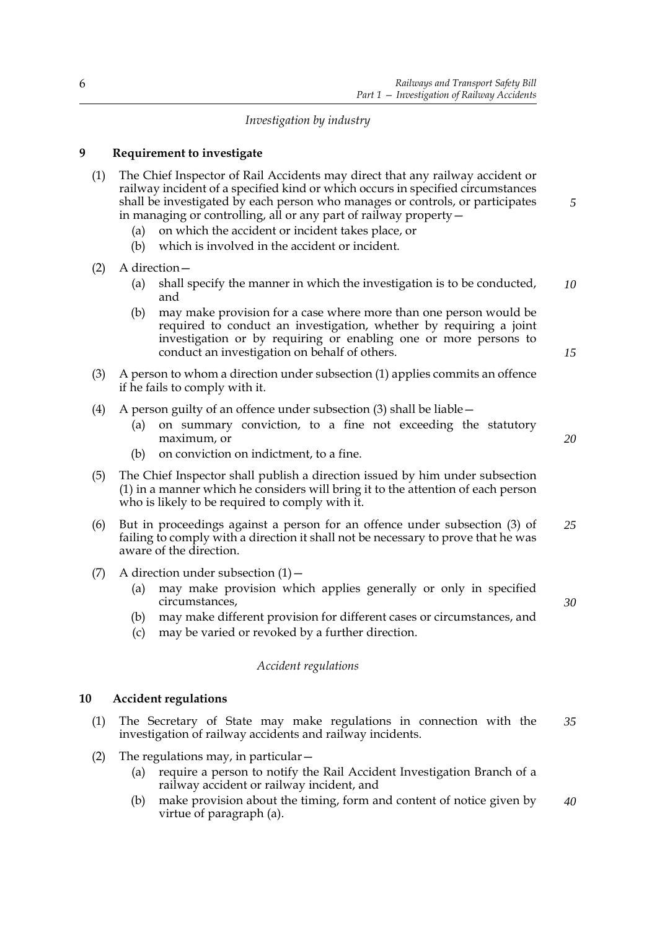# *Investigation by industry*

# **9 Requirement to investigate**

- (1) The Chief Inspector of Rail Accidents may direct that any railway accident or railway incident of a specified kind or which occurs in specified circumstances shall be investigated by each person who manages or controls, or participates in managing or controlling, all or any part of railway property—
	- (a) on which the accident or incident takes place, or
	- (b) which is involved in the accident or incident.
- (2) A direction—
	- (a) shall specify the manner in which the investigation is to be conducted, and *10*
	- (b) may make provision for a case where more than one person would be required to conduct an investigation, whether by requiring a joint investigation or by requiring or enabling one or more persons to conduct an investigation on behalf of others.
- (3) A person to whom a direction under subsection (1) applies commits an offence if he fails to comply with it.
- (4) A person guilty of an offence under subsection (3) shall be liable—
	- (a) on summary conviction, to a fine not exceeding the statutory maximum, or

*20*

*30*

*15*

*5*

- (b) on conviction on indictment, to a fine.
- (5) The Chief Inspector shall publish a direction issued by him under subsection (1) in a manner which he considers will bring it to the attention of each person who is likely to be required to comply with it.
- (6) But in proceedings against a person for an offence under subsection (3) of failing to comply with a direction it shall not be necessary to prove that he was aware of the direction. *25*
- (7) A direction under subsection  $(1)$ 
	- (a) may make provision which applies generally or only in specified circumstances,
	- (b) may make different provision for different cases or circumstances, and
	- (c) may be varied or revoked by a further direction.

#### *Accident regulations*

# **10 Accident regulations**

- (1) The Secretary of State may make regulations in connection with the investigation of railway accidents and railway incidents. *35*
- (2) The regulations may, in particular—
	- (a) require a person to notify the Rail Accident Investigation Branch of a railway accident or railway incident, and
	- (b) make provision about the timing, form and content of notice given by virtue of paragraph (a). *40*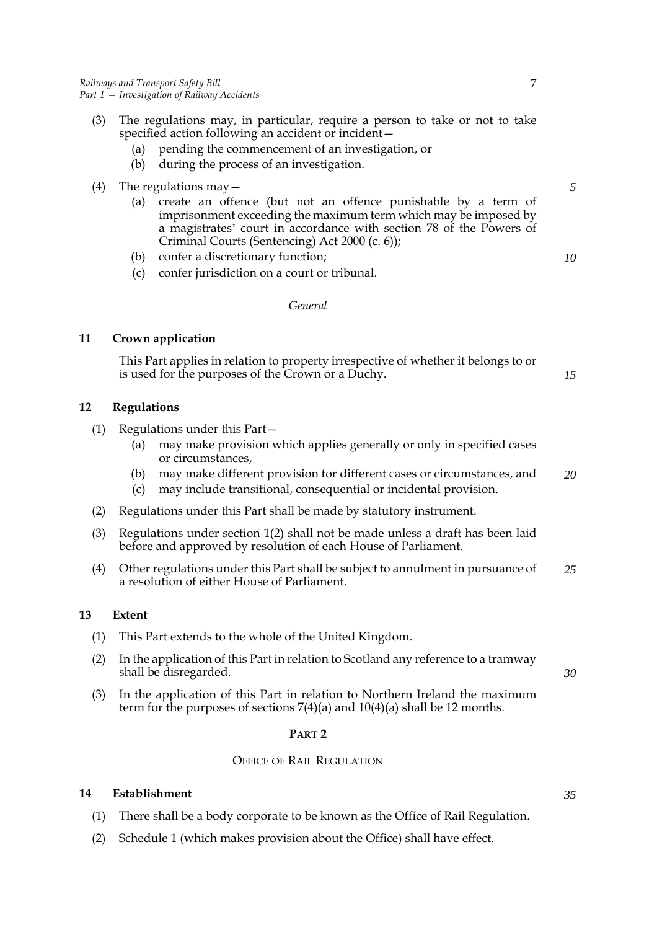- (3) The regulations may, in particular, require a person to take or not to take specified action following an accident or incident—
	- (a) pending the commencement of an investigation, or
	- (b) during the process of an investigation.

# (4) The regulations may— (a) create an offence (but not an offence punishable by a term of imprisonment exceeding the maximum term which may be imposed by a magistrates' court in accordance with section 78 of the Powers of Criminal Courts (Sentencing) Act 2000 (c. 6));

- (b) confer a discretionary function;
- (c) confer jurisdiction on a court or tribunal.

#### *General*

# **11 Crown application**

This Part applies in relation to property irrespective of whether it belongs to or is used for the purposes of the Crown or a Duchy.

# **12 Regulations**

- (1) Regulations under this Part—
	- (a) may make provision which applies generally or only in specified cases or circumstances,
	- (b) may make different provision for different cases or circumstances, and *20*
	- (c) may include transitional, consequential or incidental provision.
- (2) Regulations under this Part shall be made by statutory instrument.
- (3) Regulations under section 1(2) shall not be made unless a draft has been laid before and approved by resolution of each House of Parliament.
- (4) Other regulations under this Part shall be subject to annulment in pursuance of a resolution of either House of Parliament. *25*

# **13 Extent**

- (1) This Part extends to the whole of the United Kingdom.
- (2) In the application of this Part in relation to Scotland any reference to a tramway shall be disregarded.
- (3) In the application of this Part in relation to Northern Ireland the maximum term for the purposes of sections 7(4)(a) and 10(4)(a) shall be 12 months.

#### **PART 2**

#### OFFICE OF RAIL REGULATION

# **14 Establishment**

*30*

- (1) There shall be a body corporate to be known as the Office of Rail Regulation.
- (2) Schedule 1 (which makes provision about the Office) shall have effect.

*5*

*10*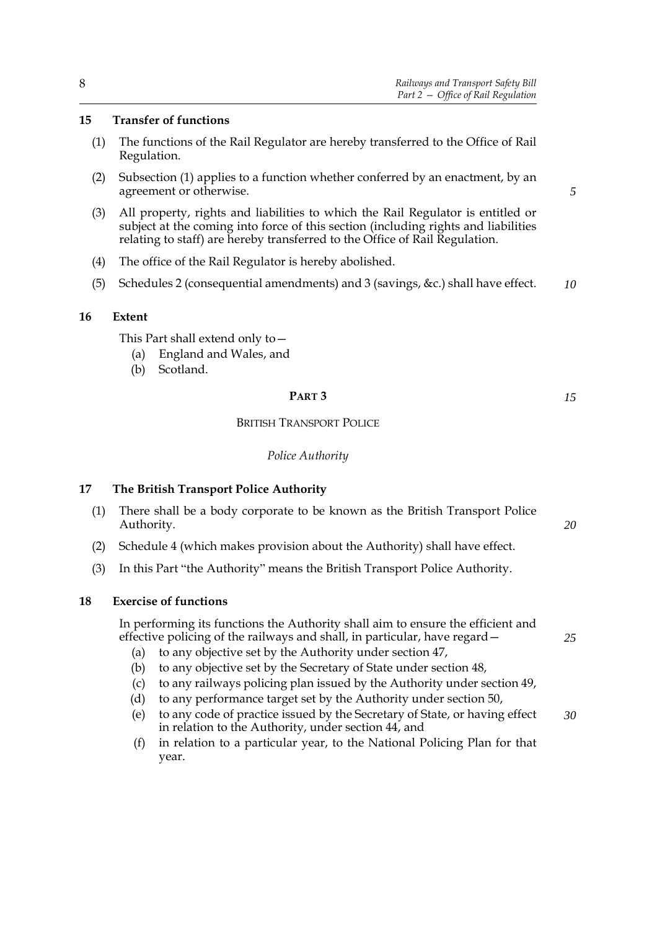# **15 Transfer of functions**

- (1) The functions of the Rail Regulator are hereby transferred to the Office of Rail Regulation.
- (2) Subsection (1) applies to a function whether conferred by an enactment, by an agreement or otherwise.
- (3) All property, rights and liabilities to which the Rail Regulator is entitled or subject at the coming into force of this section (including rights and liabilities relating to staff) are hereby transferred to the Office of Rail Regulation.
- (4) The office of the Rail Regulator is hereby abolished.
- (5) Schedules 2 (consequential amendments) and 3 (savings, &c.) shall have effect. *10*

# **16 Extent**

This Part shall extend only to—

- (a) England and Wales, and
- (b) Scotland.

#### **PART 3**

BRITISH TRANSPORT POLICE

*Police Authority*

# **17 The British Transport Police Authority**

| (1) There shall be a body corporate to be known as the British Transport Police<br>Authority. | 20 |
|-----------------------------------------------------------------------------------------------|----|
| (2) Schedule 4 (which makes provision about the Authority) shall have effect.                 |    |

(3) In this Part "the Authority" means the British Transport Police Authority.

# **18 Exercise of functions**

In performing its functions the Authority shall aim to ensure the efficient and effective policing of the railways and shall, in particular, have regard— (a) to any objective set by the Authority under section 47, *25*

- (b) to any objective set by the Secretary of State under section 48,
- (c) to any railways policing plan issued by the Authority under section 49,
- (d) to any performance target set by the Authority under section 50,
- (e) to any code of practice issued by the Secretary of State, or having effect in relation to the Authority, under section 44, and *30*
- (f) in relation to a particular year, to the National Policing Plan for that year.

*5*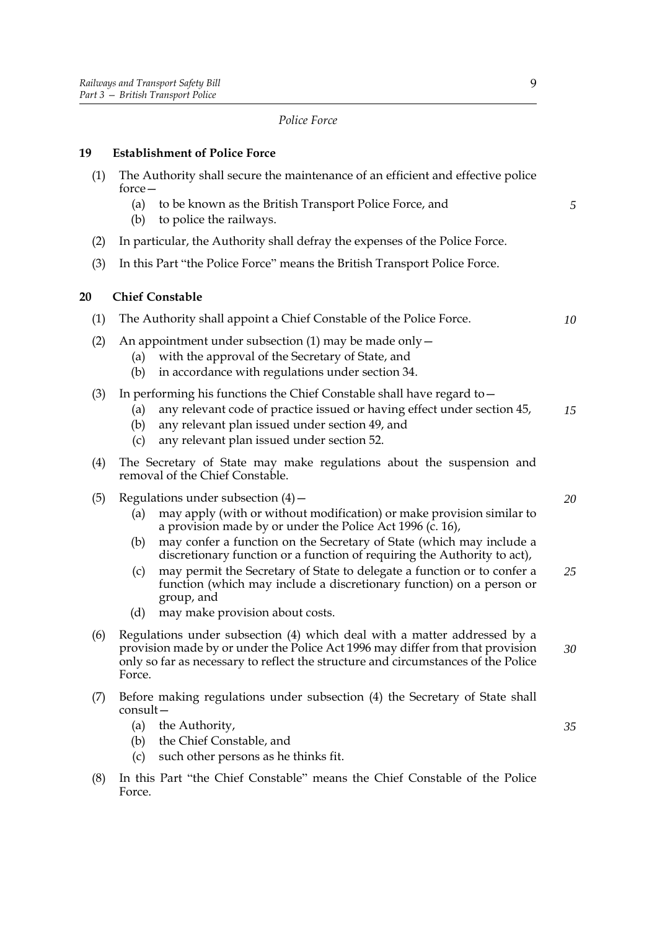# *Police Force*

| 19  | <b>Establishment of Police Force</b>                                                                                                                                                                                                                                                                                                                                      |    |
|-----|---------------------------------------------------------------------------------------------------------------------------------------------------------------------------------------------------------------------------------------------------------------------------------------------------------------------------------------------------------------------------|----|
| (1) | The Authority shall secure the maintenance of an efficient and effective police<br>$force -$                                                                                                                                                                                                                                                                              |    |
|     | (a)<br>to be known as the British Transport Police Force, and<br>to police the railways.<br>(b)                                                                                                                                                                                                                                                                           | 5  |
| (2) | In particular, the Authority shall defray the expenses of the Police Force.                                                                                                                                                                                                                                                                                               |    |
| (3) | In this Part "the Police Force" means the British Transport Police Force.                                                                                                                                                                                                                                                                                                 |    |
| 20  | <b>Chief Constable</b>                                                                                                                                                                                                                                                                                                                                                    |    |
| (1) | The Authority shall appoint a Chief Constable of the Police Force.                                                                                                                                                                                                                                                                                                        | 10 |
| (2) | An appointment under subsection $(1)$ may be made only $-$<br>with the approval of the Secretary of State, and<br>(a)<br>in accordance with regulations under section 34.<br>(b)                                                                                                                                                                                          |    |
| (3) | In performing his functions the Chief Constable shall have regard to -<br>any relevant code of practice issued or having effect under section 45,<br>(a)<br>any relevant plan issued under section 49, and<br>(b)<br>any relevant plan issued under section 52.<br>(c)                                                                                                    | 15 |
| (4) | The Secretary of State may make regulations about the suspension and<br>removal of the Chief Constable.                                                                                                                                                                                                                                                                   |    |
| (5) | Regulations under subsection $(4)$ –<br>may apply (with or without modification) or make provision similar to<br>(a)<br>a provision made by or under the Police Act 1996 (c. 16),                                                                                                                                                                                         | 20 |
|     | may confer a function on the Secretary of State (which may include a<br>(b)<br>discretionary function or a function of requiring the Authority to act),<br>may permit the Secretary of State to delegate a function or to confer a<br>(c)<br>function (which may include a discretionary function) on a person or<br>group, and<br>may make provision about costs.<br>(d) | 25 |
| (6) | Regulations under subsection (4) which deal with a matter addressed by a<br>provision made by or under the Police Act 1996 may differ from that provision<br>only so far as necessary to reflect the structure and circumstances of the Police<br>Force.                                                                                                                  | 30 |
| (7) | Before making regulations under subsection (4) the Secretary of State shall<br>consult –<br>the Authority,<br>(a)<br>the Chief Constable, and<br>(b)<br>such other persons as he thinks fit.<br>(c)                                                                                                                                                                       | 35 |
|     | C1: C1: C1                                                                                                                                                                                                                                                                                                                                                                |    |

(8) In this Part "the Chief Constable" means the Chief Constable of the Police Force.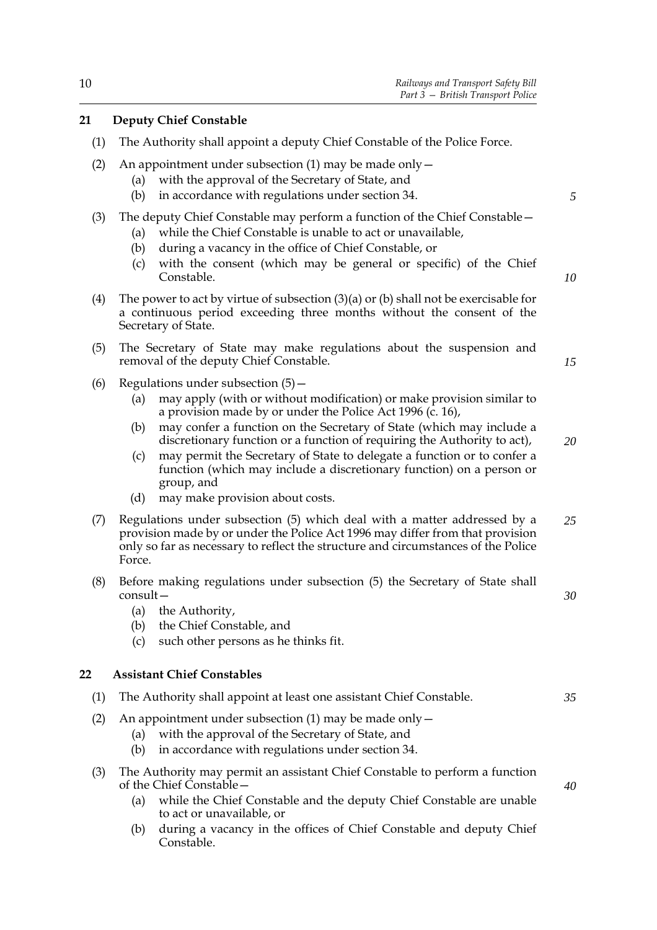# **21 Deputy Chief Constable**

- (1) The Authority shall appoint a deputy Chief Constable of the Police Force.
- (2) An appointment under subsection (1) may be made only  $-$ 
	- (a) with the approval of the Secretary of State, and
	- (b) in accordance with regulations under section 34.
- (3) The deputy Chief Constable may perform a function of the Chief Constable—
	- (a) while the Chief Constable is unable to act or unavailable,
	- (b) during a vacancy in the office of Chief Constable, or
	- (c) with the consent (which may be general or specific) of the Chief Constable.
- (4) The power to act by virtue of subsection (3)(a) or (b) shall not be exercisable for a continuous period exceeding three months without the consent of the Secretary of State.
- (5) The Secretary of State may make regulations about the suspension and removal of the deputy Chief Constable.
- (6) Regulations under subsection  $(5)$  -
	- (a) may apply (with or without modification) or make provision similar to a provision made by or under the Police Act 1996 (c. 16),
	- (b) may confer a function on the Secretary of State (which may include a discretionary function or a function of requiring the Authority to act),
	- (c) may permit the Secretary of State to delegate a function or to confer a function (which may include a discretionary function) on a person or group, and
	- (d) may make provision about costs.
- (7) Regulations under subsection (5) which deal with a matter addressed by a provision made by or under the Police Act 1996 may differ from that provision only so far as necessary to reflect the structure and circumstances of the Police Force. *25*
- (8) Before making regulations under subsection (5) the Secretary of State shall consult—
	- (a) the Authority,
	- (b) the Chief Constable, and
	- (c) such other persons as he thinks fit.

# **22 Assistant Chief Constables**

- (1) The Authority shall appoint at least one assistant Chief Constable.
- (2) An appointment under subsection (1) may be made only  $-$ 
	- (a) with the approval of the Secretary of State, and
	- (b) in accordance with regulations under section 34.
- (3) The Authority may permit an assistant Chief Constable to perform a function of the Chief Constable—
	- (a) while the Chief Constable and the deputy Chief Constable are unable to act or unavailable, or
	- (b) during a vacancy in the offices of Chief Constable and deputy Chief Constable.

*15*

*5*

*10*

*20*

*30*

*35*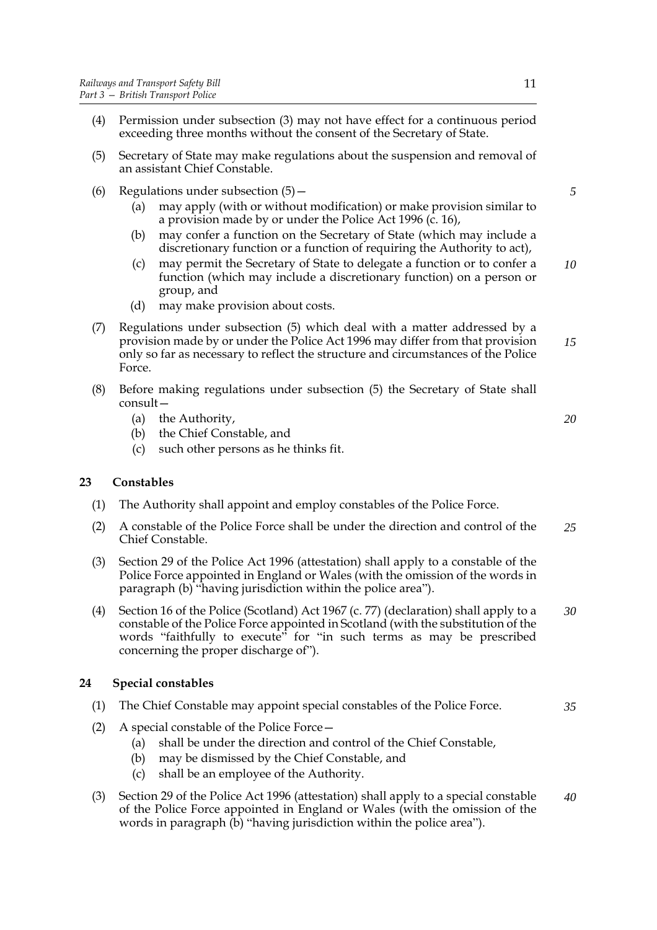- (4) Permission under subsection (3) may not have effect for a continuous period exceeding three months without the consent of the Secretary of State.
- (5) Secretary of State may make regulations about the suspension and removal of an assistant Chief Constable.
- (6) Regulations under subsection  $(5)$  -
	- (a) may apply (with or without modification) or make provision similar to a provision made by or under the Police Act 1996 (c. 16),
	- (b) may confer a function on the Secretary of State (which may include a discretionary function or a function of requiring the Authority to act),
	- (c) may permit the Secretary of State to delegate a function or to confer a function (which may include a discretionary function) on a person or group, and *10*
	- (d) may make provision about costs.
- (7) Regulations under subsection (5) which deal with a matter addressed by a provision made by or under the Police Act 1996 may differ from that provision only so far as necessary to reflect the structure and circumstances of the Police Force. *15*
- (8) Before making regulations under subsection (5) the Secretary of State shall consult—
	- (a) the Authority,
	- (b) the Chief Constable, and
	- (c) such other persons as he thinks fit.

# **23 Constables**

- (1) The Authority shall appoint and employ constables of the Police Force.
- (2) A constable of the Police Force shall be under the direction and control of the Chief Constable. *25*
- (3) Section 29 of the Police Act 1996 (attestation) shall apply to a constable of the Police Force appointed in England or Wales (with the omission of the words in paragraph (b) "having jurisdiction within the police area").
- (4) Section 16 of the Police (Scotland) Act 1967 (c. 77) (declaration) shall apply to a constable of the Police Force appointed in Scotland (with the substitution of the words "faithfully to execute" for "in such terms as may be prescribed concerning the proper discharge of"). *30*

# **24 Special constables**

- (1) The Chief Constable may appoint special constables of the Police Force.
- (2) A special constable of the Police Force—
	- (a) shall be under the direction and control of the Chief Constable,
	- (b) may be dismissed by the Chief Constable, and
	- (c) shall be an employee of the Authority.
- (3) Section 29 of the Police Act 1996 (attestation) shall apply to a special constable of the Police Force appointed in England or Wales (with the omission of the words in paragraph (b) "having jurisdiction within the police area"). *40*

*5*

*20*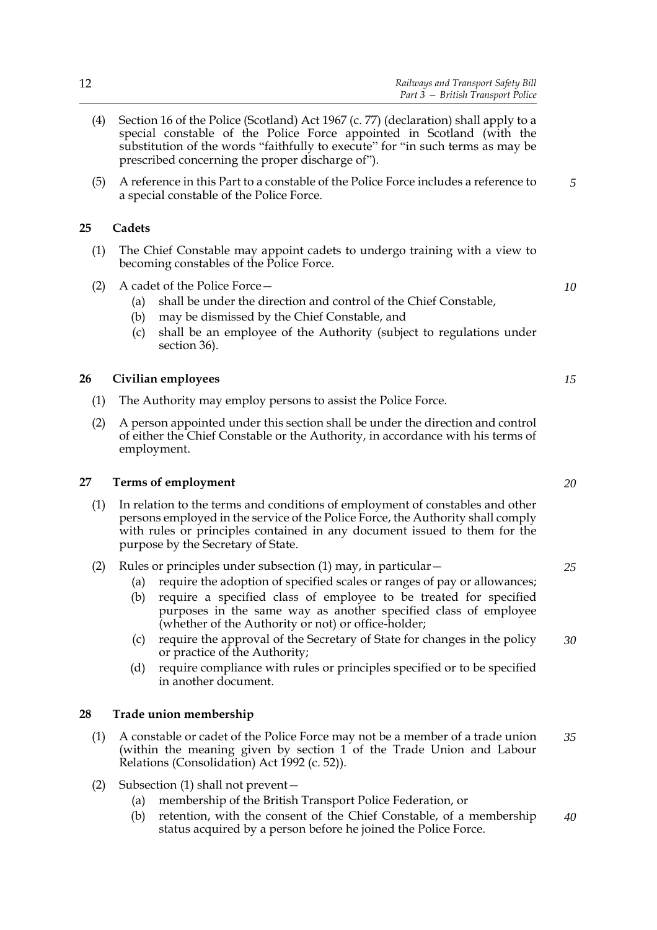- (4) Section 16 of the Police (Scotland) Act 1967 (c. 77) (declaration) shall apply to a special constable of the Police Force appointed in Scotland (with the substitution of the words "faithfully to execute" for "in such terms as may be prescribed concerning the proper discharge of").
- (5) A reference in this Part to a constable of the Police Force includes a reference to a special constable of the Police Force.

# **25 Cadets**

- (1) The Chief Constable may appoint cadets to undergo training with a view to becoming constables of the Police Force.
- (2) A cadet of the Police Force—
	- (a) shall be under the direction and control of the Chief Constable,
	- (b) may be dismissed by the Chief Constable, and
	- (c) shall be an employee of the Authority (subject to regulations under section 36).

# **26 Civilian employees**

- (1) The Authority may employ persons to assist the Police Force.
- (2) A person appointed under this section shall be under the direction and control of either the Chief Constable or the Authority, in accordance with his terms of employment.

# **27 Terms of employment**

(1) In relation to the terms and conditions of employment of constables and other persons employed in the service of the Police Force, the Authority shall comply with rules or principles contained in any document issued to them for the purpose by the Secretary of State.

# (2) Rules or principles under subsection (1) may, in particular—

- (a) require the adoption of specified scales or ranges of pay or allowances;
- (b) require a specified class of employee to be treated for specified purposes in the same way as another specified class of employee (whether of the Authority or not) or office-holder;
- (c) require the approval of the Secretary of State for changes in the policy or practice of the Authority; *30*
- (d) require compliance with rules or principles specified or to be specified in another document.

# **28 Trade union membership**

- (1) A constable or cadet of the Police Force may not be a member of a trade union (within the meaning given by section 1 of the Trade Union and Labour Relations (Consolidation) Act 1992 (c. 52)). *35*
- (2) Subsection (1) shall not prevent—
	- (a) membership of the British Transport Police Federation, or
	- (b) retention, with the consent of the Chief Constable, of a membership status acquired by a person before he joined the Police Force. *40*

*20*

*5*

*10*

*15*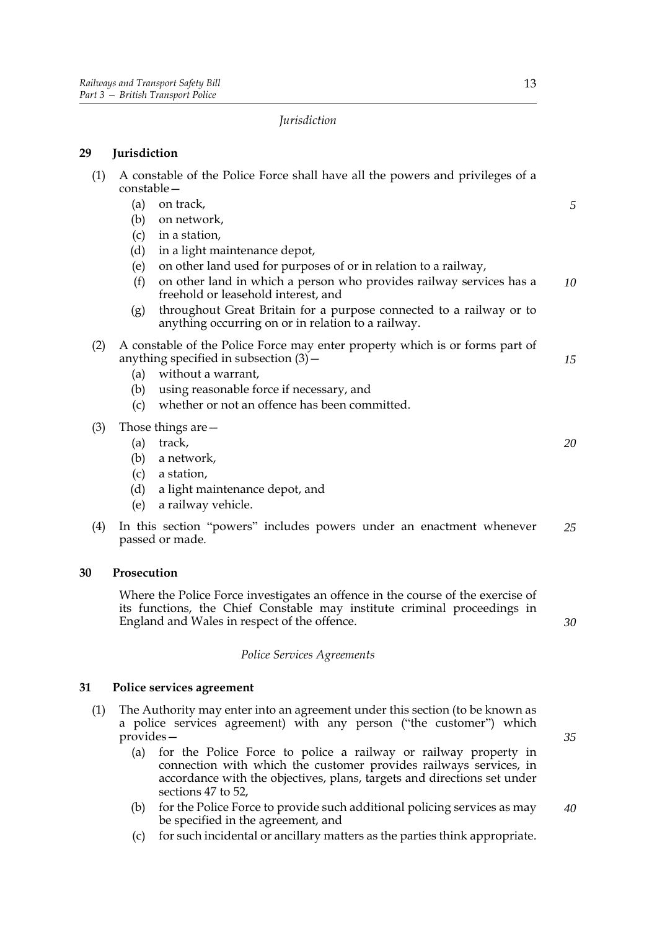#### *Jurisdiction*

# **29 Jurisdiction**

| (1) | constable-  | A constable of the Police Force shall have all the powers and privileges of a                                             |    |
|-----|-------------|---------------------------------------------------------------------------------------------------------------------------|----|
|     | (a)         | on track,                                                                                                                 | 5  |
|     | (b)         | on network,                                                                                                               |    |
|     | (c)         | in a station,                                                                                                             |    |
|     | (d)         | in a light maintenance depot,                                                                                             |    |
|     | (e)         | on other land used for purposes of or in relation to a railway,                                                           |    |
|     | (f)         | on other land in which a person who provides railway services has a<br>freehold or leasehold interest, and                | 10 |
|     | (g)         | throughout Great Britain for a purpose connected to a railway or to<br>anything occurring on or in relation to a railway. |    |
| (2) |             | A constable of the Police Force may enter property which is or forms part of<br>anything specified in subsection $(3)$ –  | 15 |
|     | (a)         | without a warrant,                                                                                                        |    |
|     | (b)         | using reasonable force if necessary, and                                                                                  |    |
|     | (c)         | whether or not an offence has been committed.                                                                             |    |
| (3) |             | Those things are $-$                                                                                                      |    |
|     | (a)         | track,                                                                                                                    | 20 |
|     | (b)         | a network,                                                                                                                |    |
|     | (c)         | a station,                                                                                                                |    |
|     | (d)         | a light maintenance depot, and                                                                                            |    |
|     | (e)         | a railway vehicle.                                                                                                        |    |
| (4) |             | In this section "powers" includes powers under an enactment whenever<br>passed or made.                                   | 25 |
| 30  | Prosecution |                                                                                                                           |    |

Where the Police Force investigates an offence in the course of the exercise of its functions, the Chief Constable may institute criminal proceedings in England and Wales in respect of the offence.

*Police Services Agreements*

# **31 Police services agreement**

- (1) The Authority may enter into an agreement under this section (to be known as a police services agreement) with any person ("the customer") which provides—
	- (a) for the Police Force to police a railway or railway property in connection with which the customer provides railways services, in accordance with the objectives, plans, targets and directions set under sections 47 to 52,
	- (b) for the Police Force to provide such additional policing services as may be specified in the agreement, and *40*
	- (c) for such incidental or ancillary matters as the parties think appropriate.

*35*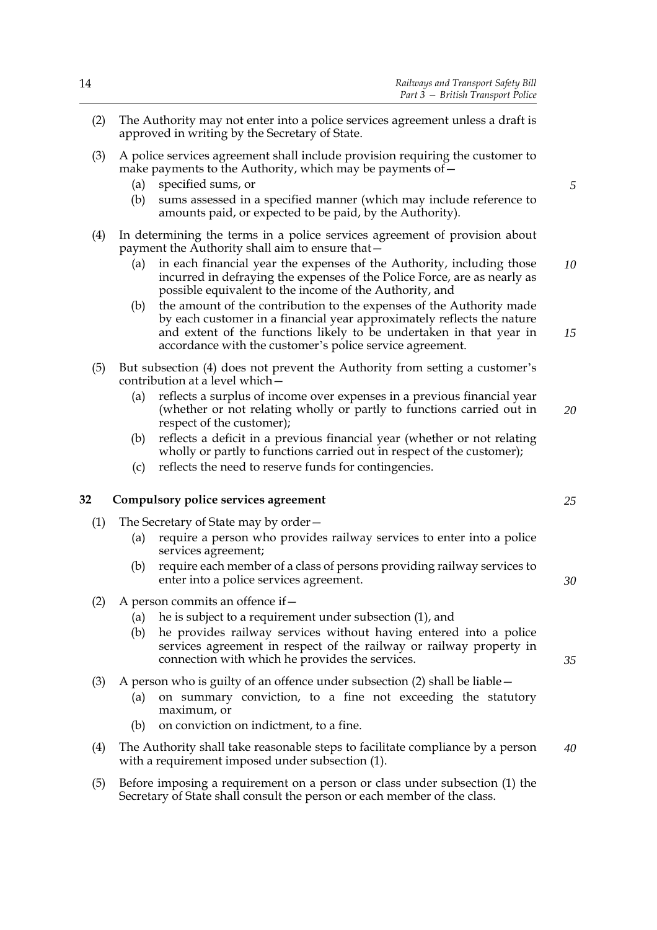- (2) The Authority may not enter into a police services agreement unless a draft is approved in writing by the Secretary of State.
- (3) A police services agreement shall include provision requiring the customer to make payments to the Authority, which may be payments of  $-$ 
	- (a) specified sums, or
	- (b) sums assessed in a specified manner (which may include reference to amounts paid, or expected to be paid, by the Authority).
- (4) In determining the terms in a police services agreement of provision about payment the Authority shall aim to ensure that—
	- (a) in each financial year the expenses of the Authority, including those incurred in defraying the expenses of the Police Force, are as nearly as possible equivalent to the income of the Authority, and *10*
	- (b) the amount of the contribution to the expenses of the Authority made by each customer in a financial year approximately reflects the nature and extent of the functions likely to be undertaken in that year in accordance with the customer's police service agreement. *15*
- (5) But subsection (4) does not prevent the Authority from setting a customer's contribution at a level which—
	- (a) reflects a surplus of income over expenses in a previous financial year (whether or not relating wholly or partly to functions carried out in respect of the customer); *20*
	- (b) reflects a deficit in a previous financial year (whether or not relating wholly or partly to functions carried out in respect of the customer);
	- (c) reflects the need to reserve funds for contingencies.

# **32 Compulsory police services agreement**

- (1) The Secretary of State may by order—
	- (a) require a person who provides railway services to enter into a police services agreement;
	- (b) require each member of a class of persons providing railway services to enter into a police services agreement.
- (2) A person commits an offence if—
	- (a) he is subject to a requirement under subsection (1), and
	- (b) he provides railway services without having entered into a police services agreement in respect of the railway or railway property in connection with which he provides the services.
- (3) A person who is guilty of an offence under subsection (2) shall be liable—
	- (a) on summary conviction, to a fine not exceeding the statutory maximum, or
	- (b) on conviction on indictment, to a fine.
- (4) The Authority shall take reasonable steps to facilitate compliance by a person with a requirement imposed under subsection  $(1)$ . *40*
- (5) Before imposing a requirement on a person or class under subsection (1) the Secretary of State shall consult the person or each member of the class.

*25*

*5*

*30*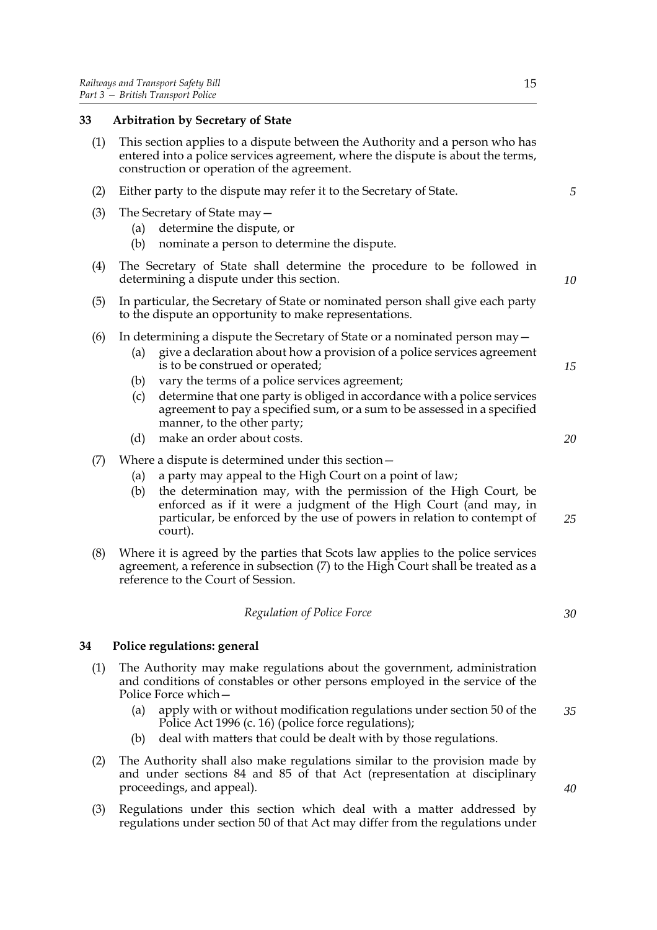# **33 Arbitration by Secretary of State**

- (1) This section applies to a dispute between the Authority and a person who has entered into a police services agreement, where the dispute is about the terms, construction or operation of the agreement.
- (2) Either party to the dispute may refer it to the Secretary of State.
- (3) The Secretary of State may—
	- (a) determine the dispute, or
	- (b) nominate a person to determine the dispute.
- (4) The Secretary of State shall determine the procedure to be followed in determining a dispute under this section.
- (5) In particular, the Secretary of State or nominated person shall give each party to the dispute an opportunity to make representations.
- (6) In determining a dispute the Secretary of State or a nominated person may—
	- (a) give a declaration about how a provision of a police services agreement is to be construed or operated;
	- (b) vary the terms of a police services agreement;
	- (c) determine that one party is obliged in accordance with a police services agreement to pay a specified sum, or a sum to be assessed in a specified manner, to the other party;
	- (d) make an order about costs.
- (7) Where a dispute is determined under this section—
	- (a) a party may appeal to the High Court on a point of law;
	- (b) the determination may, with the permission of the High Court, be enforced as if it were a judgment of the High Court (and may, in particular, be enforced by the use of powers in relation to contempt of court).
- (8) Where it is agreed by the parties that Scots law applies to the police services agreement, a reference in subsection (7) to the High Court shall be treated as a reference to the Court of Session.

*Regulation of Police Force*

*30*

*40*

# **34 Police regulations: general**

- (1) The Authority may make regulations about the government, administration and conditions of constables or other persons employed in the service of the Police Force which—
	- (a) apply with or without modification regulations under section 50 of the Police Act 1996 (c. 16) (police force regulations); *35*
	- (b) deal with matters that could be dealt with by those regulations.
- (2) The Authority shall also make regulations similar to the provision made by and under sections 84 and 85 of that Act (representation at disciplinary proceedings, and appeal).
- (3) Regulations under this section which deal with a matter addressed by regulations under section 50 of that Act may differ from the regulations under

*5*

*10*

*15*

*20*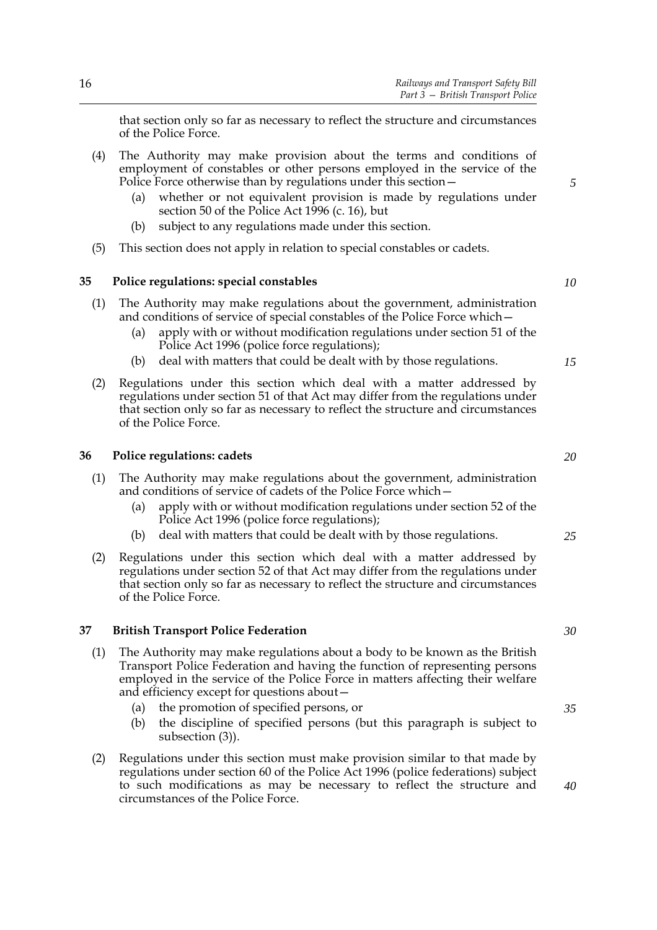that section only so far as necessary to reflect the structure and circumstances of the Police Force.

- (4) The Authority may make provision about the terms and conditions of employment of constables or other persons employed in the service of the Police Force otherwise than by regulations under this section—
	- (a) whether or not equivalent provision is made by regulations under section 50 of the Police Act 1996 (c. 16), but
	- (b) subject to any regulations made under this section.
- (5) This section does not apply in relation to special constables or cadets.

#### **35 Police regulations: special constables**

- (1) The Authority may make regulations about the government, administration and conditions of service of special constables of the Police Force which—
	- (a) apply with or without modification regulations under section 51 of the Police Act 1996 (police force regulations);
	- (b) deal with matters that could be dealt with by those regulations.
- (2) Regulations under this section which deal with a matter addressed by regulations under section 51 of that Act may differ from the regulations under that section only so far as necessary to reflect the structure and circumstances of the Police Force.

#### **36 Police regulations: cadets**

- (1) The Authority may make regulations about the government, administration and conditions of service of cadets of the Police Force which—
	- (a) apply with or without modification regulations under section 52 of the Police Act 1996 (police force regulations);
	- (b) deal with matters that could be dealt with by those regulations.
- (2) Regulations under this section which deal with a matter addressed by regulations under section 52 of that Act may differ from the regulations under that section only so far as necessary to reflect the structure and circumstances of the Police Force.

#### **37 British Transport Police Federation**

- (1) The Authority may make regulations about a body to be known as the British Transport Police Federation and having the function of representing persons employed in the service of the Police Force in matters affecting their welfare and efficiency except for questions about—
	- (a) the promotion of specified persons, or
	- (b) the discipline of specified persons (but this paragraph is subject to subsection (3)).
- (2) Regulations under this section must make provision similar to that made by regulations under section 60 of the Police Act 1996 (police federations) subject to such modifications as may be necessary to reflect the structure and circumstances of the Police Force.

*5*

*10*

*15*

*20*

*25*

*35*

*40*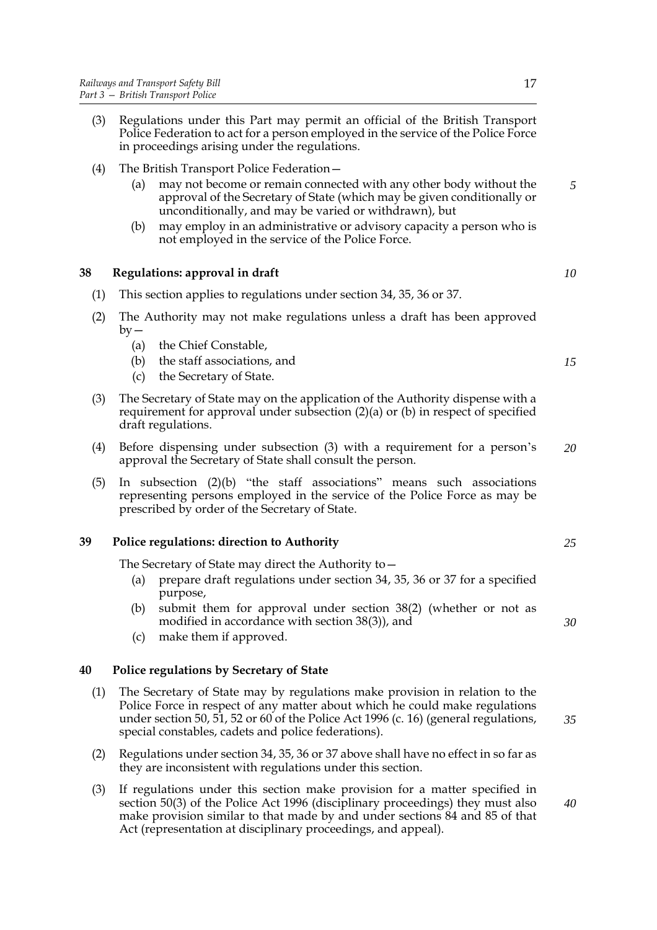- (3) Regulations under this Part may permit an official of the British Transport Police Federation to act for a person employed in the service of the Police Force in proceedings arising under the regulations.
- (4) The British Transport Police Federation—
	- (a) may not become or remain connected with any other body without the approval of the Secretary of State (which may be given conditionally or unconditionally, and may be varied or withdrawn), but
	- (b) may employ in an administrative or advisory capacity a person who is not employed in the service of the Police Force.

# **38 Regulations: approval in draft**

- (1) This section applies to regulations under section 34, 35, 36 or 37.
- (2) The Authority may not make regulations unless a draft has been approved  $by -$ 
	- (a) the Chief Constable,
	- (b) the staff associations, and
	- (c) the Secretary of State.
- (3) The Secretary of State may on the application of the Authority dispense with a requirement for approval under subsection  $(2)(a)$  or (b) in respect of specified draft regulations.
- (4) Before dispensing under subsection (3) with a requirement for a person's approval the Secretary of State shall consult the person. *20*
- (5) In subsection (2)(b) "the staff associations" means such associations representing persons employed in the service of the Police Force as may be prescribed by order of the Secretary of State.

# **39 Police regulations: direction to Authority**

The Secretary of State may direct the Authority to—

- (a) prepare draft regulations under section 34, 35, 36 or 37 for a specified purpose,
- (b) submit them for approval under section 38(2) (whether or not as modified in accordance with section 38(3)), and
- (c) make them if approved.

# **40 Police regulations by Secretary of State**

- (1) The Secretary of State may by regulations make provision in relation to the Police Force in respect of any matter about which he could make regulations under section 50, 51, 52 or 60 of the Police Act 1996 (c. 16) (general regulations, special constables, cadets and police federations).
- (2) Regulations under section 34, 35, 36 or 37 above shall have no effect in so far as they are inconsistent with regulations under this section.
- (3) If regulations under this section make provision for a matter specified in section 50(3) of the Police Act 1996 (disciplinary proceedings) they must also make provision similar to that made by and under sections 84 and 85 of that Act (representation at disciplinary proceedings, and appeal).

*5*

*10*

*15*

*25*

*30*

*35*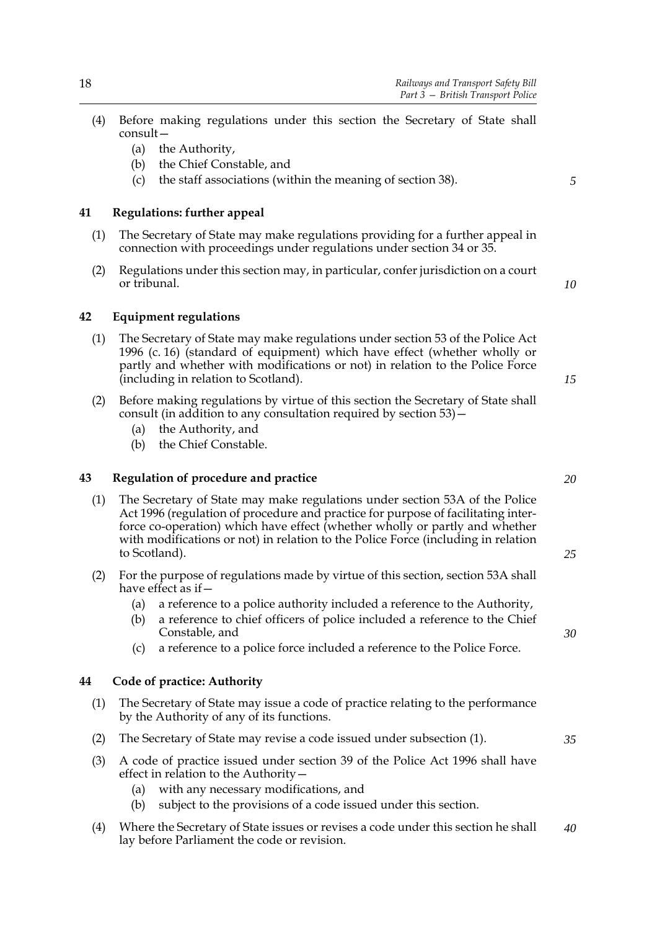- (4) Before making regulations under this section the Secretary of State shall consult—
	- (a) the Authority,
	- (b) the Chief Constable, and
	- (c) the staff associations (within the meaning of section 38).

# **41 Regulations: further appeal**

- (1) The Secretary of State may make regulations providing for a further appeal in connection with proceedings under regulations under section 34 or 35.
- (2) Regulations under this section may, in particular, confer jurisdiction on a court or tribunal.

**42 Equipment regulations**

- (1) The Secretary of State may make regulations under section 53 of the Police Act 1996 (c. 16) (standard of equipment) which have effect (whether wholly or partly and whether with modifications or not) in relation to the Police Force (including in relation to Scotland).
- (2) Before making regulations by virtue of this section the Secretary of State shall consult (in addition to any consultation required by section 53)—
	- (a) the Authority, and
	- (b) the Chief Constable.

# **43 Regulation of procedure and practice**

- (1) The Secretary of State may make regulations under section 53A of the Police Act 1996 (regulation of procedure and practice for purpose of facilitating interforce co-operation) which have effect (whether wholly or partly and whether with modifications or not) in relation to the Police Force (including in relation to Scotland).
- (2) For the purpose of regulations made by virtue of this section, section 53A shall have effect as if—
	- (a) a reference to a police authority included a reference to the Authority,
	- (b) a reference to chief officers of police included a reference to the Chief Constable, and
	- (c) a reference to a police force included a reference to the Police Force.

# **44 Code of practice: Authority**

- (1) The Secretary of State may issue a code of practice relating to the performance by the Authority of any of its functions.
- (2) The Secretary of State may revise a code issued under subsection (1).
- (3) A code of practice issued under section 39 of the Police Act 1996 shall have effect in relation to the Authority—
	- (a) with any necessary modifications, and
	- (b) subject to the provisions of a code issued under this section.
- (4) Where the Secretary of State issues or revises a code under this section he shall lay before Parliament the code or revision. *40*

*15*

*5*

*10*

# *20*

*25*

*35*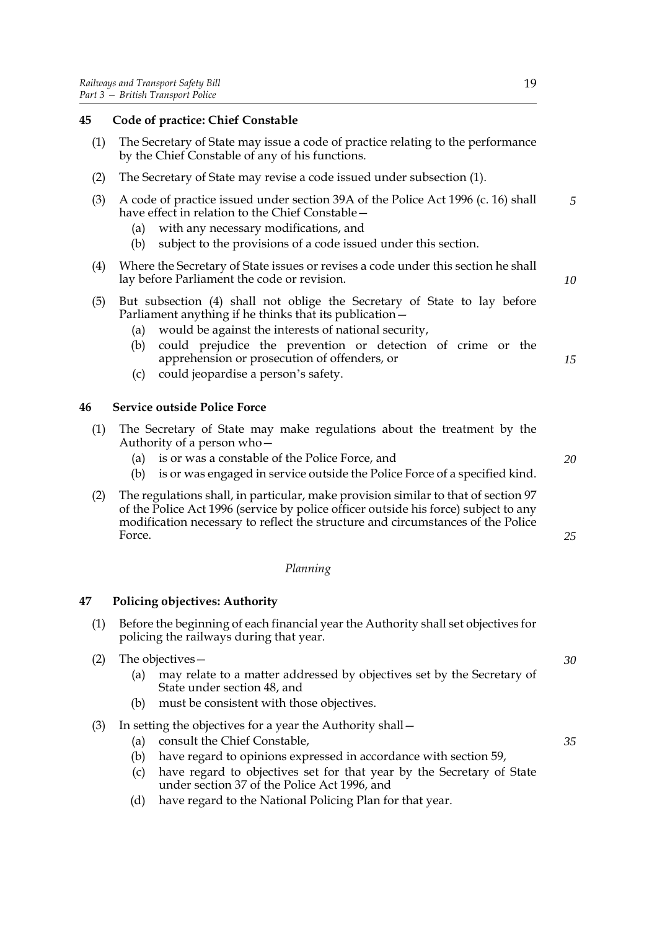# **45 Code of practice: Chief Constable**

- (1) The Secretary of State may issue a code of practice relating to the performance by the Chief Constable of any of his functions.
- (2) The Secretary of State may revise a code issued under subsection (1).
- (3) A code of practice issued under section 39A of the Police Act 1996 (c. 16) shall have effect in relation to the Chief Constable—
	- (a) with any necessary modifications, and
	- (b) subject to the provisions of a code issued under this section.
- (4) Where the Secretary of State issues or revises a code under this section he shall lay before Parliament the code or revision.
- (5) But subsection (4) shall not oblige the Secretary of State to lay before Parliament anything if he thinks that its publication—
	- (a) would be against the interests of national security,
	- (b) could prejudice the prevention or detection of crime or the apprehension or prosecution of offenders, or
	- (c) could jeopardise a person's safety.

# **46 Service outside Police Force**

- (1) The Secretary of State may make regulations about the treatment by the Authority of a person who—
	- (a) is or was a constable of the Police Force, and
	- (b) is or was engaged in service outside the Police Force of a specified kind.
- (2) The regulations shall, in particular, make provision similar to that of section 97 of the Police Act 1996 (service by police officer outside his force) subject to any modification necessary to reflect the structure and circumstances of the Police Force.

#### *Planning*

# **47 Policing objectives: Authority**

- (1) Before the beginning of each financial year the Authority shall set objectives for policing the railways during that year.
- (2) The objectives—
	- (a) may relate to a matter addressed by objectives set by the Secretary of State under section 48, and
	- (b) must be consistent with those objectives.
- (3) In setting the objectives for a year the Authority shall—
	- (a) consult the Chief Constable,
	- (b) have regard to opinions expressed in accordance with section 59,
	- (c) have regard to objectives set for that year by the Secretary of State under section 37 of the Police Act 1996, and
	- (d) have regard to the National Policing Plan for that year.

*5*

*10*

*15*

*20*

*25*

*30*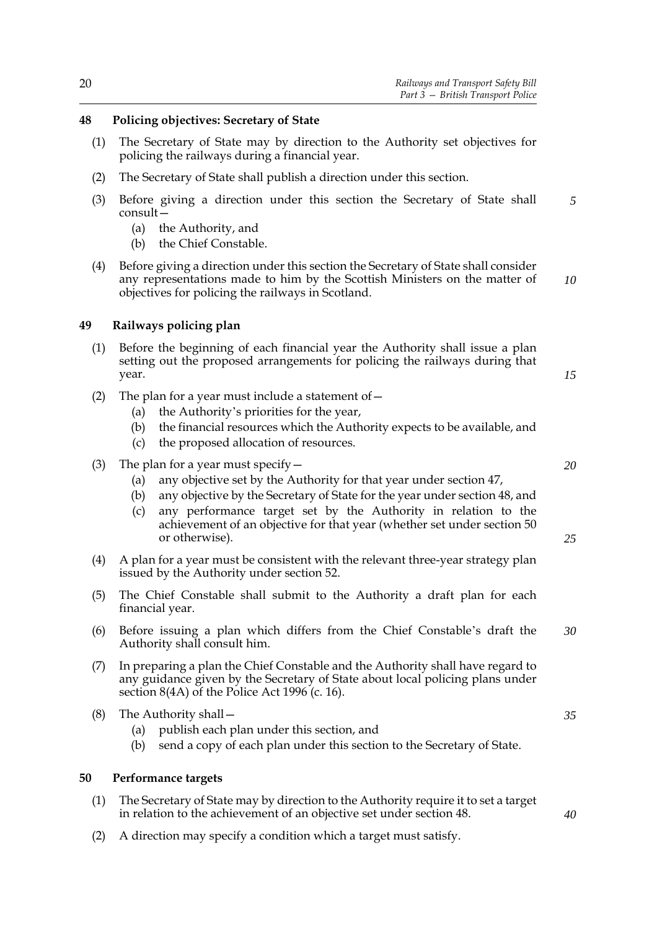# **48 Policing objectives: Secretary of State**

- (1) The Secretary of State may by direction to the Authority set objectives for policing the railways during a financial year.
- (2) The Secretary of State shall publish a direction under this section.
- (3) Before giving a direction under this section the Secretary of State shall consult— *5*
	- (a) the Authority, and
	- (b) the Chief Constable.
- (4) Before giving a direction under this section the Secretary of State shall consider any representations made to him by the Scottish Ministers on the matter of objectives for policing the railways in Scotland.

# **49 Railways policing plan**

- (1) Before the beginning of each financial year the Authority shall issue a plan setting out the proposed arrangements for policing the railways during that year.
- (2) The plan for a year must include a statement of  $-$ 
	- (a) the Authority's priorities for the year,
	- (b) the financial resources which the Authority expects to be available, and
	- (c) the proposed allocation of resources.
- (3) The plan for a year must specify  $-$ 
	- (a) any objective set by the Authority for that year under section 47,
	- (b) any objective by the Secretary of State for the year under section 48, and
	- (c) any performance target set by the Authority in relation to the achievement of an objective for that year (whether set under section 50 or otherwise).
- (4) A plan for a year must be consistent with the relevant three-year strategy plan issued by the Authority under section 52.
- (5) The Chief Constable shall submit to the Authority a draft plan for each financial year.
- (6) Before issuing a plan which differs from the Chief Constable's draft the Authority shall consult him. *30*
- (7) In preparing a plan the Chief Constable and the Authority shall have regard to any guidance given by the Secretary of State about local policing plans under section 8(4A) of the Police Act 1996 (c. 16).
- (8) The Authority shall—
	- (a) publish each plan under this section, and
	- (b) send a copy of each plan under this section to the Secretary of State.

# **50 Performance targets**

- (1) The Secretary of State may by direction to the Authority require it to set a target in relation to the achievement of an objective set under section 48.
- (2) A direction may specify a condition which a target must satisfy.

*20*

*15*

*10*

*25*

*35*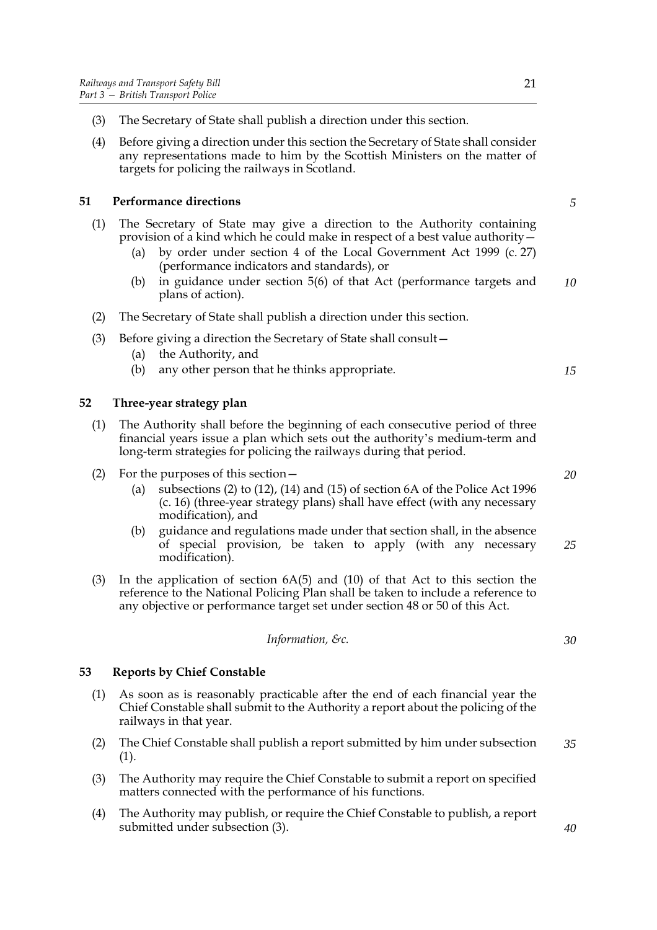- (3) The Secretary of State shall publish a direction under this section.
- (4) Before giving a direction under this section the Secretary of State shall consider any representations made to him by the Scottish Ministers on the matter of targets for policing the railways in Scotland.

# **51 Performance directions**

- (1) The Secretary of State may give a direction to the Authority containing provision of a kind which he could make in respect of a best value authority—
	- (a) by order under section 4 of the Local Government Act 1999 (c. 27) (performance indicators and standards), or
	- (b) in guidance under section 5(6) of that Act (performance targets and plans of action). *10*
- (2) The Secretary of State shall publish a direction under this section.
- (3) Before giving a direction the Secretary of State shall consult—
	- (a) the Authority, and
	- (b) any other person that he thinks appropriate.

#### **52 Three-year strategy plan**

- (1) The Authority shall before the beginning of each consecutive period of three financial years issue a plan which sets out the authority's medium-term and long-term strategies for policing the railways during that period.
- (2) For the purposes of this section—
	- (a) subsections (2) to (12), (14) and (15) of section 6A of the Police Act 1996 (c. 16) (three-year strategy plans) shall have effect (with any necessary modification), and
	- (b) guidance and regulations made under that section shall, in the absence of special provision, be taken to apply (with any necessary modification).
- (3) In the application of section 6A(5) and (10) of that Act to this section the reference to the National Policing Plan shall be taken to include a reference to any objective or performance target set under section 48 or 50 of this Act.

*Information, &c.*

#### **53 Reports by Chief Constable**

- (1) As soon as is reasonably practicable after the end of each financial year the Chief Constable shall submit to the Authority a report about the policing of the railways in that year.
- (2) The Chief Constable shall publish a report submitted by him under subsection (1). *35*
- (3) The Authority may require the Chief Constable to submit a report on specified matters connected with the performance of his functions.
- (4) The Authority may publish, or require the Chief Constable to publish, a report submitted under subsection (3).

*20*

*25*

*15*

*5*

*30*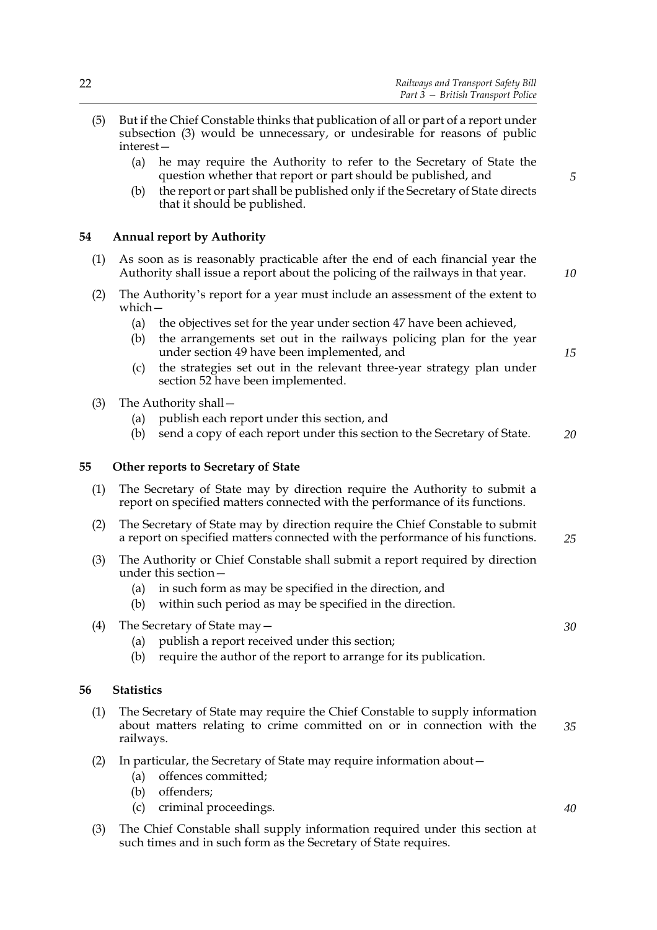*5*

*10*

*15*

- (5) But if the Chief Constable thinks that publication of all or part of a report under subsection (3) would be unnecessary, or undesirable for reasons of public interest—
	- (a) he may require the Authority to refer to the Secretary of State the question whether that report or part should be published, and
	- (b) the report or part shall be published only if the Secretary of State directs that it should be published.

# **54 Annual report by Authority**

- (1) As soon as is reasonably practicable after the end of each financial year the Authority shall issue a report about the policing of the railways in that year.
- (2) The Authority's report for a year must include an assessment of the extent to which—
	- (a) the objectives set for the year under section 47 have been achieved,
	- (b) the arrangements set out in the railways policing plan for the year under section 49 have been implemented, and
	- (c) the strategies set out in the relevant three-year strategy plan under section 52 have been implemented.
- (3) The Authority shall—
	- (a) publish each report under this section, and
	- (b) send a copy of each report under this section to the Secretary of State. *20*

#### **55 Other reports to Secretary of State**

- (1) The Secretary of State may by direction require the Authority to submit a report on specified matters connected with the performance of its functions.
- (2) The Secretary of State may by direction require the Chief Constable to submit a report on specified matters connected with the performance of his functions. *25*
- (3) The Authority or Chief Constable shall submit a report required by direction under this section—
	- (a) in such form as may be specified in the direction, and
	- (b) within such period as may be specified in the direction.
- (4) The Secretary of State may—
	- (a) publish a report received under this section;
	- (b) require the author of the report to arrange for its publication.

#### **56 Statistics**

- (1) The Secretary of State may require the Chief Constable to supply information about matters relating to crime committed on or in connection with the railways. *35*
- (2) In particular, the Secretary of State may require information about—
	- (a) offences committed;
	- (b) offenders;
	- (c) criminal proceedings.
- (3) The Chief Constable shall supply information required under this section at such times and in such form as the Secretary of State requires.

*40*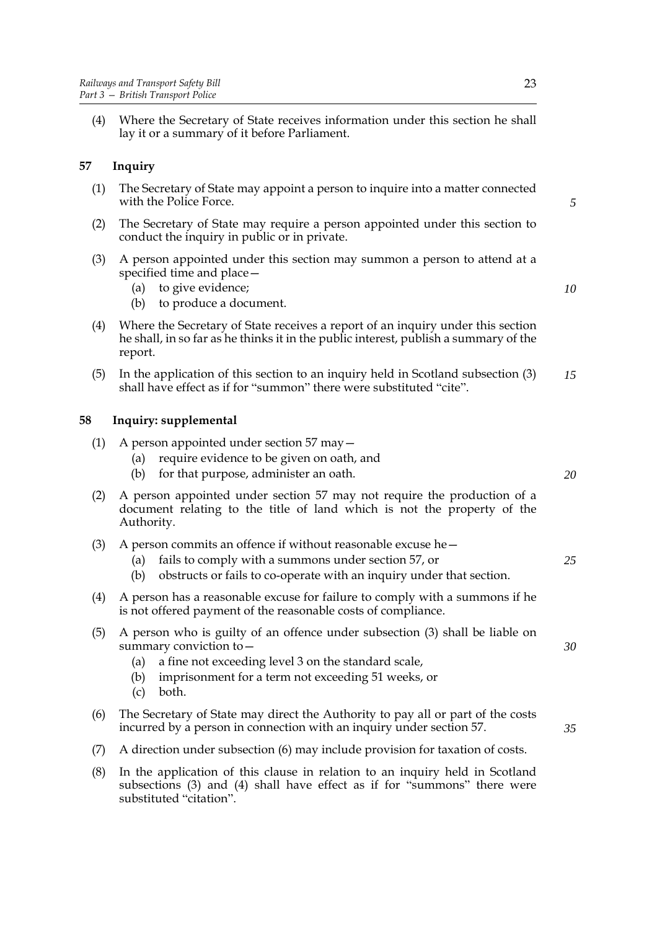(4) Where the Secretary of State receives information under this section he shall lay it or a summary of it before Parliament.

# **57 Inquiry**

- (1) The Secretary of State may appoint a person to inquire into a matter connected with the Police Force.
- (2) The Secretary of State may require a person appointed under this section to conduct the inquiry in public or in private.
- (3) A person appointed under this section may summon a person to attend at a specified time and place—
	- (a) to give evidence;
	- (b) to produce a document.
- (4) Where the Secretary of State receives a report of an inquiry under this section he shall, in so far as he thinks it in the public interest, publish a summary of the report.
- (5) In the application of this section to an inquiry held in Scotland subsection (3) shall have effect as if for "summon" there were substituted "cite". *15*

# **58 Inquiry: supplemental**

- (1) A person appointed under section 57 may—
	- (a) require evidence to be given on oath, and
	- (b) for that purpose, administer an oath.
- (2) A person appointed under section 57 may not require the production of a document relating to the title of land which is not the property of the Authority.
- (3) A person commits an offence if without reasonable excuse he—
	- (a) fails to comply with a summons under section 57, or
	- (b) obstructs or fails to co-operate with an inquiry under that section.
- (4) A person has a reasonable excuse for failure to comply with a summons if he is not offered payment of the reasonable costs of compliance.
- (5) A person who is guilty of an offence under subsection (3) shall be liable on summary conviction to—
	- (a) a fine not exceeding level 3 on the standard scale,
	- (b) imprisonment for a term not exceeding 51 weeks, or
	- (c) both.
- (6) The Secretary of State may direct the Authority to pay all or part of the costs incurred by a person in connection with an inquiry under section 57.
- (7) A direction under subsection (6) may include provision for taxation of costs.
- (8) In the application of this clause in relation to an inquiry held in Scotland subsections (3) and (4) shall have effect as if for "summons" there were substituted "citation".

*20*

*25*

*5*

*10*

*30*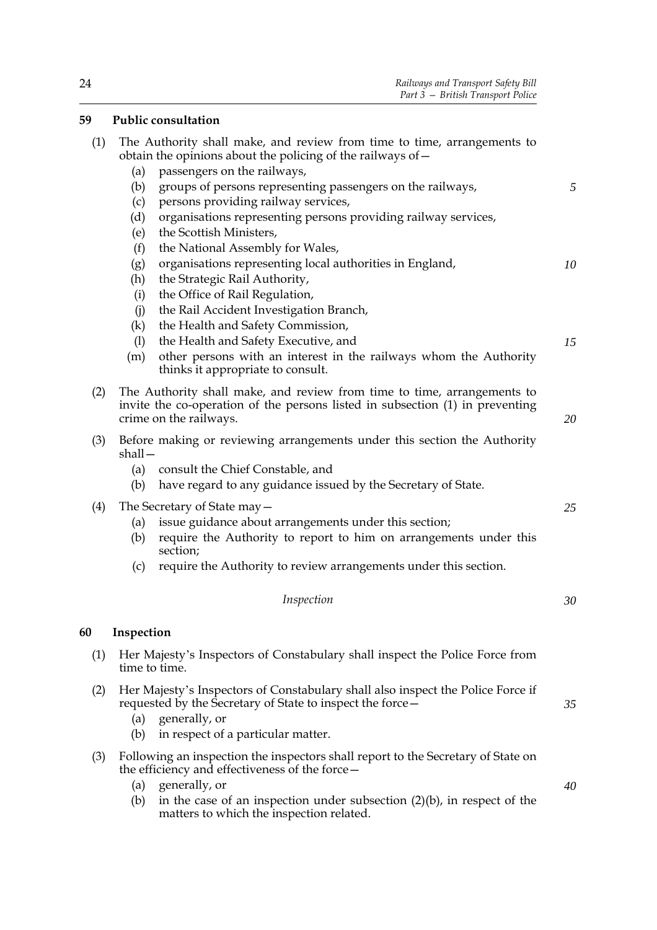# **59 Public consultation**

| (1) | The Authority shall make, and review from time to time, arrangements to<br>obtain the opinions about the policing of the railways of -                                                                                                                                                                                                                                                                                                                    |          |
|-----|-----------------------------------------------------------------------------------------------------------------------------------------------------------------------------------------------------------------------------------------------------------------------------------------------------------------------------------------------------------------------------------------------------------------------------------------------------------|----------|
|     | passengers on the railways,<br>(a)<br>groups of persons representing passengers on the railways,<br>(b)<br>persons providing railway services,<br>(c)                                                                                                                                                                                                                                                                                                     | 5        |
|     | organisations representing persons providing railway services,<br>(d)<br>the Scottish Ministers,<br>(e)                                                                                                                                                                                                                                                                                                                                                   |          |
|     | the National Assembly for Wales,<br>(f)<br>organisations representing local authorities in England,<br>(g)<br>the Strategic Rail Authority,<br>(h)<br>the Office of Rail Regulation,<br>(i)<br>the Rail Accident Investigation Branch,<br>(j)<br>the Health and Safety Commission,<br>(k)<br>the Health and Safety Executive, and<br>(1)<br>other persons with an interest in the railways whom the Authority<br>(m)<br>thinks it appropriate to consult. | 10<br>15 |
| (2) | The Authority shall make, and review from time to time, arrangements to<br>invite the co-operation of the persons listed in subsection (1) in preventing<br>crime on the railways.                                                                                                                                                                                                                                                                        | 20       |
| (3) | Before making or reviewing arrangements under this section the Authority<br>$shall -$<br>consult the Chief Constable, and<br>(a)<br>have regard to any guidance issued by the Secretary of State.<br>(b)                                                                                                                                                                                                                                                  |          |
| (4) | The Secretary of State $may -$<br>issue guidance about arrangements under this section;<br>(a)<br>require the Authority to report to him on arrangements under this<br>(b)<br>section;<br>require the Authority to review arrangements under this section.<br>(c)                                                                                                                                                                                         | 25       |
|     | Inspection                                                                                                                                                                                                                                                                                                                                                                                                                                                | 30       |
| 60  | Inspection                                                                                                                                                                                                                                                                                                                                                                                                                                                |          |
| (1) | Her Majesty's Inspectors of Constabulary shall inspect the Police Force from<br>time to time.                                                                                                                                                                                                                                                                                                                                                             |          |
| (2) | Her Majesty's Inspectors of Constabulary shall also inspect the Police Force if<br>requested by the Secretary of State to inspect the force -<br>generally, or<br>(a)<br>in respect of a particular matter.<br>(b)                                                                                                                                                                                                                                        | 35       |
| (3) | Following an inspection the inspectors shall report to the Secretary of State on<br>the efficiency and effectiveness of the force -<br>generally, or<br>(a)<br>in the case of an inspection under subsection $(2)(b)$ , in respect of the<br>(b)<br>matters to which the inspection related.                                                                                                                                                              | 40       |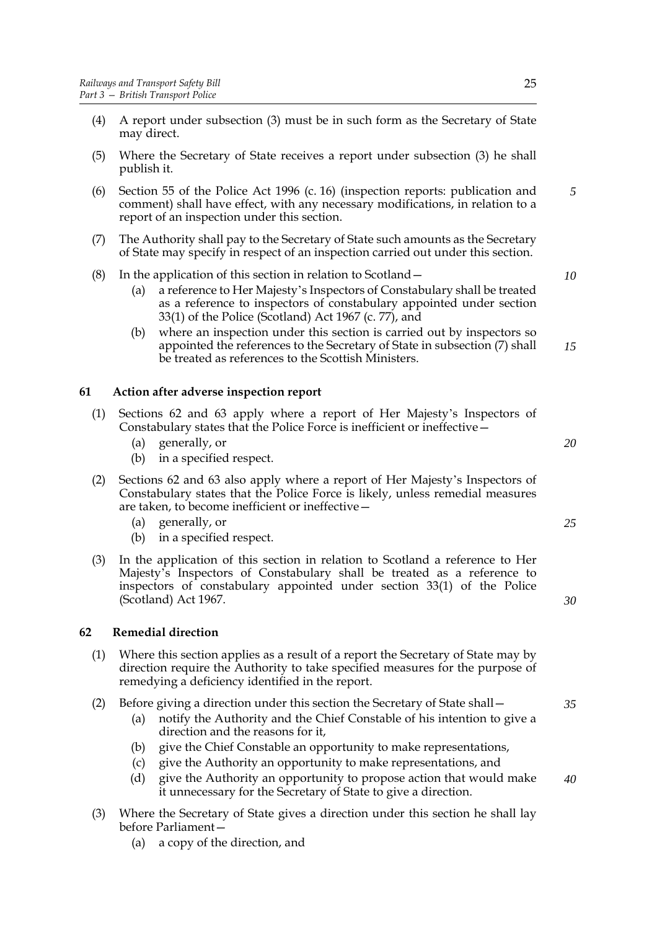- (4) A report under subsection (3) must be in such form as the Secretary of State may direct.
- (5) Where the Secretary of State receives a report under subsection (3) he shall publish it.
- (6) Section 55 of the Police Act 1996 (c. 16) (inspection reports: publication and comment) shall have effect, with any necessary modifications, in relation to a report of an inspection under this section.
- (7) The Authority shall pay to the Secretary of State such amounts as the Secretary of State may specify in respect of an inspection carried out under this section.

# (8) In the application of this section in relation to Scotland—

- (a) a reference to Her Majesty's Inspectors of Constabulary shall be treated as a reference to inspectors of constabulary appointed under section 33(1) of the Police (Scotland) Act 1967 (c. 77), and
- (b) where an inspection under this section is carried out by inspectors so appointed the references to the Secretary of State in subsection (7) shall be treated as references to the Scottish Ministers. *15*

# **61 Action after adverse inspection report**

| (1) Sections 62 and 63 apply where a report of Her Majesty's Inspectors of |
|----------------------------------------------------------------------------|
| Constabulary states that the Police Force is inefficient or ineffective -  |

- (a) generally, or
- (b) in a specified respect.
- (2) Sections 62 and 63 also apply where a report of Her Majesty's Inspectors of Constabulary states that the Police Force is likely, unless remedial measures are taken, to become inefficient or ineffective—
	- (a) generally, or
	- (b) in a specified respect.
- (3) In the application of this section in relation to Scotland a reference to Her Majesty's Inspectors of Constabulary shall be treated as a reference to inspectors of constabulary appointed under section 33(1) of the Police (Scotland) Act 1967.

# **62 Remedial direction**

(1) Where this section applies as a result of a report the Secretary of State may by direction require the Authority to take specified measures for the purpose of remedying a deficiency identified in the report.

# (2) Before giving a direction under this section the Secretary of State shall—

- (a) notify the Authority and the Chief Constable of his intention to give a direction and the reasons for it,
- (b) give the Chief Constable an opportunity to make representations,
- (c) give the Authority an opportunity to make representations, and
- (d) give the Authority an opportunity to propose action that would make it unnecessary for the Secretary of State to give a direction.
- (3) Where the Secretary of State gives a direction under this section he shall lay before Parliament—
	- (a) a copy of the direction, and

*5*

*10*

*30*

*25*

*20*

*35*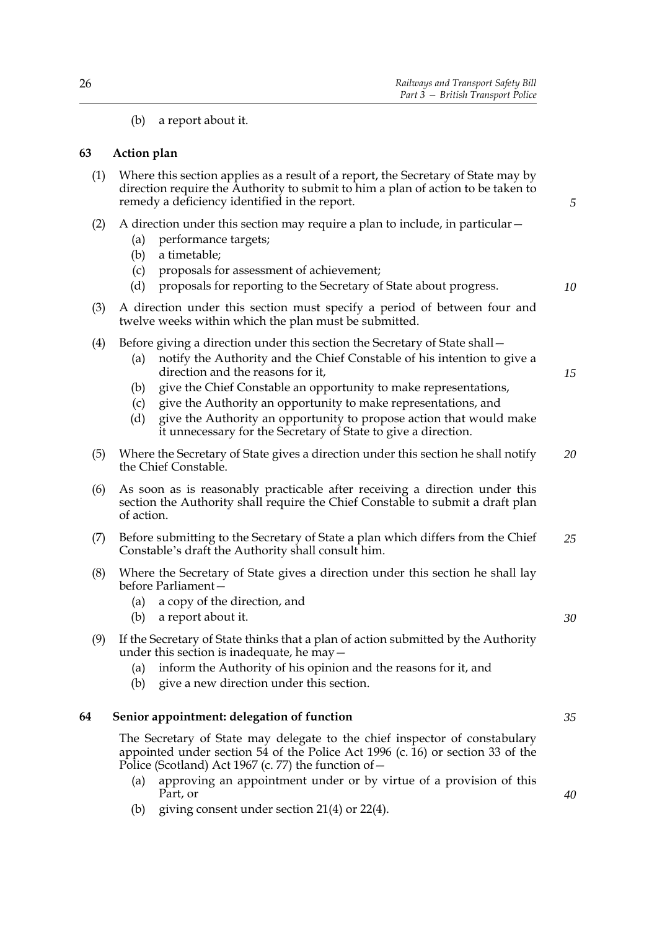(b) a report about it.

# **63 Action plan**

| (1) | Where this section applies as a result of a report, the Secretary of State may by<br>direction require the Authority to submit to him a plan of action to be taken to<br>remedy a deficiency identified in the report.                                                                                                                                                                                                                                                                                 | 5  |
|-----|--------------------------------------------------------------------------------------------------------------------------------------------------------------------------------------------------------------------------------------------------------------------------------------------------------------------------------------------------------------------------------------------------------------------------------------------------------------------------------------------------------|----|
| (2) | A direction under this section may require a plan to include, in particular –<br>performance targets;<br>(a)<br>a timetable;<br>(b)<br>proposals for assessment of achievement;<br>(c)<br>proposals for reporting to the Secretary of State about progress.<br>(d)                                                                                                                                                                                                                                     | 10 |
| (3) | A direction under this section must specify a period of between four and<br>twelve weeks within which the plan must be submitted.                                                                                                                                                                                                                                                                                                                                                                      |    |
| (4) | Before giving a direction under this section the Secretary of State shall –<br>notify the Authority and the Chief Constable of his intention to give a<br>(a)<br>direction and the reasons for it,<br>give the Chief Constable an opportunity to make representations,<br>(b)<br>give the Authority an opportunity to make representations, and<br>(c)<br>give the Authority an opportunity to propose action that would make<br>(d)<br>it unnecessary for the Secretary of State to give a direction. | 15 |
| (5) | Where the Secretary of State gives a direction under this section he shall notify<br>the Chief Constable.                                                                                                                                                                                                                                                                                                                                                                                              | 20 |
| (6) | As soon as is reasonably practicable after receiving a direction under this<br>section the Authority shall require the Chief Constable to submit a draft plan<br>of action.                                                                                                                                                                                                                                                                                                                            |    |
| (7) | Before submitting to the Secretary of State a plan which differs from the Chief<br>Constable's draft the Authority shall consult him.                                                                                                                                                                                                                                                                                                                                                                  | 25 |
| (8) | Where the Secretary of State gives a direction under this section he shall lay<br>before Parliament-<br>a copy of the direction, and<br>(a)<br>a report about it.<br>(b)                                                                                                                                                                                                                                                                                                                               | 30 |
| (9) | If the Secretary of State thinks that a plan of action submitted by the Authority<br>under this section is inadequate, he may $-$<br>inform the Authority of his opinion and the reasons for it, and<br>(a)<br>give a new direction under this section.<br>(b)                                                                                                                                                                                                                                         |    |
| 64  | Senior appointment: delegation of function                                                                                                                                                                                                                                                                                                                                                                                                                                                             | 35 |
|     | The Secretary of State may delegate to the chief inspector of constabulary<br>appointed under section 54 of the Police Act 1996 (c. 16) or section 33 of the<br>Police (Scotland) Act 1967 (c. 77) the function of -                                                                                                                                                                                                                                                                                   |    |
|     | approving an appointment under or by virtue of a provision of this<br>(a)<br>Part, or                                                                                                                                                                                                                                                                                                                                                                                                                  | 40 |

(b) giving consent under section 21(4) or 22(4).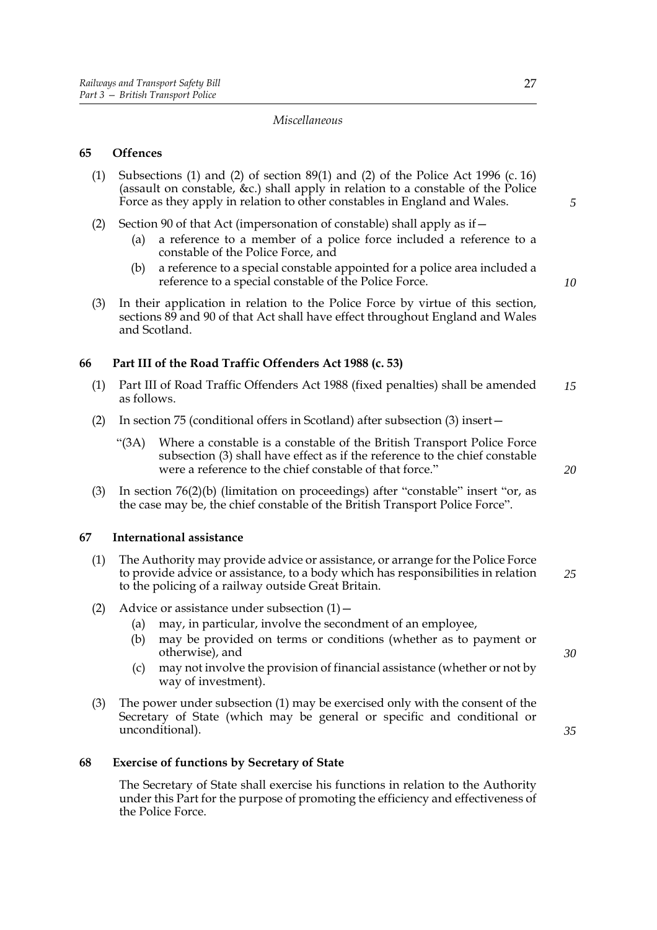#### *Miscellaneous*

# **65 Offences**

- (1) Subsections (1) and (2) of section 89(1) and (2) of the Police Act 1996 (c. 16) (assault on constable, &c.) shall apply in relation to a constable of the Police Force as they apply in relation to other constables in England and Wales.
- (2) Section 90 of that Act (impersonation of constable) shall apply as if  $-$ 
	- (a) a reference to a member of a police force included a reference to a constable of the Police Force, and
	- (b) a reference to a special constable appointed for a police area included a reference to a special constable of the Police Force.

*10*

*5*

(3) In their application in relation to the Police Force by virtue of this section, sections 89 and 90 of that Act shall have effect throughout England and Wales and Scotland.

# **66 Part III of the Road Traffic Offenders Act 1988 (c. 53)**

- (1) Part III of Road Traffic Offenders Act 1988 (fixed penalties) shall be amended as follows. *15*
- (2) In section 75 (conditional offers in Scotland) after subsection (3) insert—
	- "(3A) Where a constable is a constable of the British Transport Police Force subsection (3) shall have effect as if the reference to the chief constable were a reference to the chief constable of that force."
- (3) In section 76(2)(b) (limitation on proceedings) after "constable" insert "or, as the case may be, the chief constable of the British Transport Police Force".

#### **67 International assistance**

- (1) The Authority may provide advice or assistance, or arrange for the Police Force to provide advice or assistance, to a body which has responsibilities in relation to the policing of a railway outside Great Britain. *25*
- (2) Advice or assistance under subsection  $(1)$  -
	- (a) may, in particular, involve the secondment of an employee,
	- (b) may be provided on terms or conditions (whether as to payment or otherwise), and
	- (c) may not involve the provision of financial assistance (whether or not by way of investment).
- (3) The power under subsection (1) may be exercised only with the consent of the Secretary of State (which may be general or specific and conditional or unconditional).

The Secretary of State shall exercise his functions in relation to the Authority under this Part for the purpose of promoting the efficiency and effectiveness of the Police Force.

*20*

*30*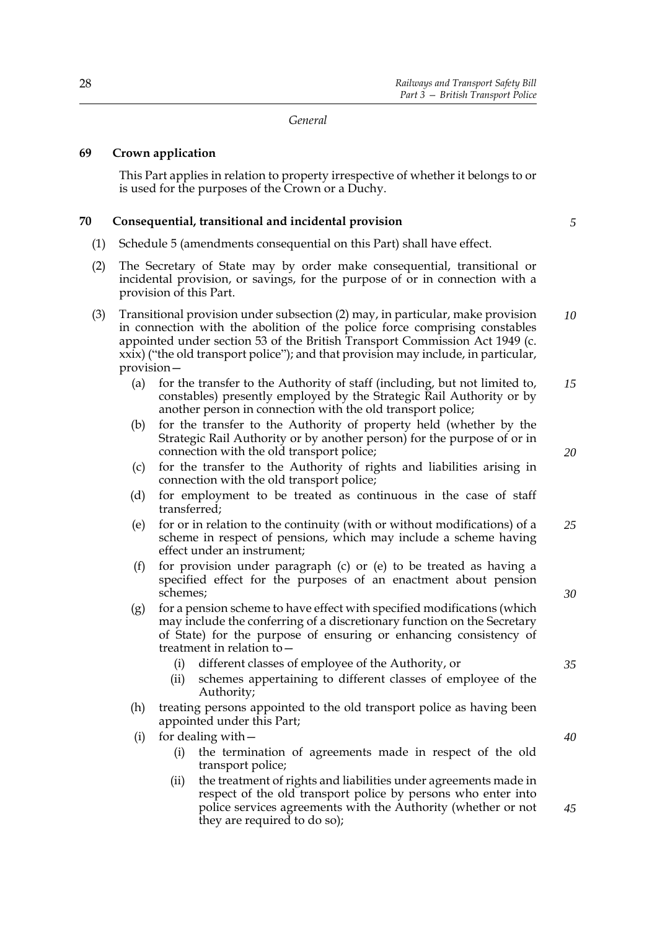*General*

# **69 Crown application**

This Part applies in relation to property irrespective of whether it belongs to or is used for the purposes of the Crown or a Duchy.

#### **70 Consequential, transitional and incidental provision**

- (1) Schedule 5 (amendments consequential on this Part) shall have effect.
- (2) The Secretary of State may by order make consequential, transitional or incidental provision, or savings, for the purpose of or in connection with a provision of this Part.
- (3) Transitional provision under subsection (2) may, in particular, make provision in connection with the abolition of the police force comprising constables appointed under section 53 of the British Transport Commission Act 1949 (c. xxix) ("the old transport police"); and that provision may include, in particular, provision— *10*
	- (a) for the transfer to the Authority of staff (including, but not limited to, constables) presently employed by the Strategic Rail Authority or by another person in connection with the old transport police; *15*
	- (b) for the transfer to the Authority of property held (whether by the Strategic Rail Authority or by another person) for the purpose of or in connection with the old transport police;
	- (c) for the transfer to the Authority of rights and liabilities arising in connection with the old transport police;
	- (d) for employment to be treated as continuous in the case of staff transferred;
	- (e) for or in relation to the continuity (with or without modifications) of a scheme in respect of pensions, which may include a scheme having effect under an instrument; *25*
	- (f) for provision under paragraph (c) or (e) to be treated as having a specified effect for the purposes of an enactment about pension schemes;
	- (g) for a pension scheme to have effect with specified modifications (which may include the conferring of a discretionary function on the Secretary of State) for the purpose of ensuring or enhancing consistency of treatment in relation to—
		- (i) different classes of employee of the Authority, or
		- (ii) schemes appertaining to different classes of employee of the Authority;
	- (h) treating persons appointed to the old transport police as having been appointed under this Part;
	- (i) for dealing with—
		- (i) the termination of agreements made in respect of the old transport police;
		- (ii) the treatment of rights and liabilities under agreements made in respect of the old transport police by persons who enter into police services agreements with the Authority (whether or not they are required to do so);

*5*

*20*

*30*

*35*

*40*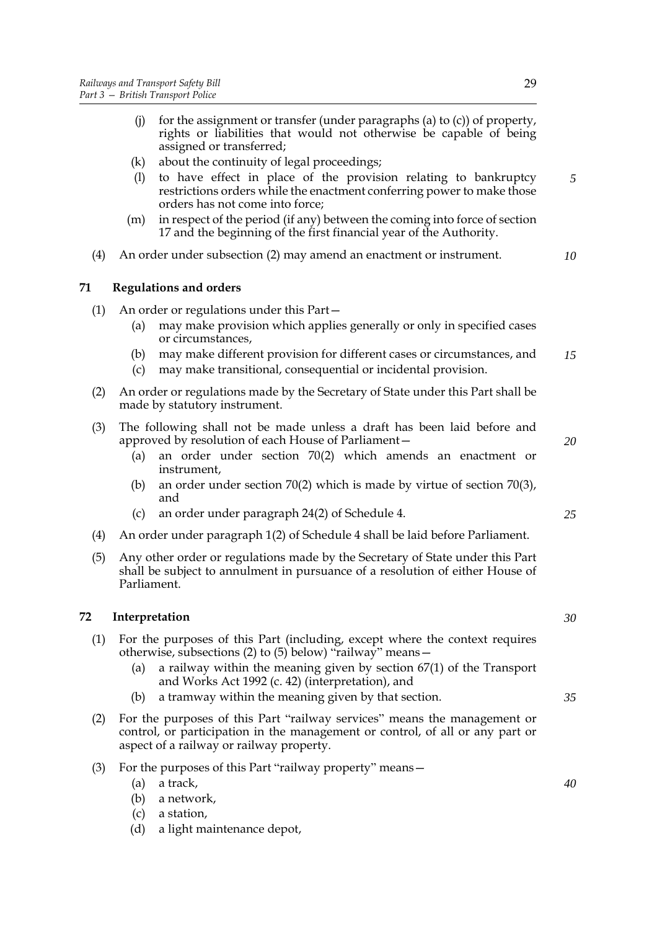- (j) for the assignment or transfer (under paragraphs (a) to  $(c)$ ) of property, rights or liabilities that would not otherwise be capable of being assigned or transferred;
- (k) about the continuity of legal proceedings;
- (l) to have effect in place of the provision relating to bankruptcy restrictions orders while the enactment conferring power to make those orders has not come into force;
- (m) in respect of the period (if any) between the coming into force of section 17 and the beginning of the first financial year of the Authority.
- (4) An order under subsection (2) may amend an enactment or instrument.

# **71 Regulations and orders**

- (1) An order or regulations under this Part—
	- (a) may make provision which applies generally or only in specified cases or circumstances,
	- (b) may make different provision for different cases or circumstances, and *15*
	- (c) may make transitional, consequential or incidental provision.
- (2) An order or regulations made by the Secretary of State under this Part shall be made by statutory instrument.
- (3) The following shall not be made unless a draft has been laid before and approved by resolution of each House of Parliament—
	- (a) an order under section 70(2) which amends an enactment or instrument,
	- (b) an order under section 70(2) which is made by virtue of section 70(3), and
	- (c) an order under paragraph 24(2) of Schedule 4.
- (4) An order under paragraph 1(2) of Schedule 4 shall be laid before Parliament.
- (5) Any other order or regulations made by the Secretary of State under this Part shall be subject to annulment in pursuance of a resolution of either House of Parliament.

# **72 Interpretation**

- (1) For the purposes of this Part (including, except where the context requires otherwise, subsections (2) to (5) below) "railway" means—
	- (a) a railway within the meaning given by section 67(1) of the Transport and Works Act 1992 (c. 42) (interpretation), and
	- (b) a tramway within the meaning given by that section.
- (2) For the purposes of this Part "railway services" means the management or control, or participation in the management or control, of all or any part or aspect of a railway or railway property.
- (3) For the purposes of this Part "railway property" means—
	- (a) a track,
	- (b) a network,
	- (c) a station,
	- (d) a light maintenance depot,

*5*

*10*

*30*

*20*

*25*

*35*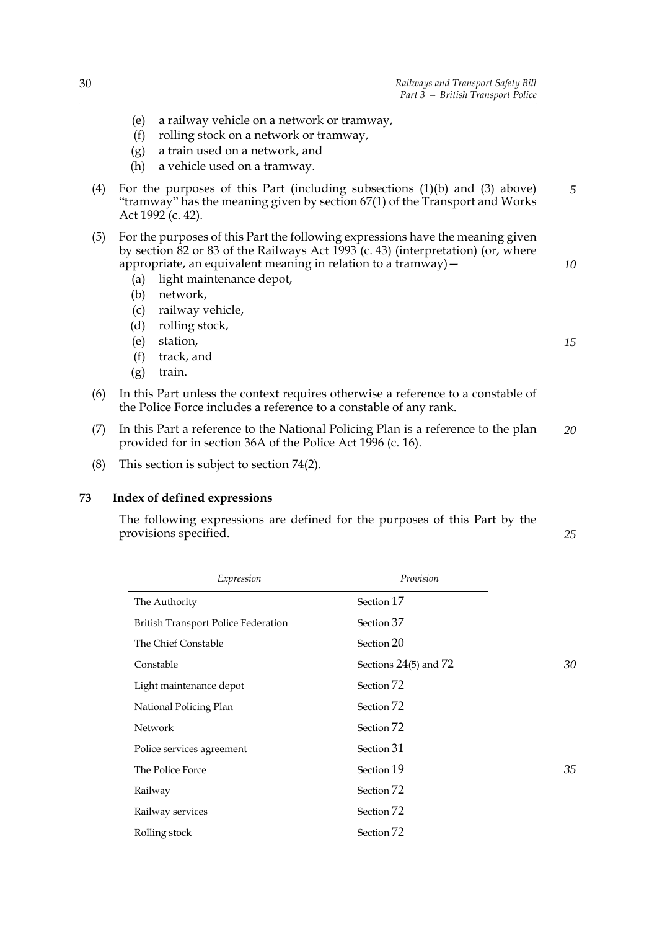- (e) a railway vehicle on a network or tramway,
- (f) rolling stock on a network or tramway,
- (g) a train used on a network, and
- (h) a vehicle used on a tramway.
- (4) For the purposes of this Part (including subsections (1)(b) and (3) above) "tramway" has the meaning given by section 67(1) of the Transport and Works Act 1992 (c. 42). *5*
- (5) For the purposes of this Part the following expressions have the meaning given by section 82 or 83 of the Railways Act 1993 (c. 43) (interpretation) (or, where appropriate, an equivalent meaning in relation to a tramway)—
	- (a) light maintenance depot,
	- (b) network,
	- (c) railway vehicle,
	- (d) rolling stock,
	- (e) station,
	- (f) track, and
	- (g) train.
- (6) In this Part unless the context requires otherwise a reference to a constable of the Police Force includes a reference to a constable of any rank.
- (7) In this Part a reference to the National Policing Plan is a reference to the plan provided for in section 36A of the Police Act 1996 (c. 16). *20*
- (8) This section is subject to section 74(2).

National Policing Plan Section 72 Network Section 72 Police services agreement Section 31 The Police Force Section 19 Railway Section 72 Railway services Section 72 Rolling stock Section 72

#### **73 Index of defined expressions**

The following expressions are defined for the purposes of this Part by the provisions specified.

| Expression                          | Provision                 |
|-------------------------------------|---------------------------|
| The Authority                       | Section 17                |
| British Transport Police Federation | Section 37                |
| The Chief Constable                 | Section 20                |
| Constable                           | Sections $24(5)$ and $72$ |
| Light maintenance depot             | Section 72                |

*35*

*30*

*15*

*25*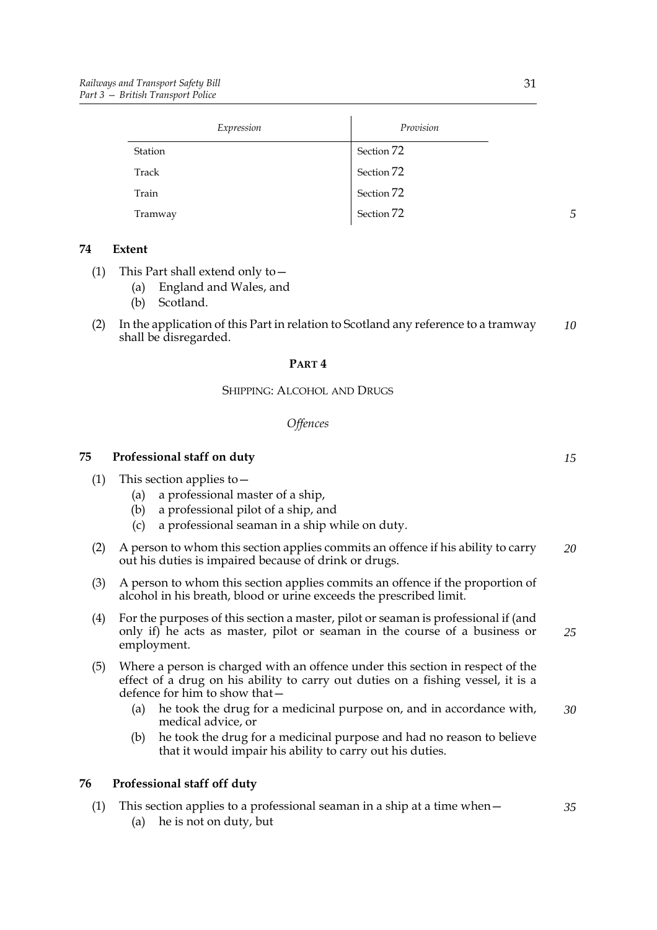| Expression | Provision  |
|------------|------------|
| Station    | Section 72 |
| Track      | Section 72 |
| Train      | Section 72 |
| Tramway    | Section 72 |

# **74 Extent**

- (1) This Part shall extend only to—
	- (a) England and Wales, and
	- (b) Scotland.
- (2) In the application of this Part in relation to Scotland any reference to a tramway shall be disregarded. *10*

#### **PART 4**

### SHIPPING: ALCOHOL AND DRUGS

#### *Offences*

# **75 Professional staff on duty**

- (1) This section applies to—
	- (a) a professional master of a ship,
	- (b) a professional pilot of a ship, and
	- (c) a professional seaman in a ship while on duty.
- (2) A person to whom this section applies commits an offence if his ability to carry out his duties is impaired because of drink or drugs. *20*
- (3) A person to whom this section applies commits an offence if the proportion of alcohol in his breath, blood or urine exceeds the prescribed limit.
- (4) For the purposes of this section a master, pilot or seaman is professional if (and only if) he acts as master, pilot or seaman in the course of a business or employment. *25*
- (5) Where a person is charged with an offence under this section in respect of the effect of a drug on his ability to carry out duties on a fishing vessel, it is a defence for him to show that—
	- (a) he took the drug for a medicinal purpose on, and in accordance with, medical advice, or *30*
	- (b) he took the drug for a medicinal purpose and had no reason to believe that it would impair his ability to carry out his duties.

# **76 Professional staff off duty**

| (1) This section applies to a professional seaman in a ship at a time when $-$ |  |
|--------------------------------------------------------------------------------|--|
| (a) he is not on duty, but                                                     |  |

*15*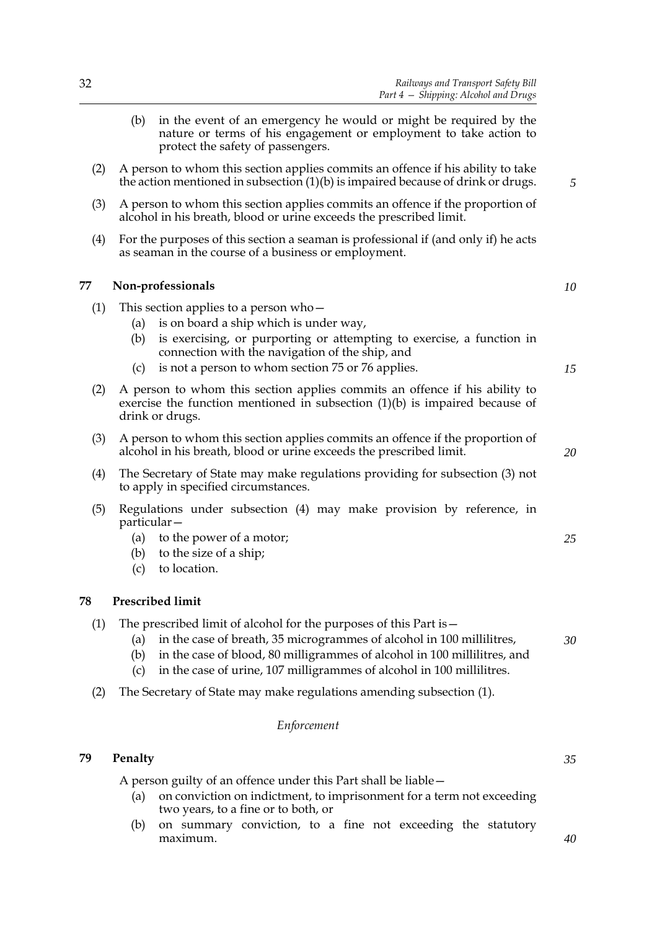- (b) in the event of an emergency he would or might be required by the nature or terms of his engagement or employment to take action to protect the safety of passengers.
- (2) A person to whom this section applies commits an offence if his ability to take the action mentioned in subsection  $(1)(b)$  is impaired because of drink or drugs.
- (3) A person to whom this section applies commits an offence if the proportion of alcohol in his breath, blood or urine exceeds the prescribed limit.
- (4) For the purposes of this section a seaman is professional if (and only if) he acts as seaman in the course of a business or employment.

# **77 Non-professionals**

- (1) This section applies to a person who—
	- (a) is on board a ship which is under way,
	- (b) is exercising, or purporting or attempting to exercise, a function in connection with the navigation of the ship, and
	- (c) is not a person to whom section 75 or 76 applies.
- (2) A person to whom this section applies commits an offence if his ability to exercise the function mentioned in subsection  $(1)(b)$  is impaired because of drink or drugs.
- (3) A person to whom this section applies commits an offence if the proportion of alcohol in his breath, blood or urine exceeds the prescribed limit.
- (4) The Secretary of State may make regulations providing for subsection (3) not to apply in specified circumstances.
- (5) Regulations under subsection (4) may make provision by reference, in particular—
	- (a) to the power of a motor;
	- (b) to the size of a ship;
	- (c) to location.

# **78 Prescribed limit**

- (1) The prescribed limit of alcohol for the purposes of this Part is—
	- (a) in the case of breath, 35 microgrammes of alcohol in 100 millilitres,
	- (b) in the case of blood, 80 milligrammes of alcohol in 100 millilitres, and
	- (c) in the case of urine, 107 milligrammes of alcohol in 100 millilitres.
- (2) The Secretary of State may make regulations amending subsection (1).

#### *Enforcement*

# **79 Penalty**

A person guilty of an offence under this Part shall be liable—

- (a) on conviction on indictment, to imprisonment for a term not exceeding two years, to a fine or to both, or
- (b) on summary conviction, to a fine not exceeding the statutory maximum.

*20*

*5*

*10*

*15*

*25*

*30*

*35*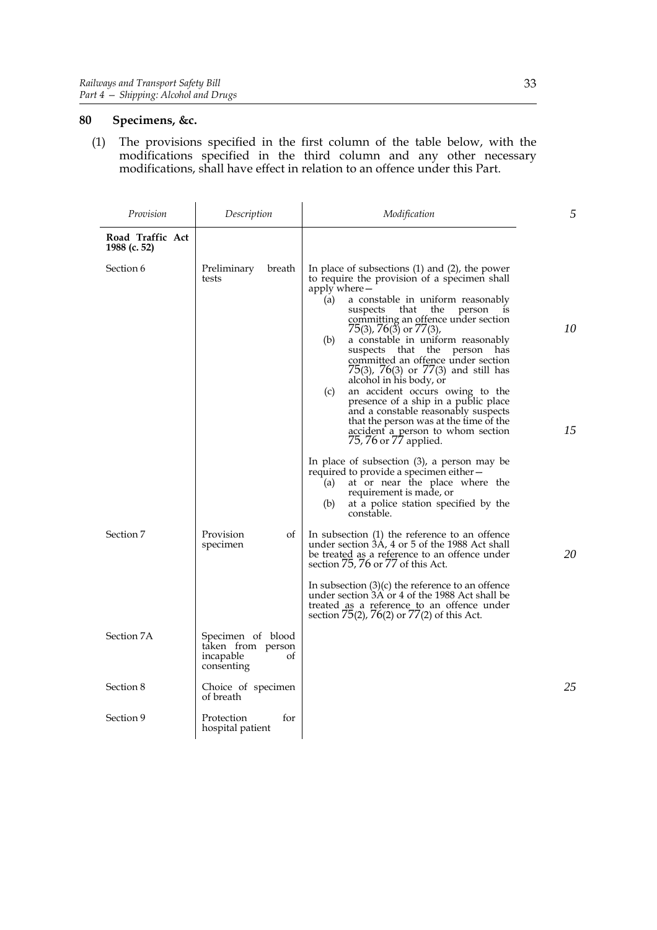# **80 Specimens, &c.**

(1) The provisions specified in the first column of the table below, with the modifications specified in the third column and any other necessary modifications, shall have effect in relation to an offence under this Part.

| Provision                        | Description                                                             | Modification                                                                                                                                                                                                                                                                                                                                                                                                                                                                                                                                                                                                                                                                                                | 5        |
|----------------------------------|-------------------------------------------------------------------------|-------------------------------------------------------------------------------------------------------------------------------------------------------------------------------------------------------------------------------------------------------------------------------------------------------------------------------------------------------------------------------------------------------------------------------------------------------------------------------------------------------------------------------------------------------------------------------------------------------------------------------------------------------------------------------------------------------------|----------|
| Road Traffic Act<br>1988 (c. 52) |                                                                         |                                                                                                                                                                                                                                                                                                                                                                                                                                                                                                                                                                                                                                                                                                             |          |
| Section 6                        | Preliminary<br>breath<br>tests                                          | In place of subsections $(1)$ and $(2)$ , the power<br>to require the provision of a specimen shall<br>$apply$ where $-$<br>a constable in uniform reasonably<br>(a)<br>the<br>suspects that<br>person<br>committing an offence under section<br>$75(3)$ , $76(3)$ or $77(3)$ ,<br>a constable in uniform reasonably<br>(b)<br>suspects that the person has<br>committed an offence under section<br>$75(3)$ , $76(3)$ or $77(3)$ and still has<br>alcohol in his body, or<br>an accident occurs owing to the<br>(c)<br>presence of a ship in a public place<br>and a constable reasonably suspects<br>that the person was at the time of the<br>accident a person to whom section<br>75, 76 or 77 applied. | 10<br>15 |
|                                  |                                                                         | In place of subsection $(3)$ , a person may be<br>required to provide a specimen either -<br>at or near the place where the<br>(a)<br>requirement is made, or<br>at a police station specified by the<br>(b)<br>constable.                                                                                                                                                                                                                                                                                                                                                                                                                                                                                  |          |
| Section 7                        | Provision<br>of<br>specimen                                             | In subsection (1) the reference to an offence<br>under section $3A$ , 4 or 5 of the 1988 Act shall<br>be treated as a reference to an offence under<br>section 75, 76 or 77 of this Act.                                                                                                                                                                                                                                                                                                                                                                                                                                                                                                                    | 20       |
|                                  |                                                                         | In subsection $(3)(c)$ the reference to an offence<br>under section 3A or 4 of the 1988 Act shall be<br>treated as a reference to an offence under<br>section $75(2)$ , $76(2)$ or $77(2)$ of this Act.                                                                                                                                                                                                                                                                                                                                                                                                                                                                                                     |          |
| Section 7A                       | Specimen of blood<br>taken from person<br>incapable<br>οf<br>consenting |                                                                                                                                                                                                                                                                                                                                                                                                                                                                                                                                                                                                                                                                                                             |          |
| Section 8                        | Choice of specimen<br>of breath                                         |                                                                                                                                                                                                                                                                                                                                                                                                                                                                                                                                                                                                                                                                                                             | 25       |
| Section 9                        | Protection<br>for<br>hospital patient                                   |                                                                                                                                                                                                                                                                                                                                                                                                                                                                                                                                                                                                                                                                                                             |          |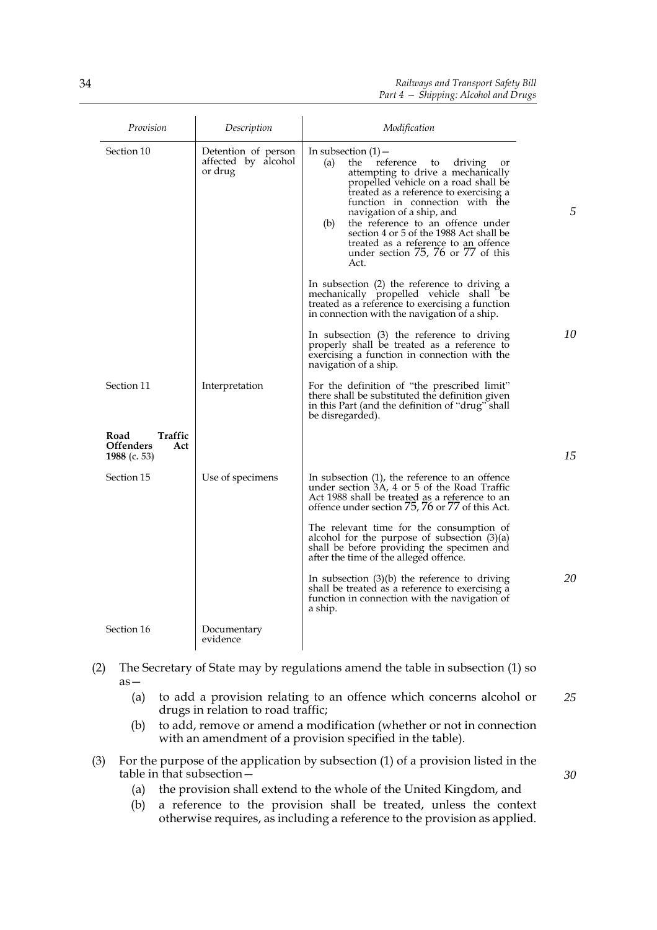#### *Railways and Transport Safety Bill Part 4 — Shipping: Alcohol and Drugs*

| Provision                                                  | Description                                           | Modification                                                                                                                                                                                                                                                                                                                                                                                                                           |    |
|------------------------------------------------------------|-------------------------------------------------------|----------------------------------------------------------------------------------------------------------------------------------------------------------------------------------------------------------------------------------------------------------------------------------------------------------------------------------------------------------------------------------------------------------------------------------------|----|
| Section 10                                                 | Detention of person<br>affected by alcohol<br>or drug | In subsection $(1)$ –<br>the reference to<br>(a)<br>driving<br>or<br>attempting to drive a mechanically<br>propelled vehicle on a road shall be<br>treated as a reference to exercising a<br>function in connection with the<br>navigation of a ship, and<br>the reference to an offence under<br>(b)<br>section 4 or 5 of the 1988 Act shall be<br>treated as a reference to an offence<br>under section 75, 76 or 77 of this<br>Act. | 5  |
|                                                            |                                                       | In subsection (2) the reference to driving a<br>mechanically propelled vehicle shall be<br>treated as a reference to exercising a function<br>in connection with the navigation of a ship.                                                                                                                                                                                                                                             |    |
|                                                            |                                                       | In subsection (3) the reference to driving<br>properly shall be treated as a reference to<br>exercising a function in connection with the<br>navigation of a ship.                                                                                                                                                                                                                                                                     | 10 |
| Section 11                                                 | Interpretation                                        | For the definition of "the prescribed limit"<br>there shall be substituted the definition given<br>in this Part (and the definition of "drug" shall<br>be disregarded).                                                                                                                                                                                                                                                                |    |
| Road<br>Traffic<br><b>Offenders</b><br>Act<br>1988 (c. 53) |                                                       |                                                                                                                                                                                                                                                                                                                                                                                                                                        | 15 |
| Section 15                                                 | Use of specimens                                      | In subsection $(1)$ , the reference to an offence<br>under section 3A, 4 or 5 of the Road Traffic<br>Act 1988 shall be treated as a reference to an<br>offence under section 75, 76 or 77 of this Act.                                                                                                                                                                                                                                 |    |
|                                                            |                                                       | The relevant time for the consumption of<br>alcohol for the purpose of subsection $(3)(a)$<br>shall be before providing the specimen and<br>after the time of the alleged offence.                                                                                                                                                                                                                                                     |    |
|                                                            |                                                       | In subsection $(3)(b)$ the reference to driving<br>shall be treated as a reference to exercising a<br>function in connection with the navigation of<br>a ship.                                                                                                                                                                                                                                                                         | 20 |
| Section 16                                                 | Documentary<br>evidence                               |                                                                                                                                                                                                                                                                                                                                                                                                                                        |    |

- (2) The Secretary of State may by regulations amend the table in subsection (1) so as—
	- (a) to add a provision relating to an offence which concerns alcohol or drugs in relation to road traffic; *25*
	- (b) to add, remove or amend a modification (whether or not in connection with an amendment of a provision specified in the table).
- (3) For the purpose of the application by subsection (1) of a provision listed in the table in that subsection—
	- (a) the provision shall extend to the whole of the United Kingdom, and
	- (b) a reference to the provision shall be treated, unless the context otherwise requires, as including a reference to the provision as applied.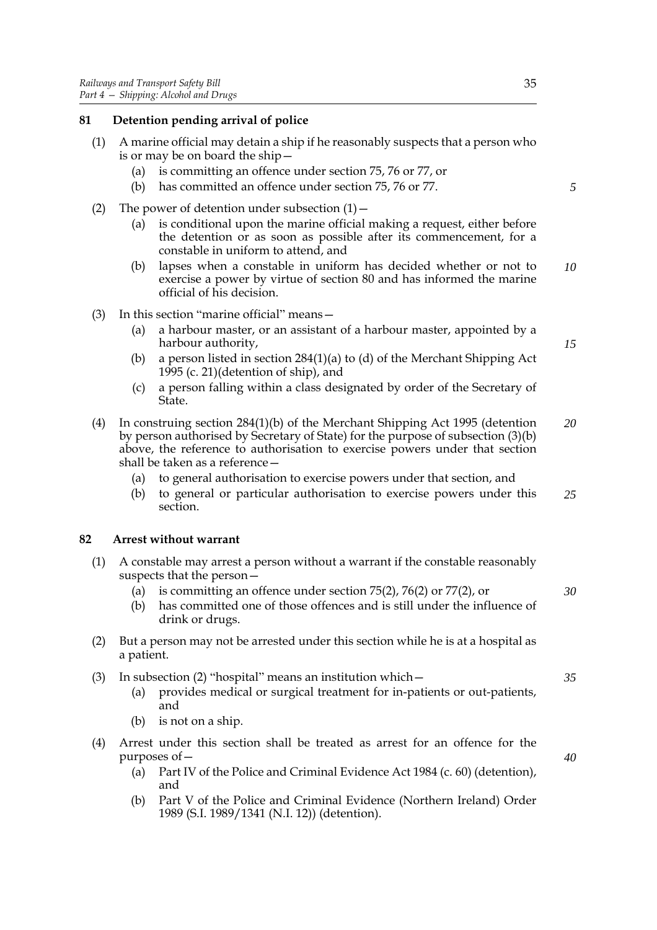# **81 Detention pending arrival of police**

- (1) A marine official may detain a ship if he reasonably suspects that a person who is or may be on board the ship—
	- (a) is committing an offence under section 75, 76 or 77, or
	- (b) has committed an offence under section 75, 76 or 77.
- (2) The power of detention under subsection  $(1)$ 
	- (a) is conditional upon the marine official making a request, either before the detention or as soon as possible after its commencement, for a constable in uniform to attend, and
	- (b) lapses when a constable in uniform has decided whether or not to exercise a power by virtue of section 80 and has informed the marine official of his decision. *10*
- (3) In this section "marine official" means—
	- (a) a harbour master, or an assistant of a harbour master, appointed by a harbour authority,
	- (b) a person listed in section 284(1)(a) to (d) of the Merchant Shipping Act 1995 (c. 21)(detention of ship), and
	- (c) a person falling within a class designated by order of the Secretary of State.
- (4) In construing section 284(1)(b) of the Merchant Shipping Act 1995 (detention by person authorised by Secretary of State) for the purpose of subsection (3)(b) above, the reference to authorisation to exercise powers under that section shall be taken as a reference— *20*
	- (a) to general authorisation to exercise powers under that section, and
	- (b) to general or particular authorisation to exercise powers under this section. *25*

# **82 Arrest without warrant**

- (1) A constable may arrest a person without a warrant if the constable reasonably suspects that the person—
	- (a) is committing an offence under section 75(2), 76(2) or 77(2), or
	- (b) has committed one of those offences and is still under the influence of drink or drugs.
- (2) But a person may not be arrested under this section while he is at a hospital as a patient.
- (3) In subsection (2) "hospital" means an institution which—
	- (a) provides medical or surgical treatment for in-patients or out-patients, and
	- (b) is not on a ship.
- (4) Arrest under this section shall be treated as arrest for an offence for the purposes of—
	- (a) Part IV of the Police and Criminal Evidence Act 1984 (c. 60) (detention), and
	- (b) Part V of the Police and Criminal Evidence (Northern Ireland) Order 1989 (S.I. 1989/1341 (N.I. 12)) (detention).

*5*

*15*

*35*

*30*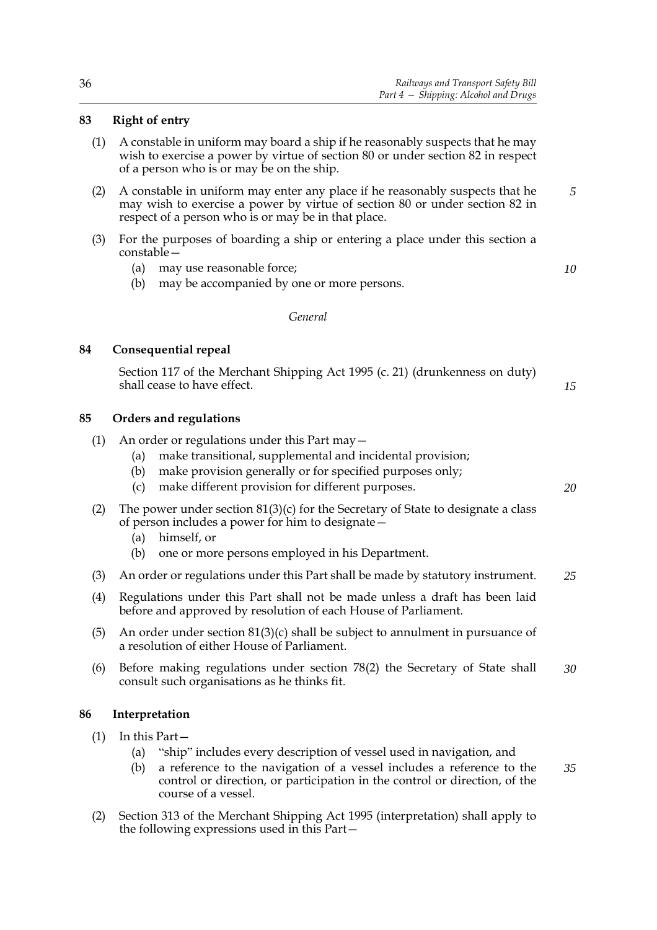# **83 Right of entry**

- (1) A constable in uniform may board a ship if he reasonably suspects that he may wish to exercise a power by virtue of section 80 or under section 82 in respect of a person who is or may be on the ship.
- (2) A constable in uniform may enter any place if he reasonably suspects that he may wish to exercise a power by virtue of section 80 or under section 82 in respect of a person who is or may be in that place. *5*
- (3) For the purposes of boarding a ship or entering a place under this section a constable—
	- (a) may use reasonable force;
	- (b) may be accompanied by one or more persons.

### *General*

# **84 Consequential repeal**

Section 117 of the Merchant Shipping Act 1995 (c. 21) (drunkenness on duty) shall cease to have effect. *15*

# **85 Orders and regulations**

- (1) An order or regulations under this Part may—
	- (a) make transitional, supplemental and incidental provision;
	- (b) make provision generally or for specified purposes only;
	- (c) make different provision for different purposes.
- (2) The power under section  $81(3)(c)$  for the Secretary of State to designate a class of person includes a power for him to designate—
	- (a) himself, or
	- (b) one or more persons employed in his Department.
- (3) An order or regulations under this Part shall be made by statutory instrument. *25*
- (4) Regulations under this Part shall not be made unless a draft has been laid before and approved by resolution of each House of Parliament.
- (5) An order under section  $81(3)(c)$  shall be subject to annulment in pursuance of a resolution of either House of Parliament.
- (6) Before making regulations under section 78(2) the Secretary of State shall consult such organisations as he thinks fit. *30*

# **86 Interpretation**

- (1) In this Part—
	- (a) "ship" includes every description of vessel used in navigation, and
	- (b) a reference to the navigation of a vessel includes a reference to the control or direction, or participation in the control or direction, of the course of a vessel. *35*
- (2) Section 313 of the Merchant Shipping Act 1995 (interpretation) shall apply to the following expressions used in this Part—

*20*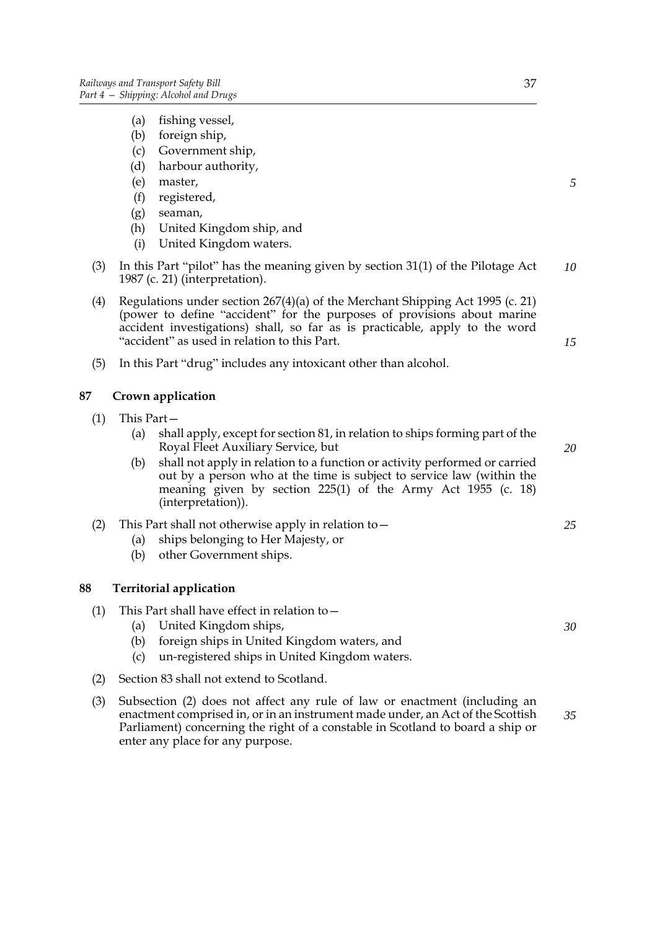- (a) fishing vessel,
- (b) foreign ship,
- (c) Government ship,
- (d) harbour authority,
- (e) master,
- (f) registered,
- (g) seaman,
- (h) United Kingdom ship, and
- (i) United Kingdom waters.
- (3) In this Part "pilot" has the meaning given by section 31(1) of the Pilotage Act 1987 (c. 21) (interpretation). *10*
- (4) Regulations under section 267(4)(a) of the Merchant Shipping Act 1995 (c. 21) (power to define "accident" for the purposes of provisions about marine accident investigations) shall, so far as is practicable, apply to the word "accident" as used in relation to this Part.
- (5) In this Part "drug" includes any intoxicant other than alcohol.

# **87 Crown application**

- (1) This Part—
	- (a) shall apply, except for section 81, in relation to ships forming part of the Royal Fleet Auxiliary Service, but
	- (b) shall not apply in relation to a function or activity performed or carried out by a person who at the time is subject to service law (within the meaning given by section 225(1) of the Army Act 1955 (c. 18) (interpretation)).

# (2) This Part shall not otherwise apply in relation to—

- (a) ships belonging to Her Majesty, or
- (b) other Government ships.

# **88 Territorial application**

- (1) This Part shall have effect in relation to  $-$ 
	- (a) United Kingdom ships,
	- (b) foreign ships in United Kingdom waters, and
	- (c) un-registered ships in United Kingdom waters.
- (2) Section 83 shall not extend to Scotland.
- (3) Subsection (2) does not affect any rule of law or enactment (including an enactment comprised in, or in an instrument made under, an Act of the Scottish Parliament) concerning the right of a constable in Scotland to board a ship or enter any place for any purpose.

*5*

*15*

*20*

*25*

*30*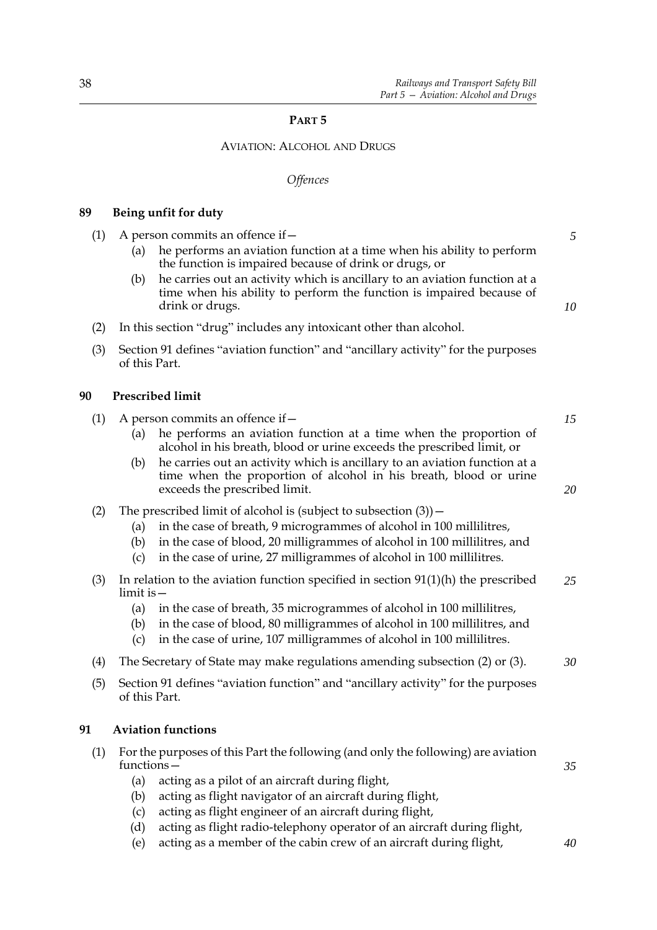### **PART 5**

#### AVIATION: ALCOHOL AND DRUGS

#### *Offences*

### **89 Being unfit for duty**

(1) A person commits an offence if—

- (a) he performs an aviation function at a time when his ability to perform the function is impaired because of drink or drugs, or
- (b) he carries out an activity which is ancillary to an aviation function at a time when his ability to perform the function is impaired because of drink or drugs.
- (2) In this section "drug" includes any intoxicant other than alcohol.
- (3) Section 91 defines "aviation function" and "ancillary activity" for the purposes of this Part.

#### **90 Prescribed limit**

|  | $(1)$ A person commits an offence if $-$                                       |  |
|--|--------------------------------------------------------------------------------|--|
|  | (a) he performs an aviation function at a time when the proportion of          |  |
|  | alcohol in his breath, blood or urine exceeds the prescribed limit, or         |  |
|  | (b) he carries out an activity which is ancillary to an aviation function at a |  |
|  | time when the proportion of alcohol in his breath, blood or urine              |  |

(2) The prescribed limit of alcohol is (subject to subsection  $(3)$ ) –

exceeds the prescribed limit.

- (a) in the case of breath, 9 microgrammes of alcohol in 100 millilitres,
- (b) in the case of blood, 20 milligrammes of alcohol in 100 millilitres, and
- (c) in the case of urine, 27 milligrammes of alcohol in 100 millilitres.
- (3) In relation to the aviation function specified in section  $91(1)(h)$  the prescribed limit is— *25*
	- (a) in the case of breath, 35 microgrammes of alcohol in 100 millilitres,
	- (b) in the case of blood, 80 milligrammes of alcohol in 100 millilitres, and
	- (c) in the case of urine, 107 milligrammes of alcohol in 100 millilitres.
- (4) The Secretary of State may make regulations amending subsection (2) or (3). *30*
- (5) Section 91 defines "aviation function" and "ancillary activity" for the purposes of this Part.

#### **91 Aviation functions**

| (1) For the purposes of this Part the following (and only the following) are aviation |
|---------------------------------------------------------------------------------------|
| functions –                                                                           |

- (a) acting as a pilot of an aircraft during flight,
- (b) acting as flight navigator of an aircraft during flight,
- (c) acting as flight engineer of an aircraft during flight,
- (d) acting as flight radio-telephony operator of an aircraft during flight,
- (e) acting as a member of the cabin crew of an aircraft during flight,

*10*

*20*

*35*

*40*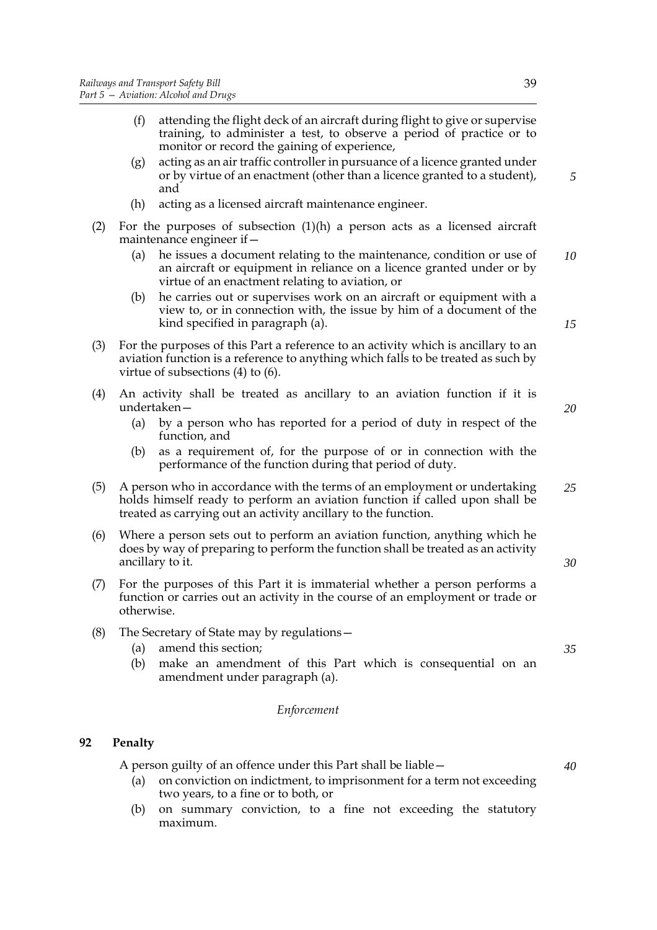- (f) attending the flight deck of an aircraft during flight to give or supervise training, to administer a test, to observe a period of practice or to monitor or record the gaining of experience,
- (g) acting as an air traffic controller in pursuance of a licence granted under or by virtue of an enactment (other than a licence granted to a student), and
- (h) acting as a licensed aircraft maintenance engineer.
- (2) For the purposes of subsection  $(1)(h)$  a person acts as a licensed aircraft maintenance engineer if—
	- (a) he issues a document relating to the maintenance, condition or use of an aircraft or equipment in reliance on a licence granted under or by virtue of an enactment relating to aviation, or *10*
	- (b) he carries out or supervises work on an aircraft or equipment with a view to, or in connection with, the issue by him of a document of the kind specified in paragraph (a).
- (3) For the purposes of this Part a reference to an activity which is ancillary to an aviation function is a reference to anything which falls to be treated as such by virtue of subsections (4) to (6).
- (4) An activity shall be treated as ancillary to an aviation function if it is undertaken—
	- (a) by a person who has reported for a period of duty in respect of the function, and
	- (b) as a requirement of, for the purpose of or in connection with the performance of the function during that period of duty.
- (5) A person who in accordance with the terms of an employment or undertaking holds himself ready to perform an aviation function if called upon shall be treated as carrying out an activity ancillary to the function. *25*
- (6) Where a person sets out to perform an aviation function, anything which he does by way of preparing to perform the function shall be treated as an activity ancillary to it.
- (7) For the purposes of this Part it is immaterial whether a person performs a function or carries out an activity in the course of an employment or trade or otherwise.
- (8) The Secretary of State may by regulations—
	- (a) amend this section;
	- (b) make an amendment of this Part which is consequential on an amendment under paragraph (a).

### *Enforcement*

# **92 Penalty**

A person guilty of an offence under this Part shall be liable—

- (a) on conviction on indictment, to imprisonment for a term not exceeding two years, to a fine or to both, or
- (b) on summary conviction, to a fine not exceeding the statutory maximum.

*5*

*15*

*20*

*35*

*30*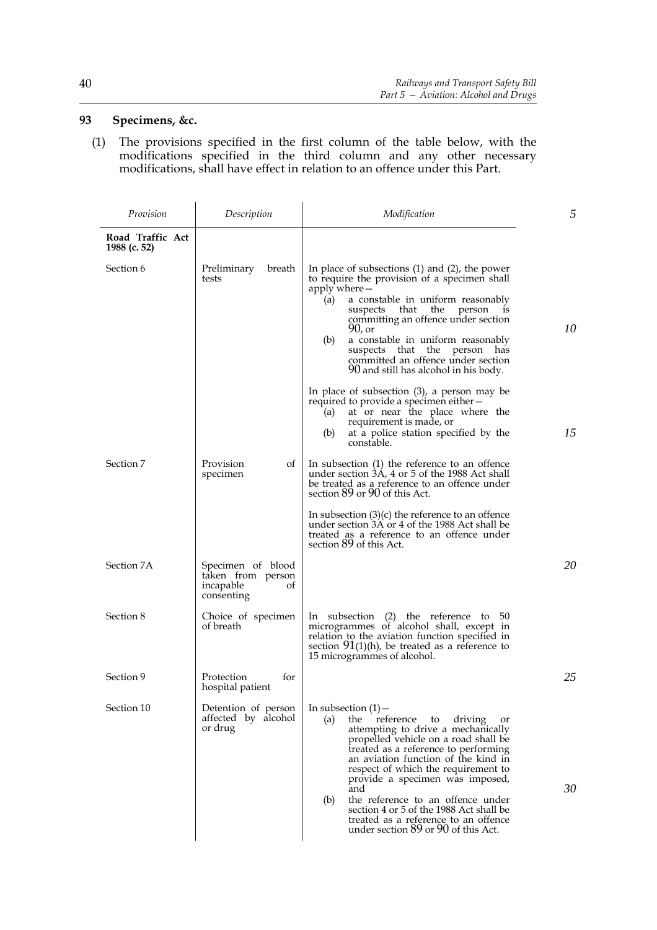# **93 Specimens, &c.**

(1) The provisions specified in the first column of the table below, with the modifications specified in the third column and any other necessary modifications, shall have effect in relation to an offence under this Part.

| Provision                        | Description                                                             | Modification                                                                                                                                                                                                                                                                                                                                                                                                                                                                                                                                                                                                                                     | 5        |
|----------------------------------|-------------------------------------------------------------------------|--------------------------------------------------------------------------------------------------------------------------------------------------------------------------------------------------------------------------------------------------------------------------------------------------------------------------------------------------------------------------------------------------------------------------------------------------------------------------------------------------------------------------------------------------------------------------------------------------------------------------------------------------|----------|
| Road Traffic Act<br>1988 (c. 52) |                                                                         |                                                                                                                                                                                                                                                                                                                                                                                                                                                                                                                                                                                                                                                  |          |
| Section 6                        | Preliminary<br>breath<br>tests                                          | In place of subsections $(1)$ and $(2)$ , the power<br>to require the provision of a specimen shall<br>apply where-<br>a constable in uniform reasonably<br>(a)<br>suspects that<br>the<br>person<br>is<br>committing an offence under section<br>90. or<br>(b)<br>a constable in uniform reasonably<br>suspects that the person has<br>committed an offence under section<br>90 and still has alcohol in his body.<br>In place of subsection $(3)$ , a person may be<br>required to provide a specimen either-<br>at or near the place where the<br>(a)<br>requirement is made, or<br>at a police station specified by the<br>(b)<br>constable. | 10<br>15 |
| Section 7                        | Provision<br>οf<br>specimen                                             | In subsection (1) the reference to an offence<br>under section 3A, 4 or 5 of the 1988 Act shall<br>be treated as a reference to an offence under<br>section 89 or 90 of this Act.<br>In subsection $(3)(c)$ the reference to an offence<br>under section 3A or 4 of the 1988 Act shall be<br>treated as a reference to an offence under<br>section 89 of this Act.                                                                                                                                                                                                                                                                               |          |
| Section 7A                       | Specimen of blood<br>taken from person<br>incapable<br>οf<br>consenting |                                                                                                                                                                                                                                                                                                                                                                                                                                                                                                                                                                                                                                                  | 20       |
| Section 8                        | Choice of specimen<br>of breath                                         | In subsection $(2)$ the reference to 50<br>microgrammes of alcohol shall, except in<br>relation to the aviation function specified in<br>section $91(1)(h)$ , be treated as a reference to<br>15 microgrammes of alcohol.                                                                                                                                                                                                                                                                                                                                                                                                                        |          |
| Section 9                        | Protection<br>for<br>hospital patient                                   |                                                                                                                                                                                                                                                                                                                                                                                                                                                                                                                                                                                                                                                  | 25       |
| Section 10                       | Detention of person<br>affected by alcohol<br>or drug                   | In subsection $(1)$ –<br>the<br>reference<br>(a)<br>to<br>driving<br>or<br>attempting to drive a mechanically<br>propelled vehicle on a road shall be<br>treated as a reference to performing<br>an aviation function of the kind in<br>respect of which the requirement to<br>provide a specimen was imposed,<br>and<br>the reference to an offence under<br>(b)<br>section 4 or 5 of the 1988 Act shall be<br>treated as a reference to an offence<br>under section 89 or 90 of this Act.                                                                                                                                                      | 30       |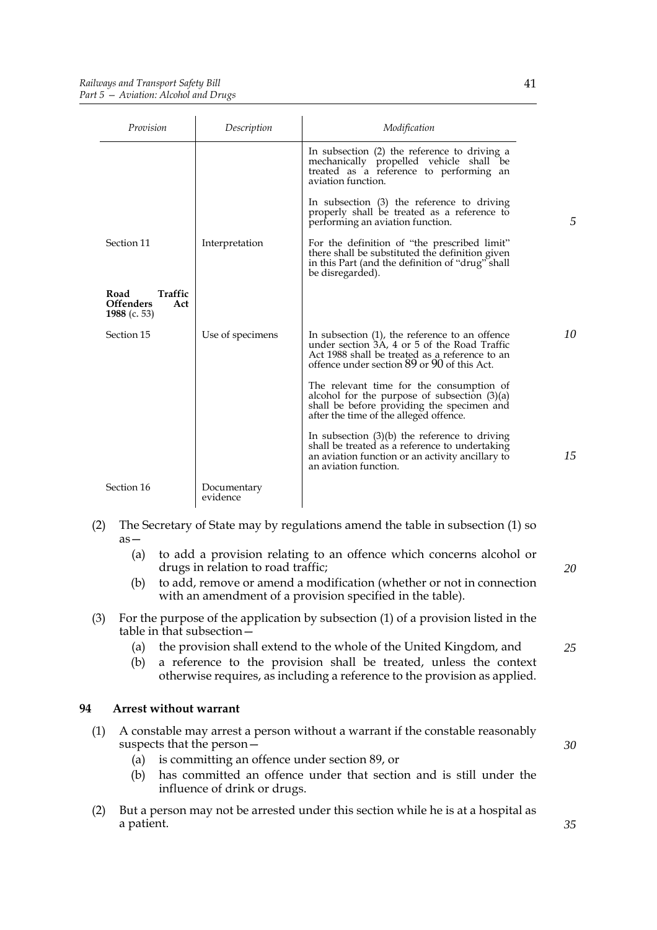| Provision                                                         | Description             | Modification                                                                                                                                                                                       |    |
|-------------------------------------------------------------------|-------------------------|----------------------------------------------------------------------------------------------------------------------------------------------------------------------------------------------------|----|
|                                                                   |                         | In subsection (2) the reference to driving a<br>mechanically propelled vehicle shall be<br>treated as a reference to performing an<br>aviation function.                                           |    |
|                                                                   |                         | In subsection (3) the reference to driving<br>properly shall be treated as a reference to<br>performing an aviation function.                                                                      | 5  |
| Section 11                                                        | Interpretation          | For the definition of "the prescribed limit"<br>there shall be substituted the definition given<br>in this Part (and the definition of "drug" shall<br>be disregarded).                            |    |
| <b>Traffic</b><br>Road<br><b>Offenders</b><br>Act<br>1988 (c. 53) |                         |                                                                                                                                                                                                    |    |
| Section 15                                                        | Use of specimens        | In subsection $(1)$ , the reference to an offence<br>under section 3A, 4 or 5 of the Road Traffic<br>Act 1988 shall be treated as a reference to an<br>offence under section 89 or 90 of this Act. | 10 |
|                                                                   |                         | The relevant time for the consumption of<br>alcohol for the purpose of subsection $(3)(a)$<br>shall be before providing the specimen and<br>after the time of the alleged offence.                 |    |
|                                                                   |                         | In subsection $(3)(b)$ the reference to driving<br>shall be treated as a reference to undertaking<br>an aviation function or an activity ancillary to<br>an aviation function.                     | 15 |
| Section 16                                                        | Documentary<br>evidence |                                                                                                                                                                                                    |    |

- (2) The Secretary of State may by regulations amend the table in subsection (1) so as—
	- (a) to add a provision relating to an offence which concerns alcohol or drugs in relation to road traffic;
	- (b) to add, remove or amend a modification (whether or not in connection with an amendment of a provision specified in the table).
- (3) For the purpose of the application by subsection (1) of a provision listed in the table in that subsection—
	- (a) the provision shall extend to the whole of the United Kingdom, and
	- (b) a reference to the provision shall be treated, unless the context otherwise requires, as including a reference to the provision as applied.

# **94 Arrest without warrant**

- (1) A constable may arrest a person without a warrant if the constable reasonably suspects that the person—
	- (a) is committing an offence under section 89, or
	- (b) has committed an offence under that section and is still under the influence of drink or drugs.
- (2) But a person may not be arrested under this section while he is at a hospital as a patient.

*20*

*25*

*35*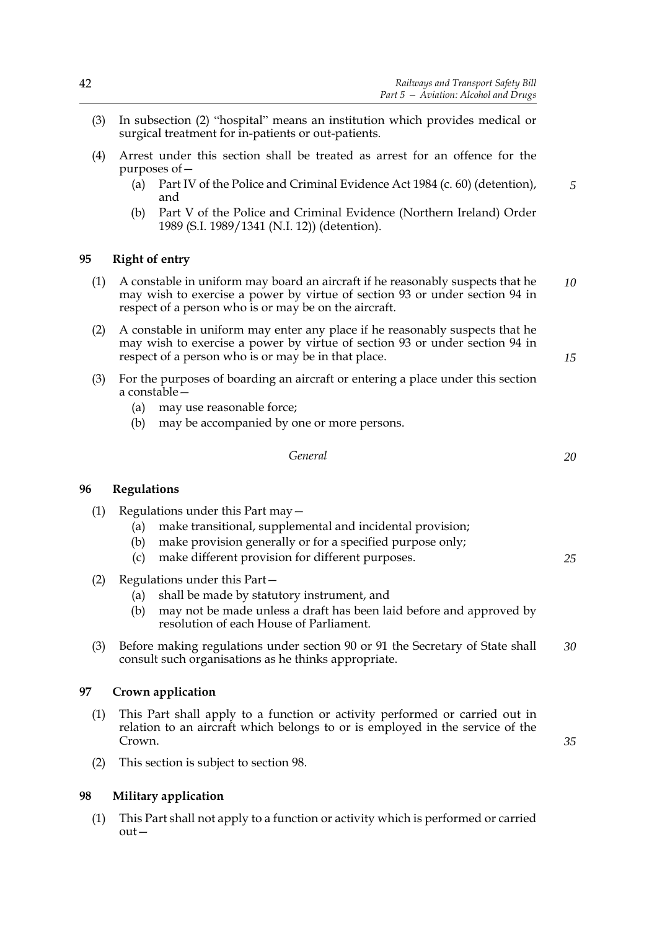- (3) In subsection (2) "hospital" means an institution which provides medical or surgical treatment for in-patients or out-patients.
- (4) Arrest under this section shall be treated as arrest for an offence for the purposes of—
	- (a) Part IV of the Police and Criminal Evidence Act 1984 (c. 60) (detention), and
	- (b) Part V of the Police and Criminal Evidence (Northern Ireland) Order 1989 (S.I. 1989/1341 (N.I. 12)) (detention).

### **95 Right of entry**

- (1) A constable in uniform may board an aircraft if he reasonably suspects that he may wish to exercise a power by virtue of section 93 or under section 94 in respect of a person who is or may be on the aircraft. *10*
- (2) A constable in uniform may enter any place if he reasonably suspects that he may wish to exercise a power by virtue of section 93 or under section 94 in respect of a person who is or may be in that place.
- (3) For the purposes of boarding an aircraft or entering a place under this section a constable—
	- (a) may use reasonable force;
	- (b) may be accompanied by one or more persons.

*General 20*

# **96 Regulations**

- (1) Regulations under this Part may—
	- (a) make transitional, supplemental and incidental provision;
	- (b) make provision generally or for a specified purpose only;
	- (c) make different provision for different purposes.
- (2) Regulations under this Part—
	- (a) shall be made by statutory instrument, and
	- (b) may not be made unless a draft has been laid before and approved by resolution of each House of Parliament.
- (3) Before making regulations under section 90 or 91 the Secretary of State shall consult such organisations as he thinks appropriate. *30*

#### **97 Crown application**

- (1) This Part shall apply to a function or activity performed or carried out in relation to an aircraft which belongs to or is employed in the service of the Crown.
- (2) This section is subject to section 98.

#### **98 Military application**

(1) This Part shall not apply to a function or activity which is performed or carried out*15*

*25*

*35*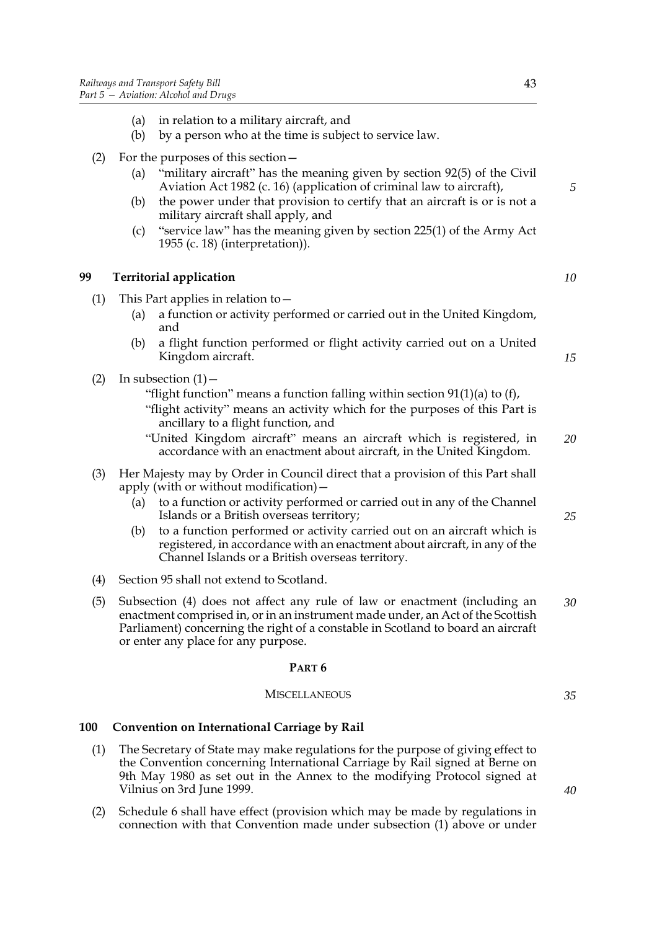- (a) in relation to a military aircraft, and
- (b) by a person who at the time is subject to service law.
- (2) For the purposes of this section—
	- (a) "military aircraft" has the meaning given by section 92(5) of the Civil Aviation Act 1982 (c. 16) (application of criminal law to aircraft),
	- (b) the power under that provision to certify that an aircraft is or is not a military aircraft shall apply, and
	- (c) "service law" has the meaning given by section 225(1) of the Army Act 1955 (c. 18) (interpretation)).

# **99 Territorial application**

- (1) This Part applies in relation to—
	- (a) a function or activity performed or carried out in the United Kingdom, and
	- (b) a flight function performed or flight activity carried out on a United Kingdom aircraft.
- (2) In subsection  $(1)$ 
	- "flight function" means a function falling within section  $91(1)(a)$  to (f),
	- "flight activity" means an activity which for the purposes of this Part is ancillary to a flight function, and
	- "United Kingdom aircraft" means an aircraft which is registered, in accordance with an enactment about aircraft, in the United Kingdom. *20*
- (3) Her Majesty may by Order in Council direct that a provision of this Part shall apply (with or without modification)—
	- (a) to a function or activity performed or carried out in any of the Channel Islands or a British overseas territory;
	- (b) to a function performed or activity carried out on an aircraft which is registered, in accordance with an enactment about aircraft, in any of the Channel Islands or a British overseas territory.
- (4) Section 95 shall not extend to Scotland.
- (5) Subsection (4) does not affect any rule of law or enactment (including an enactment comprised in, or in an instrument made under, an Act of the Scottish Parliament) concerning the right of a constable in Scotland to board an aircraft or enter any place for any purpose. *30*

#### **PART 6**

#### **MISCELLANEOUS**

#### **100 Convention on International Carriage by Rail**

- (1) The Secretary of State may make regulations for the purpose of giving effect to the Convention concerning International Carriage by Rail signed at Berne on 9th May 1980 as set out in the Annex to the modifying Protocol signed at Vilnius on 3rd June 1999.
- (2) Schedule 6 shall have effect (provision which may be made by regulations in connection with that Convention made under subsection (1) above or under

*5*

*10*

*15*

*25*

*35*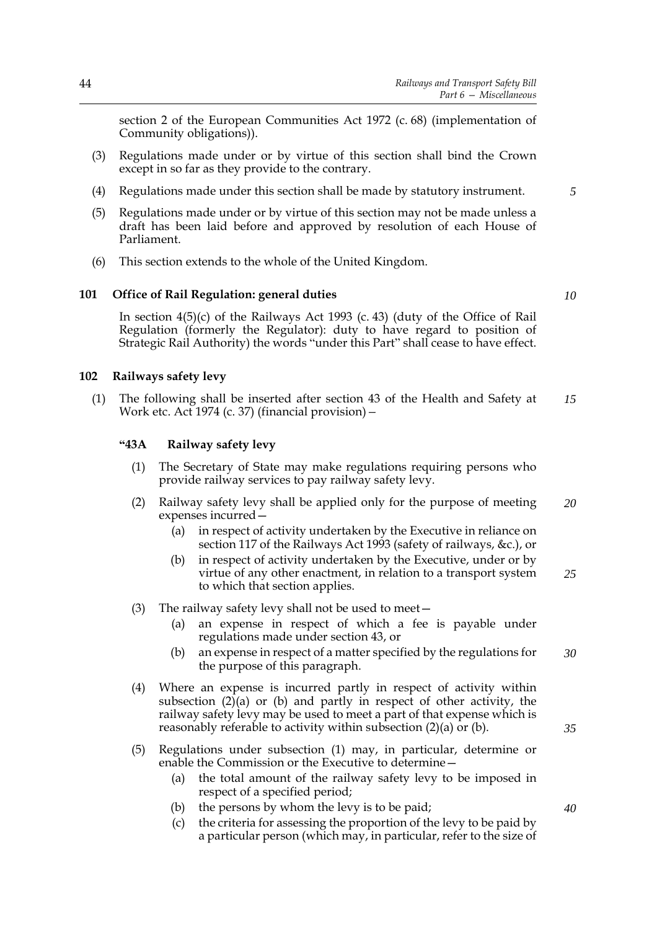section 2 of the European Communities Act 1972 (c. 68) (implementation of Community obligations)).

- (3) Regulations made under or by virtue of this section shall bind the Crown except in so far as they provide to the contrary.
- (4) Regulations made under this section shall be made by statutory instrument.
- (5) Regulations made under or by virtue of this section may not be made unless a draft has been laid before and approved by resolution of each House of Parliament.
- (6) This section extends to the whole of the United Kingdom.

#### **101 Office of Rail Regulation: general duties**

In section 4(5)(c) of the Railways Act 1993 (c. 43) (duty of the Office of Rail Regulation (formerly the Regulator): duty to have regard to position of Strategic Rail Authority) the words "under this Part" shall cease to have effect.

#### **102 Railways safety levy**

(1) The following shall be inserted after section 43 of the Health and Safety at Work etc. Act 1974 (c. 37) (financial provision)*— 15*

# **"43A Railway safety levy**

- (1) The Secretary of State may make regulations requiring persons who provide railway services to pay railway safety levy.
- (2) Railway safety levy shall be applied only for the purpose of meeting expenses incurred— *20*
	- (a) in respect of activity undertaken by the Executive in reliance on section 117 of the Railways Act 1993 (safety of railways, &c.), or
	- (b) in respect of activity undertaken by the Executive, under or by virtue of any other enactment, in relation to a transport system to which that section applies. *25*
- (3) The railway safety levy shall not be used to meet—
	- (a) an expense in respect of which a fee is payable under regulations made under section 43, or
	- (b) an expense in respect of a matter specified by the regulations for the purpose of this paragraph. *30*
- (4) Where an expense is incurred partly in respect of activity within subsection  $(2)$  $(a)$  or  $(b)$  and partly in respect of other activity, the railway safety levy may be used to meet a part of that expense which is reasonably referable to activity within subsection (2)(a) or (b).
- (5) Regulations under subsection (1) may, in particular, determine or enable the Commission or the Executive to determine—
	- (a) the total amount of the railway safety levy to be imposed in respect of a specified period;
	- (b) the persons by whom the levy is to be paid;
	- (c) the criteria for assessing the proportion of the levy to be paid by a particular person (which may, in particular, refer to the size of

*10*

*5*

*35*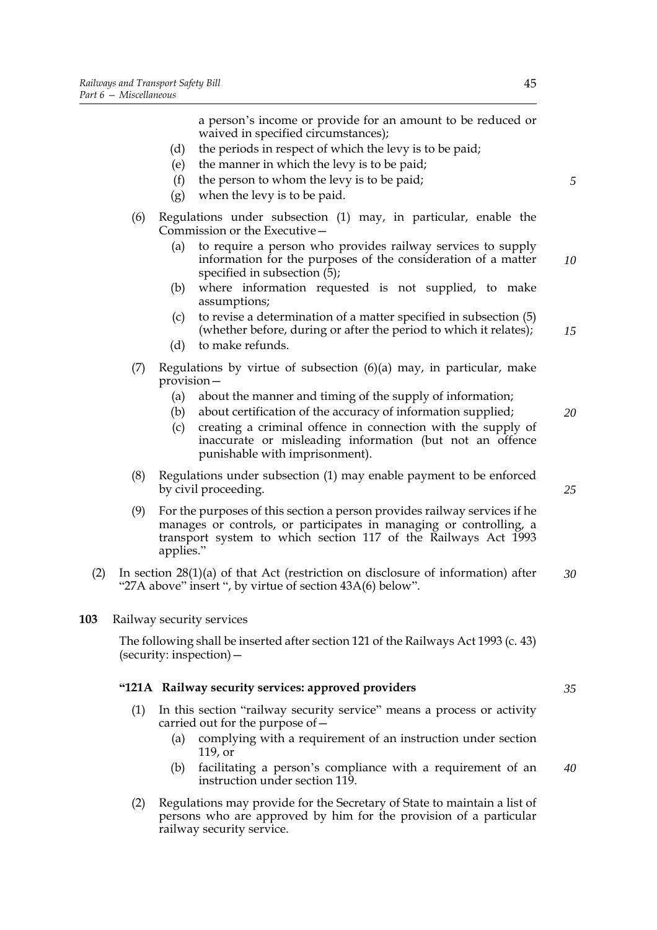a person's income or provide for an amount to be reduced or waived in specified circumstances);

(d) the periods in respect of which the levy is to be paid;

- (e) the manner in which the levy is to be paid;
- (f) the person to whom the levy is to be paid;
- (g) when the levy is to be paid.
- (6) Regulations under subsection (1) may, in particular, enable the Commission or the Executive—
	- (a) to require a person who provides railway services to supply information for the purposes of the consideration of a matter specified in subsection  $(5)$ ; *10*
	- (b) where information requested is not supplied, to make assumptions;
	- (c) to revise a determination of a matter specified in subsection (5) (whether before, during or after the period to which it relates);
	- (d) to make refunds.
- (7) Regulations by virtue of subsection  $(6)(a)$  may, in particular, make provision—
	- (a) about the manner and timing of the supply of information;
	- (b) about certification of the accuracy of information supplied;
	- (c) creating a criminal offence in connection with the supply of inaccurate or misleading information (but not an offence punishable with imprisonment).
- (8) Regulations under subsection (1) may enable payment to be enforced by civil proceeding.
- (9) For the purposes of this section a person provides railway services if he manages or controls, or participates in managing or controlling, a transport system to which section 117 of the Railways Act 1993 applies."
- (2) In section 28(1)(a) of that Act (restriction on disclosure of information) after "27A above" insert ", by virtue of section 43A(6) below". *30*

# **103** Railway security services

The following shall be inserted after section 121 of the Railways Act 1993 (c. 43) (security: inspection)—

#### **"121A Railway security services: approved providers**

- (1) In this section "railway security service" means a process or activity carried out for the purpose of—
	- (a) complying with a requirement of an instruction under section 119, or
	- (b) facilitating a person's compliance with a requirement of an instruction under section 119. *40*
- (2) Regulations may provide for the Secretary of State to maintain a list of persons who are approved by him for the provision of a particular railway security service.

*5*

*15*

*20*

*25*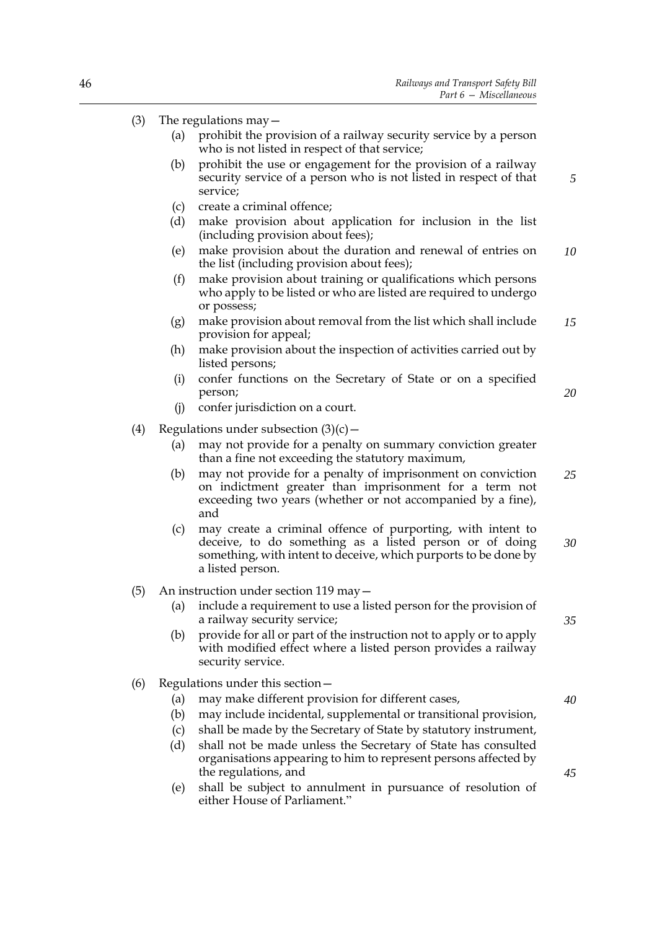- (3) The regulations may  $-$ 
	- (a) prohibit the provision of a railway security service by a person who is not listed in respect of that service;
	- (b) prohibit the use or engagement for the provision of a railway security service of a person who is not listed in respect of that service;
	- (c) create a criminal offence;
	- (d) make provision about application for inclusion in the list (including provision about fees);
	- (e) make provision about the duration and renewal of entries on the list (including provision about fees); *10*
	- (f) make provision about training or qualifications which persons who apply to be listed or who are listed are required to undergo or possess;
	- (g) make provision about removal from the list which shall include provision for appeal; *15*
	- (h) make provision about the inspection of activities carried out by listed persons;
	- (i) confer functions on the Secretary of State or on a specified person;
	- (j) confer jurisdiction on a court.
- (4) Regulations under subsection  $(3)(c)$ 
	- (a) may not provide for a penalty on summary conviction greater than a fine not exceeding the statutory maximum,
	- (b) may not provide for a penalty of imprisonment on conviction on indictment greater than imprisonment for a term not exceeding two years (whether or not accompanied by a fine), and *25*
	- (c) may create a criminal offence of purporting, with intent to deceive, to do something as a listed person or of doing something, with intent to deceive, which purports to be done by a listed person. *30*
- (5) An instruction under section 119 may—
	- (a) include a requirement to use a listed person for the provision of a railway security service;
	- (b) provide for all or part of the instruction not to apply or to apply with modified effect where a listed person provides a railway security service.
- (6) Regulations under this section—
	- (a) may make different provision for different cases,
	- (b) may include incidental, supplemental or transitional provision,
	- (c) shall be made by the Secretary of State by statutory instrument,
	- (d) shall not be made unless the Secretary of State has consulted organisations appearing to him to represent persons affected by the regulations, and
	- (e) shall be subject to annulment in pursuance of resolution of either House of Parliament."

*45*

*40*

*35*

*5*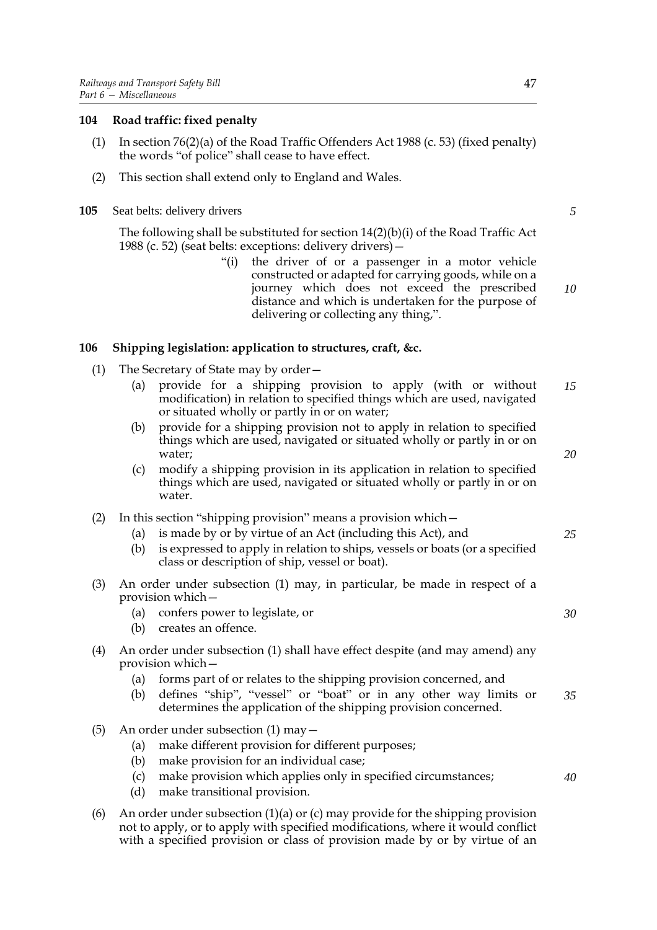# **104 Road traffic: fixed penalty**

- (1) In section 76(2)(a) of the Road Traffic Offenders Act 1988 (c. 53) (fixed penalty) the words "of police" shall cease to have effect.
- (2) This section shall extend only to England and Wales.

#### **105** Seat belts: delivery drivers

The following shall be substituted for section 14(2)(b)(i) of the Road Traffic Act 1988 (c. 52) (seat belts: exceptions: delivery drivers)—

> "(i) the driver of or a passenger in a motor vehicle constructed or adapted for carrying goods, while on a journey which does not exceed the prescribed distance and which is undertaken for the purpose of delivering or collecting any thing,".

#### **106 Shipping legislation: application to structures, craft, &c.**

- (1) The Secretary of State may by order—
	- (a) provide for a shipping provision to apply (with or without modification) in relation to specified things which are used, navigated or situated wholly or partly in or on water; *15*
	- (b) provide for a shipping provision not to apply in relation to specified things which are used, navigated or situated wholly or partly in or on water;
	- (c) modify a shipping provision in its application in relation to specified things which are used, navigated or situated wholly or partly in or on water.

### (2) In this section "shipping provision" means a provision which—

- (a) is made by or by virtue of an Act (including this Act), and
- (b) is expressed to apply in relation to ships, vessels or boats (or a specified class or description of ship, vessel or boat).
- (3) An order under subsection (1) may, in particular, be made in respect of a provision which—
	- (a) confers power to legislate, or
	- (b) creates an offence.

# (4) An order under subsection (1) shall have effect despite (and may amend) any provision which—

- (a) forms part of or relates to the shipping provision concerned, and
- (b) defines "ship", "vessel" or "boat" or in any other way limits or determines the application of the shipping provision concerned. *35*
- (5) An order under subsection (1) may—
	- (a) make different provision for different purposes;
	- (b) make provision for an individual case;
	- (c) make provision which applies only in specified circumstances;
	- (d) make transitional provision.
- (6) An order under subsection (1)(a) or (c) may provide for the shipping provision not to apply, or to apply with specified modifications, where it would conflict with a specified provision or class of provision made by or by virtue of an

*5*

*10*

*30*

*20*

*25*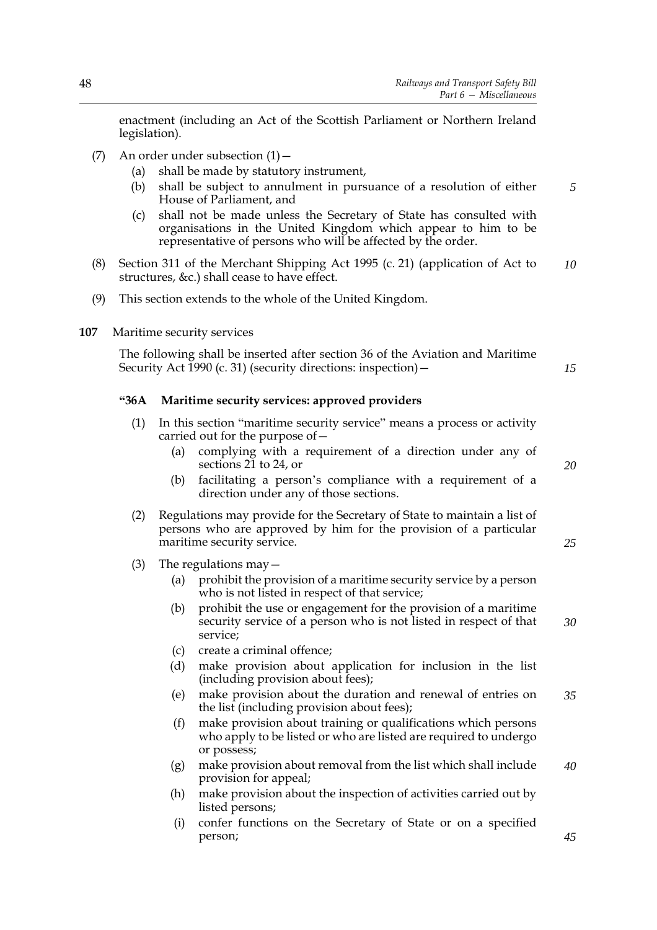enactment (including an Act of the Scottish Parliament or Northern Ireland legislation).

- (7) An order under subsection  $(1)$  -
	- (a) shall be made by statutory instrument,
	- (b) shall be subject to annulment in pursuance of a resolution of either House of Parliament, and *5*
	- (c) shall not be made unless the Secretary of State has consulted with organisations in the United Kingdom which appear to him to be representative of persons who will be affected by the order.
- (8) Section 311 of the Merchant Shipping Act 1995 (c. 21) (application of Act to structures, &c.) shall cease to have effect. *10*
- (9) This section extends to the whole of the United Kingdom.
- **107** Maritime security services

The following shall be inserted after section 36 of the Aviation and Maritime Security Act 1990 (c. 31) (security directions: inspection)— *15*

#### **"36A Maritime security services: approved providers**

- (1) In this section "maritime security service" means a process or activity carried out for the purpose of—
	- (a) complying with a requirement of a direction under any of sections 21 to 24, or
	- (b) facilitating a person's compliance with a requirement of a direction under any of those sections.
- (2) Regulations may provide for the Secretary of State to maintain a list of persons who are approved by him for the provision of a particular maritime security service.
- (3) The regulations may  $-$ 
	- (a) prohibit the provision of a maritime security service by a person who is not listed in respect of that service;
	- (b) prohibit the use or engagement for the provision of a maritime security service of a person who is not listed in respect of that service; *30*
	- (c) create a criminal offence;
	- (d) make provision about application for inclusion in the list (including provision about fees);
	- (e) make provision about the duration and renewal of entries on the list (including provision about fees); *35*
	- (f) make provision about training or qualifications which persons who apply to be listed or who are listed are required to undergo or possess;
	- (g) make provision about removal from the list which shall include provision for appeal; *40*
	- (h) make provision about the inspection of activities carried out by listed persons;
	- (i) confer functions on the Secretary of State or on a specified person;

*20*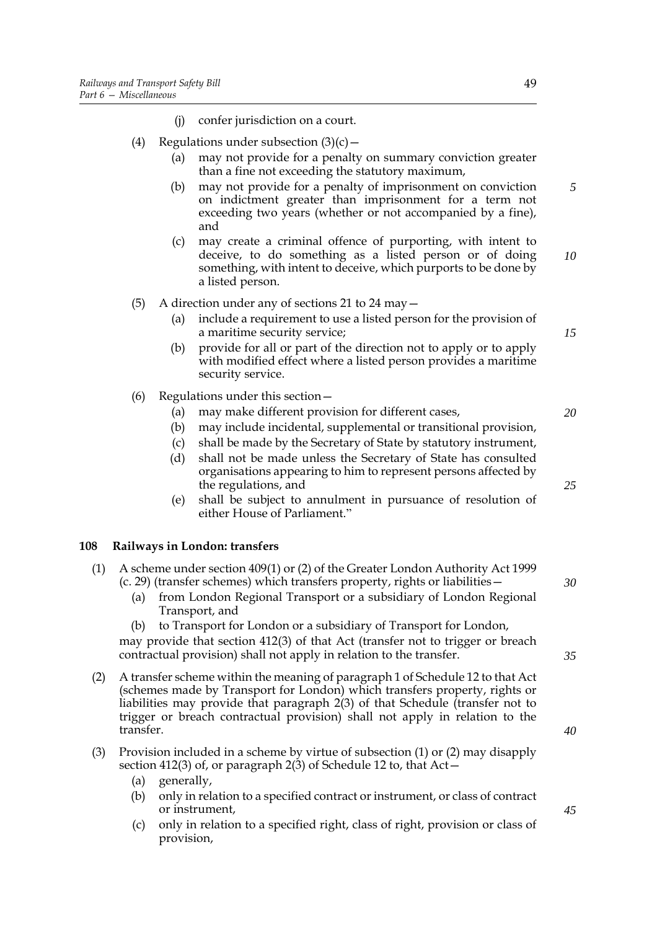- (j) confer jurisdiction on a court.
- (4) Regulations under subsection  $(3)(c)$ 
	- (a) may not provide for a penalty on summary conviction greater than a fine not exceeding the statutory maximum,
	- (b) may not provide for a penalty of imprisonment on conviction on indictment greater than imprisonment for a term not exceeding two years (whether or not accompanied by a fine), and
	- (c) may create a criminal offence of purporting, with intent to deceive, to do something as a listed person or of doing something, with intent to deceive, which purports to be done by a listed person. *10*
- (5) A direction under any of sections 21 to 24 may—
	- (a) include a requirement to use a listed person for the provision of a maritime security service;
	- (b) provide for all or part of the direction not to apply or to apply with modified effect where a listed person provides a maritime security service.
- (6) Regulations under this section—
	- (a) may make different provision for different cases,
	- (b) may include incidental, supplemental or transitional provision,
	- (c) shall be made by the Secretary of State by statutory instrument,
	- (d) shall not be made unless the Secretary of State has consulted organisations appearing to him to represent persons affected by the regulations, and
	- (e) shall be subject to annulment in pursuance of resolution of either House of Parliament."

### **108 Railways in London: transfers**

# (1) A scheme under section 409(1) or (2) of the Greater London Authority Act 1999 (c. 29) (transfer schemes) which transfers property, rights or liabilities—

(a) from London Regional Transport or a subsidiary of London Regional Transport, and

(b) to Transport for London or a subsidiary of Transport for London, may provide that section 412(3) of that Act (transfer not to trigger or breach contractual provision) shall not apply in relation to the transfer.

- (2) A transfer scheme within the meaning of paragraph 1 of Schedule 12 to that Act (schemes made by Transport for London) which transfers property, rights or liabilities may provide that paragraph 2(3) of that Schedule (transfer not to trigger or breach contractual provision) shall not apply in relation to the transfer.
- (3) Provision included in a scheme by virtue of subsection (1) or (2) may disapply section 412(3) of, or paragraph 2(3) of Schedule 12 to, that Act—
	- (a) generally,
	- (b) only in relation to a specified contract or instrument, or class of contract or instrument,
	- (c) only in relation to a specified right, class of right, provision or class of provision,

*5*

*15*

*20*

*25*

*30*

*35*

*40*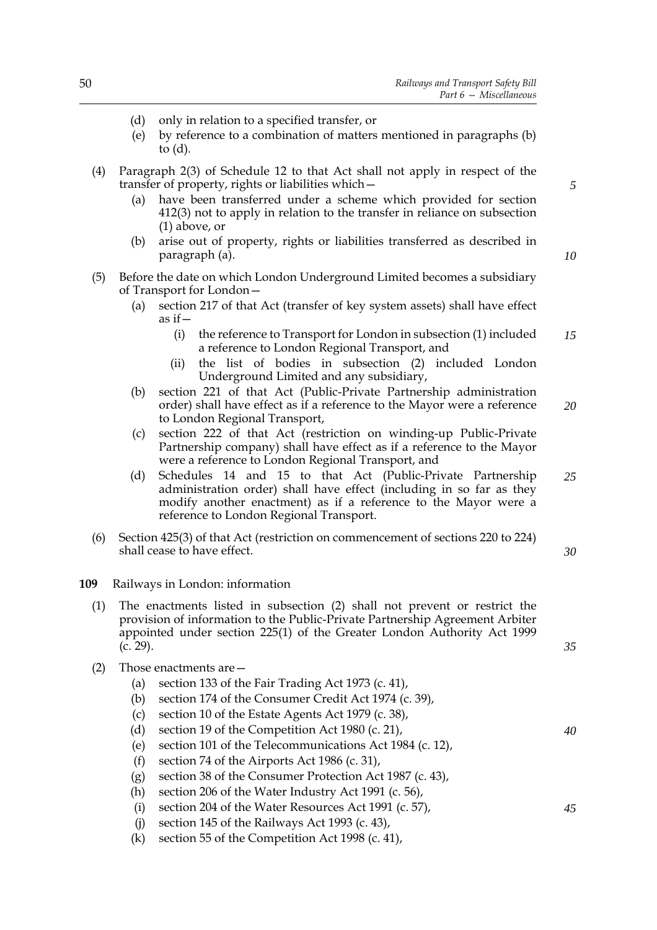- (d) only in relation to a specified transfer, or
- (e) by reference to a combination of matters mentioned in paragraphs (b) to (d).
- (4) Paragraph 2(3) of Schedule 12 to that Act shall not apply in respect of the transfer of property, rights or liabilities which—
	- (a) have been transferred under a scheme which provided for section 412(3) not to apply in relation to the transfer in reliance on subsection (1) above, or
	- (b) arise out of property, rights or liabilities transferred as described in paragraph (a).
- (5) Before the date on which London Underground Limited becomes a subsidiary of Transport for London—
	- (a) section 217 of that Act (transfer of key system assets) shall have effect as if  $-$ 
		- (i) the reference to Transport for London in subsection (1) included a reference to London Regional Transport, and *15*
		- (ii) the list of bodies in subsection (2) included London Underground Limited and any subsidiary,
	- (b) section 221 of that Act (Public-Private Partnership administration order) shall have effect as if a reference to the Mayor were a reference to London Regional Transport,
	- (c) section 222 of that Act (restriction on winding-up Public-Private Partnership company) shall have effect as if a reference to the Mayor were a reference to London Regional Transport, and
	- (d) Schedules 14 and 15 to that Act (Public-Private Partnership administration order) shall have effect (including in so far as they modify another enactment) as if a reference to the Mayor were a reference to London Regional Transport. *25*
- (6) Section 425(3) of that Act (restriction on commencement of sections 220 to 224) shall cease to have effect.
- **109** Railways in London: information
	- (1) The enactments listed in subsection (2) shall not prevent or restrict the provision of information to the Public-Private Partnership Agreement Arbiter appointed under section 225(1) of the Greater London Authority Act 1999 (c. 29).
	- (2) Those enactments are—
		- (a) section 133 of the Fair Trading Act 1973 (c. 41),
		- (b) section 174 of the Consumer Credit Act 1974 (c. 39),
		- (c) section 10 of the Estate Agents Act 1979 (c. 38),
		- (d) section 19 of the Competition Act 1980 (c. 21),
		- (e) section 101 of the Telecommunications Act 1984 (c. 12),
		- (f) section 74 of the Airports Act 1986 (c. 31),
		- (g) section 38 of the Consumer Protection Act 1987 (c. 43),
		- (h) section 206 of the Water Industry Act 1991 (c. 56),
		- (i) section 204 of the Water Resources Act 1991 (c. 57),
		- (j) section 145 of the Railways Act 1993 (c. 43),
		- (k) section 55 of the Competition Act 1998 (c. 41),

*5*

*10*

*20*

*35*

*30*

*40*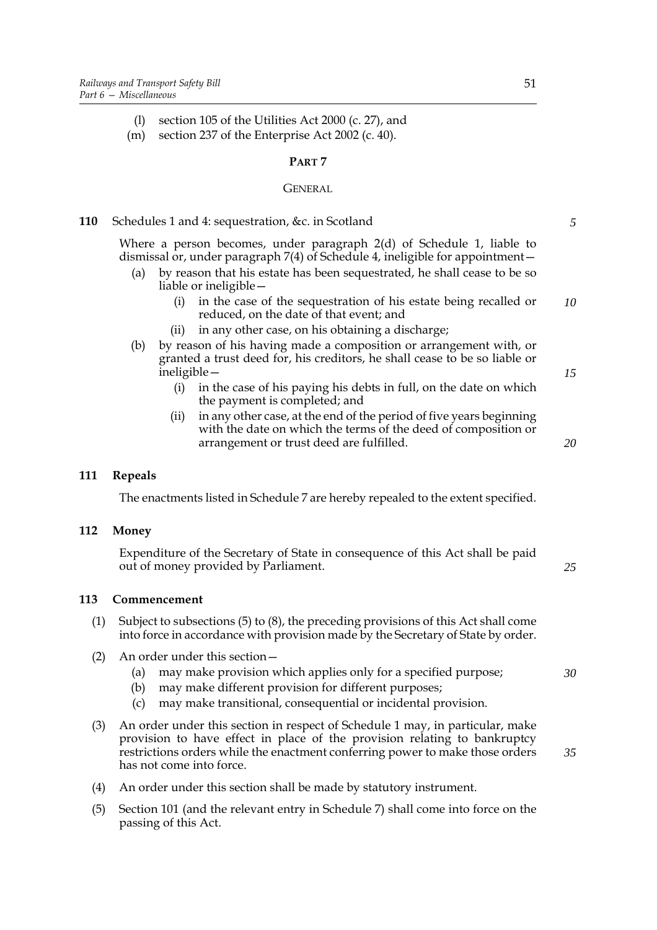- (l) section 105 of the Utilities Act 2000 (c. 27), and
- (m) section 237 of the Enterprise Act 2002 (c. 40).

### **PART 7**

#### **GENERAL**

# **110** Schedules 1 and 4: sequestration, &c. in Scotland

Where a person becomes, under paragraph 2(d) of Schedule 1, liable to dismissal or, under paragraph 7(4) of Schedule 4, ineligible for appointment—

- (a) by reason that his estate has been sequestrated, he shall cease to be so liable or ineligible—
	- (i) in the case of the sequestration of his estate being recalled or reduced, on the date of that event; and *10*
	- (ii) in any other case, on his obtaining a discharge;
- (b) by reason of his having made a composition or arrangement with, or granted a trust deed for, his creditors, he shall cease to be so liable or ineligible—
	- (i) in the case of his paying his debts in full, on the date on which the payment is completed; and
	- (ii) in any other case, at the end of the period of five years beginning with the date on which the terms of the deed of composition or arrangement or trust deed are fulfilled.

# **111 Repeals**

The enactments listed in Schedule 7 are hereby repealed to the extent specified.

#### **112 Money**

Expenditure of the Secretary of State in consequence of this Act shall be paid out of money provided by Parliament.

# **113 Commencement**

- (1) Subject to subsections (5) to (8), the preceding provisions of this Act shall come into force in accordance with provision made by the Secretary of State by order.
- (2) An order under this section—
	- (a) may make provision which applies only for a specified purpose;
	- (b) may make different provision for different purposes;
	- (c) may make transitional, consequential or incidental provision.
- (3) An order under this section in respect of Schedule 1 may, in particular, make provision to have effect in place of the provision relating to bankruptcy restrictions orders while the enactment conferring power to make those orders has not come into force.
- (4) An order under this section shall be made by statutory instrument.
- (5) Section 101 (and the relevant entry in Schedule 7) shall come into force on the passing of this Act.

*30*

*35*

*5*

*25*

*20*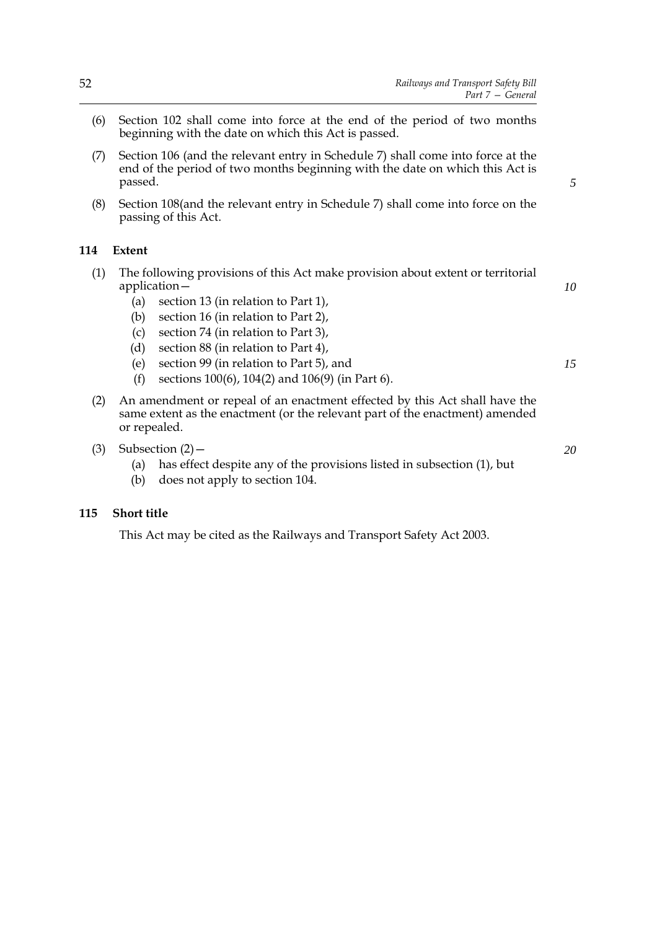- (6) Section 102 shall come into force at the end of the period of two months beginning with the date on which this Act is passed.
- (7) Section 106 (and the relevant entry in Schedule 7) shall come into force at the end of the period of two months beginning with the date on which this Act is passed.
- (8) Section 108(and the relevant entry in Schedule 7) shall come into force on the passing of this Act.

# **114 Extent**

- (1) The following provisions of this Act make provision about extent or territorial application—
	- (a) section 13 (in relation to Part 1),
	- (b) section 16 (in relation to Part 2),
	- (c) section 74 (in relation to Part 3),
	- (d) section 88 (in relation to Part 4),
	- (e) section 99 (in relation to Part 5), and
	- (f) sections 100(6), 104(2) and 106(9) (in Part 6).
- (2) An amendment or repeal of an enactment effected by this Act shall have the same extent as the enactment (or the relevant part of the enactment) amended or repealed.
- (3) Subsection  $(2)$ 
	- (a) has effect despite any of the provisions listed in subsection (1), but
	- (b) does not apply to section 104.

# **115 Short title**

This Act may be cited as the Railways and Transport Safety Act 2003.

*20*

*5*

*10*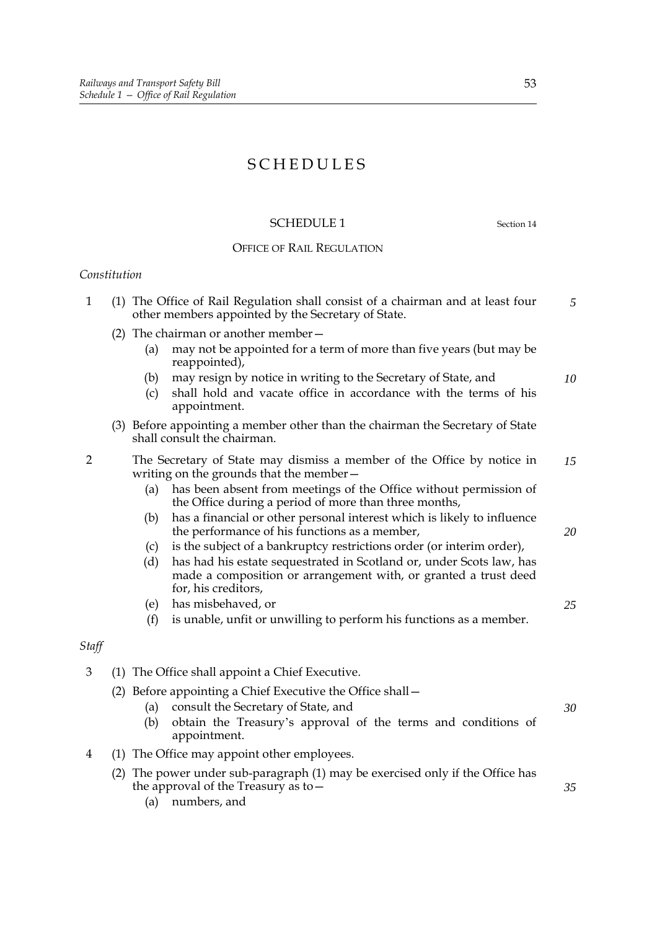# SCHEDULES

# SCHEDULE 1 Section 14

# OFFICE OF RAIL REGULATION

# *Constitution*

| $\mathbf{1}$ | (1) The Office of Rail Regulation shall consist of a chairman and at least four<br>other members appointed by the Secretary of State.                                                                                                                                                                     | 5  |
|--------------|-----------------------------------------------------------------------------------------------------------------------------------------------------------------------------------------------------------------------------------------------------------------------------------------------------------|----|
|              | (2) The chairman or another member $-$<br>may not be appointed for a term of more than five years (but may be<br>(a)<br>reappointed),<br>may resign by notice in writing to the Secretary of State, and<br>(b)<br>shall hold and vacate office in accordance with the terms of his<br>(c)<br>appointment. | 10 |
|              | (3) Before appointing a member other than the chairman the Secretary of State<br>shall consult the chairman.                                                                                                                                                                                              |    |
| 2            | The Secretary of State may dismiss a member of the Office by notice in<br>writing on the grounds that the member-<br>has been absent from meetings of the Office without permission of<br>(a)<br>the Office during a period of more than three months,                                                    | 15 |
|              | has a financial or other personal interest which is likely to influence<br>(b)<br>the performance of his functions as a member,<br>is the subject of a bankruptcy restrictions order (or interim order),<br>(c)                                                                                           | 20 |
|              | has had his estate sequestrated in Scotland or, under Scots law, has<br>(d)<br>made a composition or arrangement with, or granted a trust deed<br>for, his creditors,<br>has misbehaved, or                                                                                                               |    |
|              | (e)<br>is unable, unfit or unwilling to perform his functions as a member.<br>(f)                                                                                                                                                                                                                         | 25 |
| Staff        |                                                                                                                                                                                                                                                                                                           |    |
| 3            | (1) The Office shall appoint a Chief Executive.                                                                                                                                                                                                                                                           |    |
|              | (2) Before appointing a Chief Executive the Office shall –<br>consult the Secretary of State, and<br>(a)<br>obtain the Treasury's approval of the terms and conditions of<br>(b)<br>appointment.                                                                                                          | 30 |
| 4            | (1) The Office may appoint other employees.                                                                                                                                                                                                                                                               |    |
|              | (2) The power under sub-paragraph (1) may be exercised only if the Office has<br>the approval of the Treasury as to -                                                                                                                                                                                     | 35 |
|              | numbers, and<br>(a)                                                                                                                                                                                                                                                                                       |    |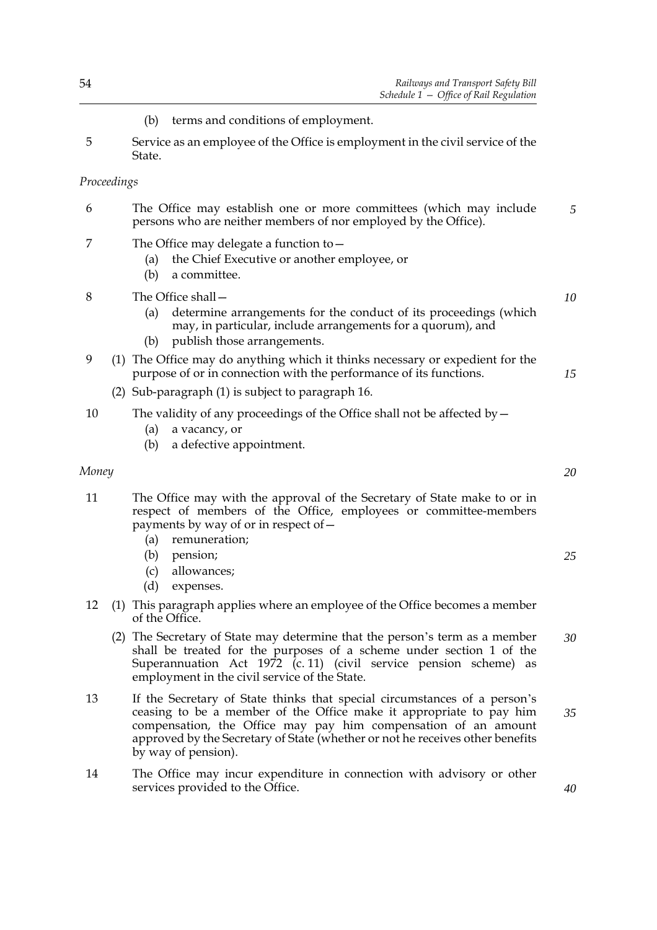| 54          | Railways and Transport Safety Bill<br>Schedule 1 - Office of Rail Regulation                                                                                                                                                                                                                                               |    |
|-------------|----------------------------------------------------------------------------------------------------------------------------------------------------------------------------------------------------------------------------------------------------------------------------------------------------------------------------|----|
|             | (b)<br>terms and conditions of employment.                                                                                                                                                                                                                                                                                 |    |
| 5           | Service as an employee of the Office is employment in the civil service of the<br>State.                                                                                                                                                                                                                                   |    |
| Proceedings |                                                                                                                                                                                                                                                                                                                            |    |
| 6           | The Office may establish one or more committees (which may include<br>persons who are neither members of nor employed by the Office).                                                                                                                                                                                      | 5  |
| 7           | The Office may delegate a function to $-$<br>the Chief Executive or another employee, or<br>(a)<br>a committee.<br>(b)                                                                                                                                                                                                     |    |
| 8           | The Office shall -<br>determine arrangements for the conduct of its proceedings (which<br>(a)<br>may, in particular, include arrangements for a quorum), and<br>publish those arrangements.<br>(b)                                                                                                                         | 10 |
| 9           | (1) The Office may do anything which it thinks necessary or expedient for the<br>purpose of or in connection with the performance of its functions.                                                                                                                                                                        | 15 |
|             | (2) Sub-paragraph (1) is subject to paragraph 16.                                                                                                                                                                                                                                                                          |    |
| 10          | The validity of any proceedings of the Office shall not be affected by $-$<br>a vacancy, or<br>(a)<br>(b)<br>a defective appointment.                                                                                                                                                                                      |    |
| Money       |                                                                                                                                                                                                                                                                                                                            | 20 |
| 11          | The Office may with the approval of the Secretary of State make to or in<br>respect of members of the Office, employees or committee-members<br>payments by way of or in respect of –<br>remuneration;<br>(a)                                                                                                              |    |
|             | (b)<br>pension;<br>allowances;<br>(c)<br>(d)<br>expenses.                                                                                                                                                                                                                                                                  | 25 |
| 12          | (1) This paragraph applies where an employee of the Office becomes a member<br>of the Office.                                                                                                                                                                                                                              |    |
|             | (2) The Secretary of State may determine that the person's term as a member<br>shall be treated for the purposes of a scheme under section 1 of the<br>Superannuation Act 1972 (c. 11) (civil service pension scheme) as<br>employment in the civil service of the State.                                                  | 30 |
| 13          | If the Secretary of State thinks that special circumstances of a person's<br>ceasing to be a member of the Office make it appropriate to pay him<br>compensation, the Office may pay him compensation of an amount<br>approved by the Secretary of State (whether or not he receives other benefits<br>by way of pension). | 35 |
| 14          | The Office may incur expenditure in connection with advisory or other                                                                                                                                                                                                                                                      |    |

services provided to the Office.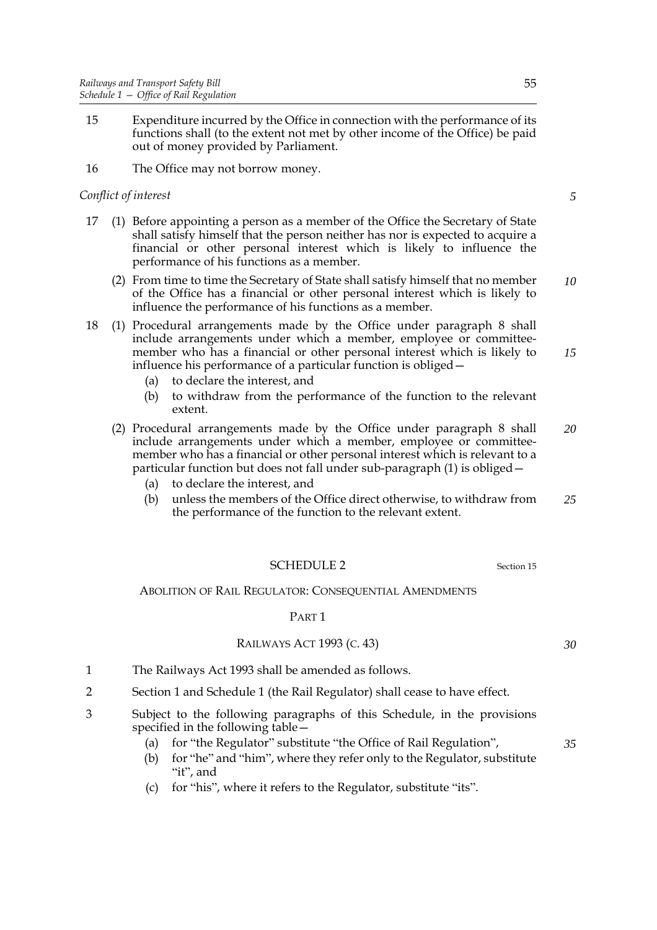- 15 Expenditure incurred by the Office in connection with the performance of its functions shall (to the extent not met by other income of the Office) be paid out of money provided by Parliament.
- 16 The Office may not borrow money.

### *Conflict of interest*

- 17 (1) Before appointing a person as a member of the Office the Secretary of State shall satisfy himself that the person neither has nor is expected to acquire a financial or other personal interest which is likely to influence the performance of his functions as a member.
	- (2) From time to time the Secretary of State shall satisfy himself that no member of the Office has a financial or other personal interest which is likely to influence the performance of his functions as a member. *10*
- 18 (1) Procedural arrangements made by the Office under paragraph 8 shall include arrangements under which a member, employee or committeemember who has a financial or other personal interest which is likely to influence his performance of a particular function is obliged—
	- (a) to declare the interest, and
	- (b) to withdraw from the performance of the function to the relevant extent.
	- (2) Procedural arrangements made by the Office under paragraph 8 shall include arrangements under which a member, employee or committeemember who has a financial or other personal interest which is relevant to a particular function but does not fall under sub-paragraph (1) is obliged— *20*
		- (a) to declare the interest, and
		- (b) unless the members of the Office direct otherwise, to withdraw from the performance of the function to the relevant extent. *25*

# SCHEDULE 2 Section 15

#### ABOLITION OF RAIL REGULATOR: CONSEQUENTIAL AMENDMENTS

#### PART 1

#### RAILWAYS ACT 1993 (C. 43)

- 1 The Railways Act 1993 shall be amended as follows.
- 2 Section 1 and Schedule 1 (the Rail Regulator) shall cease to have effect.
- 3 Subject to the following paragraphs of this Schedule, in the provisions specified in the following table—
	- (a) for "the Regulator" substitute "the Office of Rail Regulation",
	- (b) for "he" and "him", where they refer only to the Regulator, substitute "it", and
	- (c) for "his", where it refers to the Regulator, substitute "its".

*5*

*15*

*30*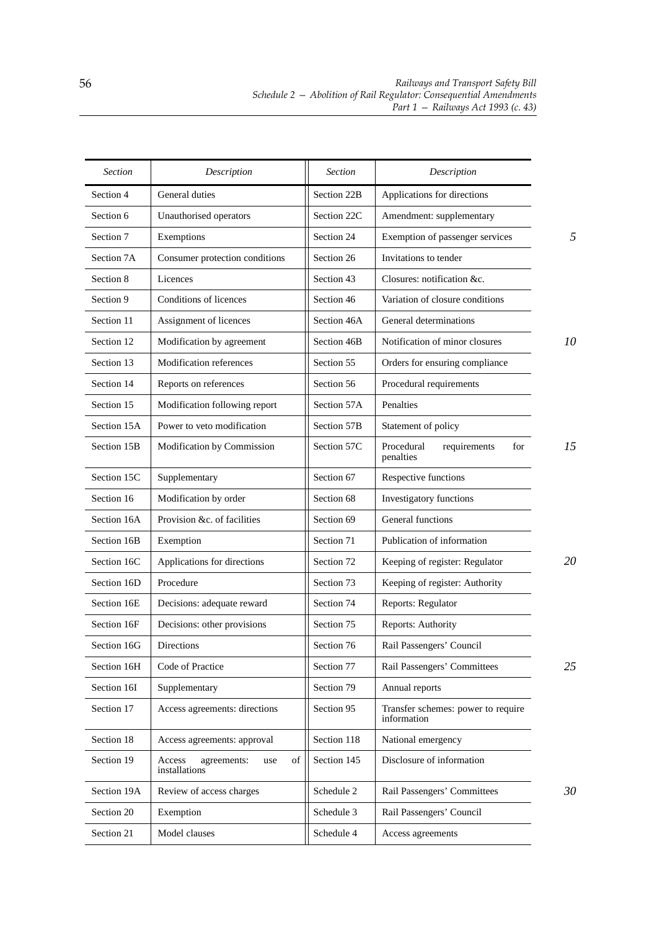| <b>Section</b> | Description                                         | Section     | Description                                          |
|----------------|-----------------------------------------------------|-------------|------------------------------------------------------|
| Section 4      | General duties                                      | Section 22B | Applications for directions                          |
| Section 6      | Unauthorised operators                              | Section 22C | Amendment: supplementary                             |
| Section 7      | Exemptions                                          | Section 24  | Exemption of passenger services<br>5                 |
| Section 7A     | Consumer protection conditions                      | Section 26  | Invitations to tender                                |
| Section 8      | Licences                                            | Section 43  | Closures: notification &c.                           |
| Section 9      | Conditions of licences                              | Section 46  | Variation of closure conditions                      |
| Section 11     | Assignment of licences                              | Section 46A | General determinations                               |
| Section 12     | Modification by agreement                           | Section 46B | 10<br>Notification of minor closures                 |
| Section 13     | <b>Modification references</b>                      | Section 55  | Orders for ensuring compliance                       |
| Section 14     | Reports on references                               | Section 56  | Procedural requirements                              |
| Section 15     | Modification following report                       | Section 57A | Penalties                                            |
| Section 15A    | Power to veto modification                          | Section 57B | Statement of policy                                  |
| Section 15B    | Modification by Commission                          | Section 57C | 15<br>Procedural<br>requirements<br>for<br>penalties |
| Section 15C    | Supplementary                                       | Section 67  | Respective functions                                 |
| Section 16     | Modification by order                               | Section 68  | Investigatory functions                              |
| Section 16A    | Provision &c. of facilities                         | Section 69  | General functions                                    |
| Section 16B    | Exemption                                           | Section 71  | Publication of information                           |
| Section 16C    | Applications for directions                         | Section 72  | 20<br>Keeping of register: Regulator                 |
| Section 16D    | Procedure                                           | Section 73  | Keeping of register: Authority                       |
| Section 16E    | Decisions: adequate reward                          | Section 74  | Reports: Regulator                                   |
| Section 16F    | Decisions: other provisions                         | Section 75  | Reports: Authority                                   |
| Section 16G    | <b>Directions</b>                                   | Section 76  | Rail Passengers' Council                             |
| Section 16H    | Code of Practice                                    | Section 77  | 25<br>Rail Passengers' Committees                    |
| Section 16I    | Supplementary                                       | Section 79  | Annual reports                                       |
| Section 17     | Access agreements: directions                       | Section 95  | Transfer schemes: power to require<br>information    |
| Section 18     | Access agreements: approval                         | Section 118 | National emergency                                   |
| Section 19     | of<br>Access<br>agreements:<br>use<br>installations | Section 145 | Disclosure of information                            |
| Section 19A    | Review of access charges                            | Schedule 2  | 30<br>Rail Passengers' Committees                    |
| Section 20     | Exemption                                           | Schedule 3  | Rail Passengers' Council                             |
| Section 21     | Model clauses                                       | Schedule 4  | Access agreements                                    |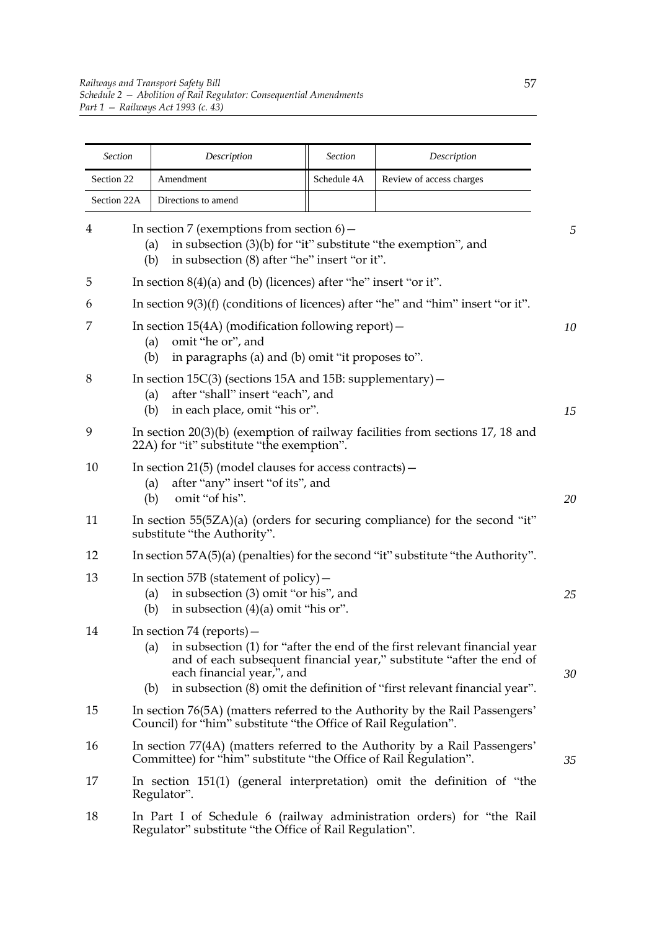| <b>Section</b> |                                                                                                                                                | Description                                                                                                                                                                    | <b>Section</b> | Description                                                                                                                                                                                                                    |
|----------------|------------------------------------------------------------------------------------------------------------------------------------------------|--------------------------------------------------------------------------------------------------------------------------------------------------------------------------------|----------------|--------------------------------------------------------------------------------------------------------------------------------------------------------------------------------------------------------------------------------|
| Section 22     |                                                                                                                                                | Amendment                                                                                                                                                                      | Schedule 4A    | Review of access charges                                                                                                                                                                                                       |
| Section 22A    |                                                                                                                                                | Directions to amend                                                                                                                                                            |                |                                                                                                                                                                                                                                |
| 4              |                                                                                                                                                | In section 7 (exemptions from section $6$ ) –<br>in subsection $(3)(b)$ for "it" substitute "the exemption", and<br>(a)<br>in subsection (8) after "he" insert "or it".<br>(b) |                |                                                                                                                                                                                                                                |
| 5              |                                                                                                                                                | In section $8(4)(a)$ and (b) (licences) after "he" insert "or it".                                                                                                             |                |                                                                                                                                                                                                                                |
| 6              |                                                                                                                                                |                                                                                                                                                                                |                | In section $9(3)(f)$ (conditions of licences) after "he" and "him" insert "or it".                                                                                                                                             |
| 7              |                                                                                                                                                | In section $15(4A)$ (modification following report) –<br>omit "he or", and<br>(a)<br>in paragraphs (a) and (b) omit "it proposes to".<br>(b)                                   |                |                                                                                                                                                                                                                                |
| 8              |                                                                                                                                                | In section $15C(3)$ (sections 15A and 15B: supplementary) –<br>after "shall" insert "each", and<br>(a)<br>in each place, omit "his or".<br>(b)                                 |                |                                                                                                                                                                                                                                |
| 9              |                                                                                                                                                | 22A) for "it" substitute "the exemption".                                                                                                                                      |                | In section $20(3)(b)$ (exemption of railway facilities from sections 17, 18 and                                                                                                                                                |
| 10             |                                                                                                                                                | In section $21(5)$ (model clauses for access contracts) –<br>after "any" insert "of its", and<br>(a)<br>omit "of his".<br>(b)                                                  |                |                                                                                                                                                                                                                                |
| 11             | In section $55(5ZA)(a)$ (orders for securing compliance) for the second "it"<br>substitute "the Authority".                                    |                                                                                                                                                                                |                |                                                                                                                                                                                                                                |
| 12             |                                                                                                                                                |                                                                                                                                                                                |                | In section $57A(5)(a)$ (penalties) for the second "it" substitute "the Authority".                                                                                                                                             |
| 13             | In section 57B (statement of policy) $-$<br>in subsection (3) omit "or his", and<br>(a)<br>in subsection $(4)(a)$ omit "his or".<br>(b)        |                                                                                                                                                                                |                |                                                                                                                                                                                                                                |
| 14             |                                                                                                                                                | In section 74 (reports) $-$<br>(a)<br>each financial year,", and<br>(b)                                                                                                        |                | in subsection (1) for "after the end of the first relevant financial year<br>and of each subsequent financial year," substitute "after the end of<br>in subsection (8) omit the definition of "first relevant financial year". |
| 15             | In section 76(5A) (matters referred to the Authority by the Rail Passengers'<br>Council) for "him" substitute "the Office of Rail Regulation". |                                                                                                                                                                                |                |                                                                                                                                                                                                                                |
| 16             |                                                                                                                                                | Committee) for "him" substitute "the Office of Rail Regulation".                                                                                                               |                | In section 77(4A) (matters referred to the Authority by a Rail Passengers'                                                                                                                                                     |
| 17             |                                                                                                                                                | Regulator".                                                                                                                                                                    |                | In section 151(1) (general interpretation) omit the definition of "the                                                                                                                                                         |
| 18             |                                                                                                                                                | Regulator" substitute "the Office of Rail Regulation".                                                                                                                         |                | In Part I of Schedule 6 (railway administration orders) for "the Rail                                                                                                                                                          |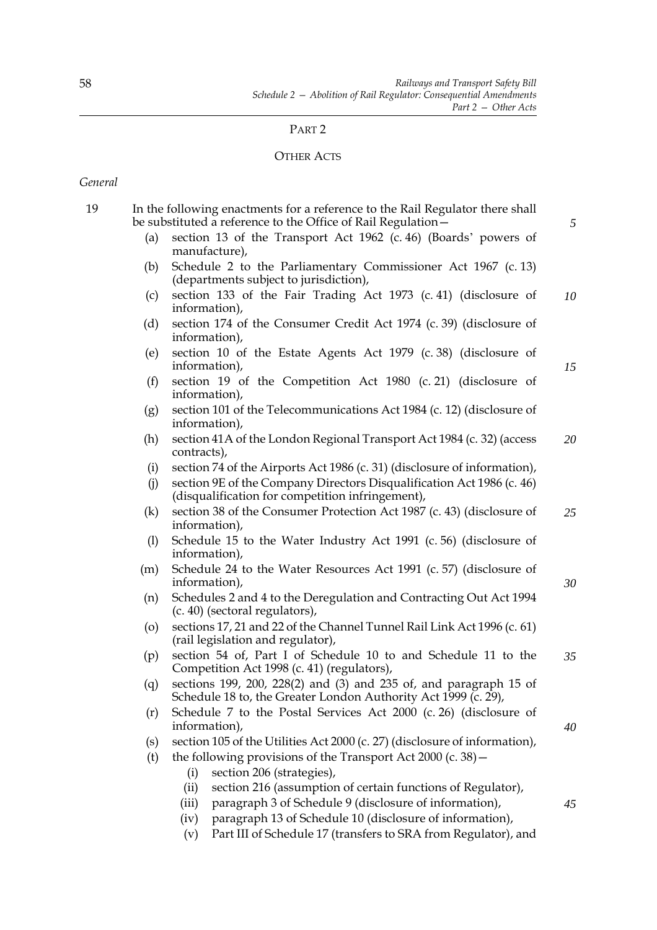*5*

# PART 2

# OTHER ACTS

19 In the following enactments for a reference to the Rail Regulator there shall

be substituted a reference to the Office of Rail Regulation—

# *General*

| (a)     | section 13 of the Transport Act 1962 (c. 46) (Boards' powers of<br>manufacture),                                                    |    |
|---------|-------------------------------------------------------------------------------------------------------------------------------------|----|
| (b)     | Schedule 2 to the Parliamentary Commissioner Act 1967 (c. 13)<br>(departments subject to jurisdiction),                             |    |
| (c)     | section 133 of the Fair Trading Act 1973 (c. 41) (disclosure of<br>information),                                                    | 10 |
| (d)     | section 174 of the Consumer Credit Act 1974 (c. 39) (disclosure of<br>information),                                                 |    |
| (e)     | section 10 of the Estate Agents Act 1979 (c. 38) (disclosure of<br>information),                                                    | 15 |
| (f)     | section 19 of the Competition Act 1980 (c. 21) (disclosure of<br>information),                                                      |    |
| (g)     | section 101 of the Telecommunications Act 1984 (c. 12) (disclosure of<br>information),                                              |    |
| (h)     | section 41A of the London Regional Transport Act 1984 (c. 32) (access<br>contracts),                                                | 20 |
| (i)     | section 74 of the Airports Act 1986 (c. 31) (disclosure of information),                                                            |    |
| (i)     | section 9E of the Company Directors Disqualification Act 1986 (c. 46)<br>(disqualification for competition infringement),           |    |
| (k)     | section 38 of the Consumer Protection Act 1987 (c. 43) (disclosure of<br>information),                                              | 25 |
| (1)     | Schedule 15 to the Water Industry Act 1991 (c. 56) (disclosure of<br>information),                                                  |    |
| (m)     | Schedule 24 to the Water Resources Act 1991 (c. 57) (disclosure of<br>information),                                                 | 30 |
| (n)     | Schedules 2 and 4 to the Deregulation and Contracting Out Act 1994<br>(c. 40) (sectoral regulators),                                |    |
| $\circ$ | sections 17, 21 and 22 of the Channel Tunnel Rail Link Act 1996 (c. 61)<br>(rail legislation and regulator),                        |    |
| (p)     | section 54 of, Part I of Schedule 10 to and Schedule 11 to the<br>Competition Act 1998 (c. 41) (regulators),                        | 35 |
| (q)     | sections 199, 200, 228(2) and (3) and 235 of, and paragraph 15 of<br>Schedule 18 to, the Greater London Authority Act 1999 (c. 29), |    |
| (r)     | Schedule 7 to the Postal Services Act 2000 (c. 26) (disclosure of<br>information),                                                  | 40 |
| (s)     | section 105 of the Utilities Act 2000 (c. 27) (disclosure of information),                                                          |    |
| (t)     | the following provisions of the Transport Act $2000$ (c. 38) $-$                                                                    |    |
|         | (i)<br>section 206 (strategies),                                                                                                    |    |
|         | section 216 (assumption of certain functions of Regulator),<br>(ii)                                                                 |    |
|         | paragraph 3 of Schedule 9 (disclosure of information),<br>(iii)                                                                     | 45 |
|         | paragraph 13 of Schedule 10 (disclosure of information),<br>(iv)                                                                    |    |
|         | Part III of Schedule 17 (transfers to SRA from Regulator), and<br>(v)                                                               |    |
|         |                                                                                                                                     |    |
|         |                                                                                                                                     |    |
|         |                                                                                                                                     |    |
|         |                                                                                                                                     |    |
|         |                                                                                                                                     |    |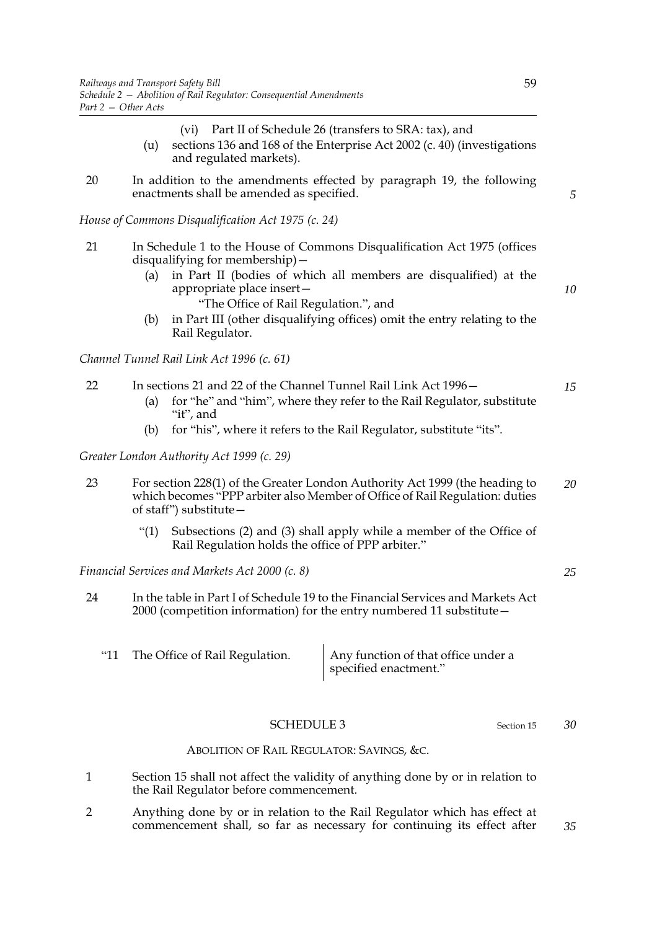# (vi) Part II of Schedule 26 (transfers to SRA: tax), and

- (u) sections 136 and 168 of the Enterprise Act 2002 (c. 40) (investigations and regulated markets).
- 20 In addition to the amendments effected by paragraph 19, the following enactments shall be amended as specified.

*House of Commons Disqualification Act 1975 (c. 24)*

- 21 In Schedule 1 to the House of Commons Disqualification Act 1975 (offices disqualifying for membership)—
	- (a) in Part II (bodies of which all members are disqualified) at the appropriate place insert—
		- "The Office of Rail Regulation.", and
	- (b) in Part III (other disqualifying offices) omit the entry relating to the Rail Regulator.

*Channel Tunnel Rail Link Act 1996 (c. 61)*

- 22 In sections 21 and 22 of the Channel Tunnel Rail Link Act 1996—
	- (a) for "he" and "him", where they refer to the Rail Regulator, substitute "it", and
	- (b) for "his", where it refers to the Rail Regulator, substitute "its".

*Greater London Authority Act 1999 (c. 29)*

- 23 For section 228(1) of the Greater London Authority Act 1999 (the heading to which becomes "PPP arbiter also Member of Office of Rail Regulation: duties of staff") substitute— *20*
	- "(1) Subsections (2) and (3) shall apply while a member of the Office of Rail Regulation holds the office of PPP arbiter."

*Financial Services and Markets Act 2000 (c. 8)*

24 In the table in Part I of Schedule 19 to the Financial Services and Markets Act 2000 (competition information) for the entry numbered 11 substitute—

"11 The Office of Rail Regulation. | Any function of that office under a

specified enactment."

#### SCHEDULE 3 Section 15

*30*

#### ABOLITION OF RAIL REGULATOR: SAVINGS, &C.

- 1 Section 15 shall not affect the validity of anything done by or in relation to the Rail Regulator before commencement.
- 2 Anything done by or in relation to the Rail Regulator which has effect at commencement shall, so far as necessary for continuing its effect after *35*

*5*

*10*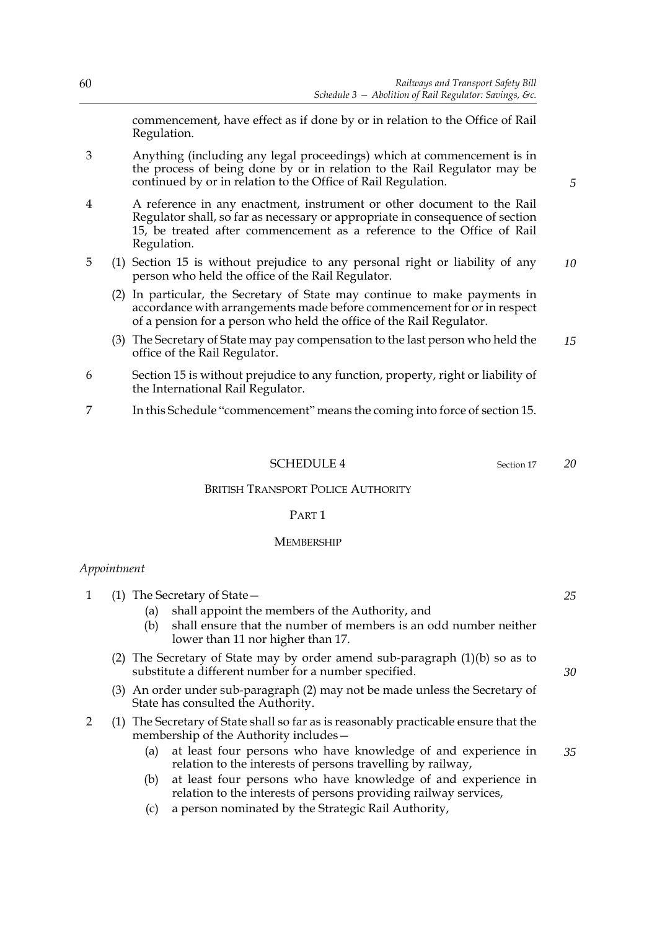commencement, have effect as if done by or in relation to the Office of Rail Regulation.

- 3 Anything (including any legal proceedings) which at commencement is in the process of being done by or in relation to the Rail Regulator may be continued by or in relation to the Office of Rail Regulation.
- 4 A reference in any enactment, instrument or other document to the Rail Regulator shall, so far as necessary or appropriate in consequence of section 15, be treated after commencement as a reference to the Office of Rail Regulation.
- 5 (1) Section 15 is without prejudice to any personal right or liability of any person who held the office of the Rail Regulator. *10*
	- (2) In particular, the Secretary of State may continue to make payments in accordance with arrangements made before commencement for or in respect of a pension for a person who held the office of the Rail Regulator.
	- (3) The Secretary of State may pay compensation to the last person who held the office of the Rail Regulator. *15*
- 6 Section 15 is without prejudice to any function, property, right or liability of the International Rail Regulator.
- 7 In this Schedule "commencement" means the coming into force of section 15.

#### SCHEDULE 4 Section 17

#### BRITISH TRANSPORT POLICE AUTHORITY

#### PART 1

#### **MEMBERSHIP**

### *Appointment*

- 1 (1) The Secretary of State— (a) shall appoint the members of the Authority, and (b) shall ensure that the number of members is an odd number neither lower than 11 nor higher than 17. (2) The Secretary of State may by order amend sub-paragraph (1)(b) so as to substitute a different number for a number specified. (3) An order under sub-paragraph (2) may not be made unless the Secretary of State has consulted the Authority. 2 (1) The Secretary of State shall so far as is reasonably practicable ensure that the membership of the Authority includes— (a) at least four persons who have knowledge of and experience in relation to the interests of persons travelling by railway, (b) at least four persons who have knowledge of and experience in relation to the interests of persons providing railway services, (c) a person nominated by the Strategic Rail Authority, *30 35*
	-

*5*

*25*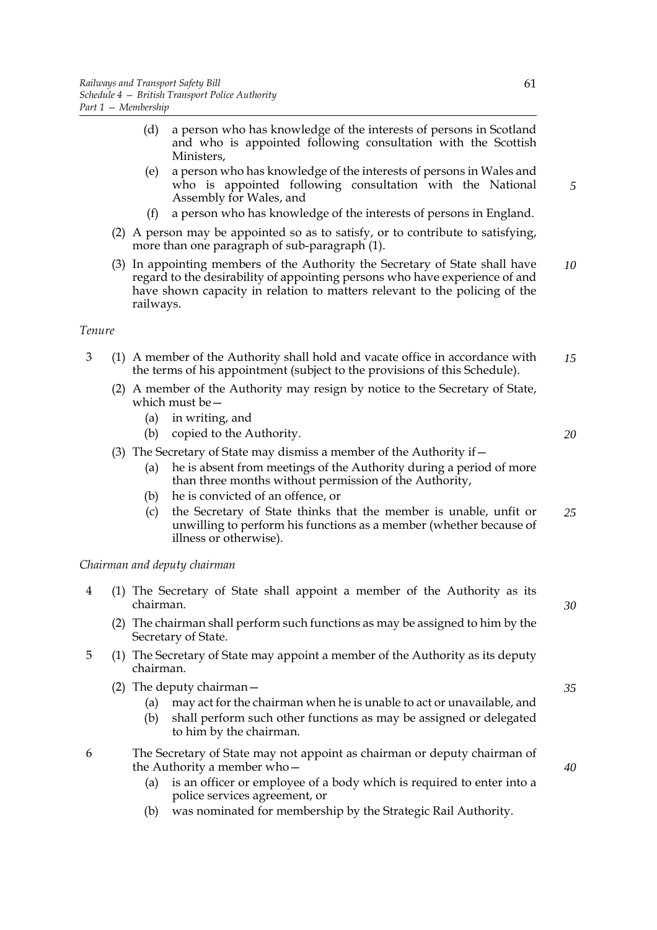- (d) a person who has knowledge of the interests of persons in Scotland and who is appointed following consultation with the Scottish Ministers,
- (e) a person who has knowledge of the interests of persons in Wales and who is appointed following consultation with the National Assembly for Wales, and
- (f) a person who has knowledge of the interests of persons in England.
- (2) A person may be appointed so as to satisfy, or to contribute to satisfying, more than one paragraph of sub-paragraph (1).
- (3) In appointing members of the Authority the Secretary of State shall have regard to the desirability of appointing persons who have experience of and have shown capacity in relation to matters relevant to the policing of the railways. *10*

#### *Tenure*

- 3 (1) A member of the Authority shall hold and vacate office in accordance with the terms of his appointment (subject to the provisions of this Schedule). *15*
	- (2) A member of the Authority may resign by notice to the Secretary of State, which must be—
		- (a) in writing, and
		- (b) copied to the Authority.
	- (3) The Secretary of State may dismiss a member of the Authority if—
		- (a) he is absent from meetings of the Authority during a period of more than three months without permission of the Authority,
		- (b) he is convicted of an offence, or
		- (c) the Secretary of State thinks that the member is unable, unfit or unwilling to perform his functions as a member (whether because of illness or otherwise). *25*

#### *Chairman and deputy chairman*

- 4 (1) The Secretary of State shall appoint a member of the Authority as its chairman.
	- (2) The chairman shall perform such functions as may be assigned to him by the Secretary of State.
- 5 (1) The Secretary of State may appoint a member of the Authority as its deputy chairman.
	- (2) The deputy chairman—
		- (a) may act for the chairman when he is unable to act or unavailable, and
		- (b) shall perform such other functions as may be assigned or delegated to him by the chairman.
- 6 The Secretary of State may not appoint as chairman or deputy chairman of the Authority a member who—
	- (a) is an officer or employee of a body which is required to enter into a police services agreement, or
	- (b) was nominated for membership by the Strategic Rail Authority.

*5*

*35*

*30*

*20*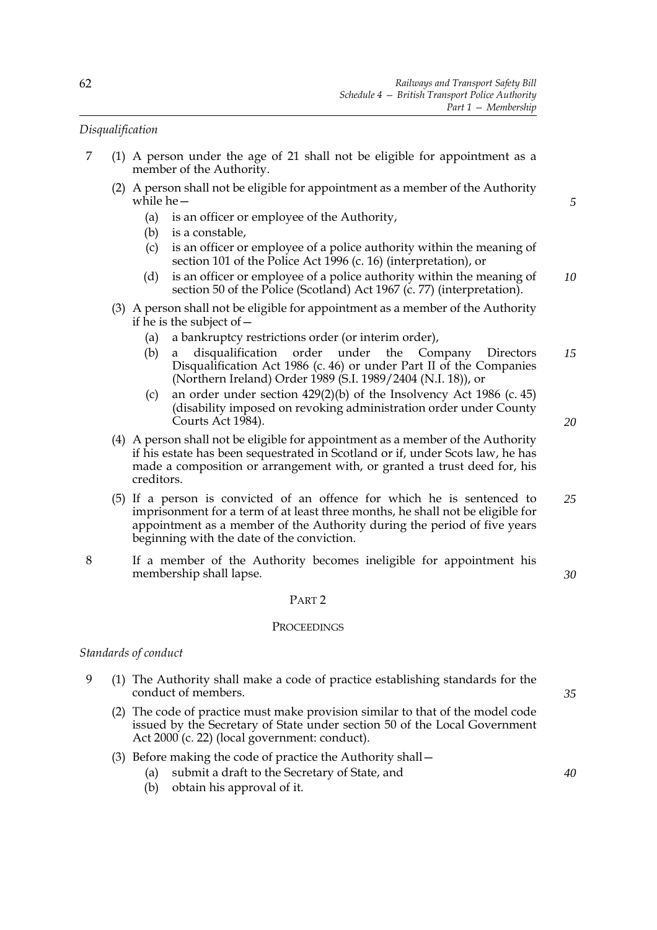# *Disqualification*

- 7 (1) A person under the age of 21 shall not be eligible for appointment as a member of the Authority.
	- (2) A person shall not be eligible for appointment as a member of the Authority while he—
		- (a) is an officer or employee of the Authority,
		- (b) is a constable,
		- (c) is an officer or employee of a police authority within the meaning of section 101 of the Police Act 1996 (c. 16) (interpretation), or
		- (d) is an officer or employee of a police authority within the meaning of section 50 of the Police (Scotland) Act 1967 (c. 77) (interpretation). *10*
	- (3) A person shall not be eligible for appointment as a member of the Authority if he is the subject of  $-$ 
		- (a) a bankruptcy restrictions order (or interim order),
		- (b) a disqualification order under the Company Directors Disqualification Act 1986 (c. 46) or under Part II of the Companies (Northern Ireland) Order 1989 (S.I. 1989/2404 (N.I. 18)), or *15*
		- (c) an order under section 429(2)(b) of the Insolvency Act 1986 (c. 45) (disability imposed on revoking administration order under County Courts Act 1984).
	- (4) A person shall not be eligible for appointment as a member of the Authority if his estate has been sequestrated in Scotland or if, under Scots law, he has made a composition or arrangement with, or granted a trust deed for, his creditors.
	- (5) If a person is convicted of an offence for which he is sentenced to imprisonment for a term of at least three months, he shall not be eligible for appointment as a member of the Authority during the period of five years beginning with the date of the conviction. *25*
- 8 If a member of the Authority becomes ineligible for appointment his membership shall lapse.

# PART 2

#### **PROCEEDINGS**

#### *Standards of conduct*

- 9 (1) The Authority shall make a code of practice establishing standards for the conduct of members.
	- (2) The code of practice must make provision similar to that of the model code issued by the Secretary of State under section 50 of the Local Government Act 2000 (c. 22) (local government: conduct).
	- (3) Before making the code of practice the Authority shall—
		- (a) submit a draft to the Secretary of State, and
		- (b) obtain his approval of it.

*35*

*30*

*5*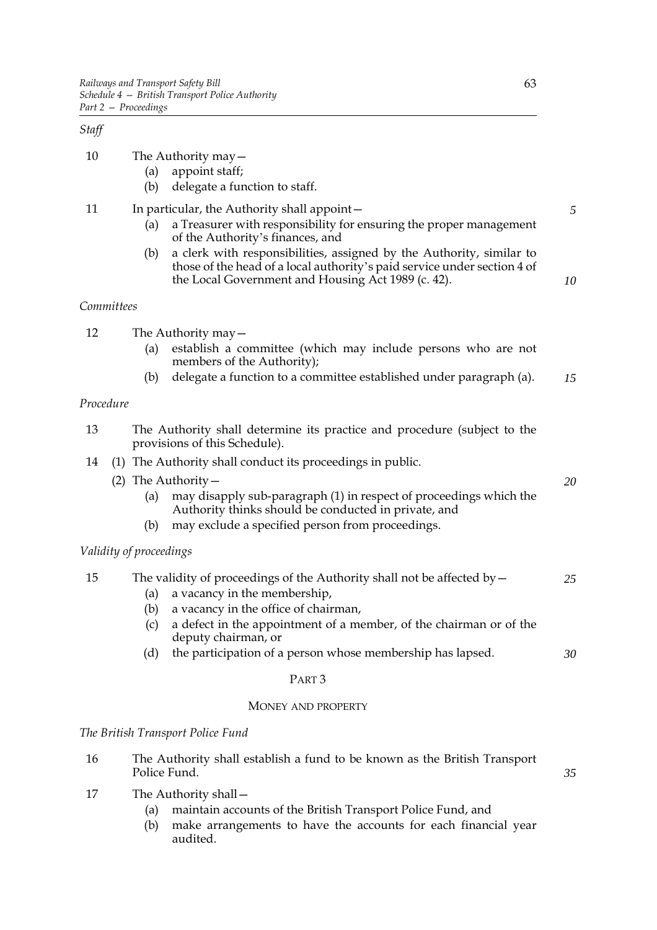#### *Staff*

10 The Authority may—

- (a) appoint staff;
- (b) delegate a function to staff.
- 11 In particular, the Authority shall appoint -
	- (a) a Treasurer with responsibility for ensuring the proper management of the Authority's finances, and
	- (b) a clerk with responsibilities, assigned by the Authority, similar to those of the head of a local authority's paid service under section 4 of the Local Government and Housing Act 1989 (c. 42).

#### *Committees*

12 The Authority may—

- (a) establish a committee (which may include persons who are not members of the Authority);
- (b) delegate a function to a committee established under paragraph (a). *15*

### *Procedure*

- 13 The Authority shall determine its practice and procedure (subject to the provisions of this Schedule).
- 14 (1) The Authority shall conduct its proceedings in public.
	- (2) The Authority—
		- (a) may disapply sub-paragraph (1) in respect of proceedings which the Authority thinks should be conducted in private, and
		- (b) may exclude a specified person from proceedings.

# *Validity of proceedings*

| 15 | The validity of proceedings of the Authority shall not be affected by $-$ |  |
|----|---------------------------------------------------------------------------|--|
|    | (a) a vacancy in the membership,                                          |  |
|    | (b) a vacancy in the office of chairman,                                  |  |

- (c) a defect in the appointment of a member, of the chairman or of the deputy chairman, or
- (d) the participation of a person whose membership has lapsed. *30*

# PART 3

#### MONEY AND PROPERTY

# *The British Transport Police Fund*

- 16 The Authority shall establish a fund to be known as the British Transport Police Fund. *35*
- 17 The Authority shall—
	- (a) maintain accounts of the British Transport Police Fund, and
	- (b) make arrangements to have the accounts for each financial year audited.

*5*

*10*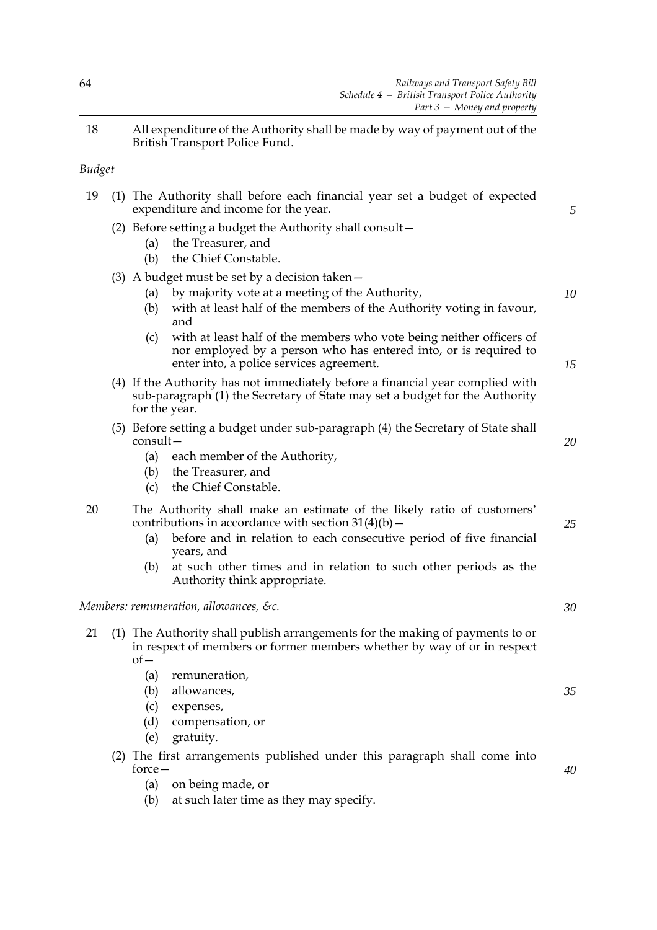18 All expenditure of the Authority shall be made by way of payment out of the British Transport Police Fund.

*Budget*

| expenditure and income for the year.                                                                                                                                                                                        | 5                                                                                                                                                                                                                                                                                                                                                               |
|-----------------------------------------------------------------------------------------------------------------------------------------------------------------------------------------------------------------------------|-----------------------------------------------------------------------------------------------------------------------------------------------------------------------------------------------------------------------------------------------------------------------------------------------------------------------------------------------------------------|
| the Treasurer, and<br>(a)<br>the Chief Constable.<br>(b)                                                                                                                                                                    |                                                                                                                                                                                                                                                                                                                                                                 |
| by majority vote at a meeting of the Authority,<br>(a)<br>with at least half of the members of the Authority voting in favour,<br>(b)<br>and                                                                                | 10                                                                                                                                                                                                                                                                                                                                                              |
| with at least half of the members who vote being neither officers of<br>(c)<br>nor employed by a person who has entered into, or is required to<br>enter into, a police services agreement.                                 | 15                                                                                                                                                                                                                                                                                                                                                              |
| sub-paragraph (1) the Secretary of State may set a budget for the Authority<br>for the year.                                                                                                                                |                                                                                                                                                                                                                                                                                                                                                                 |
| consult-<br>each member of the Authority,<br>(a)<br>the Treasurer, and<br>(b)<br>the Chief Constable.<br>(c)                                                                                                                | 20                                                                                                                                                                                                                                                                                                                                                              |
| The Authority shall make an estimate of the likely ratio of customers'<br>contributions in accordance with section $31(4)(b)$ –<br>before and in relation to each consecutive period of five financial<br>(a)<br>years, and | 25                                                                                                                                                                                                                                                                                                                                                              |
|                                                                                                                                                                                                                             | (1) The Authority shall before each financial year set a budget of expected<br>(2) Before setting a budget the Authority shall consult-<br>(3) A budget must be set by a decision taken -<br>(4) If the Authority has not immediately before a financial year complied with<br>(5) Before setting a budget under sub-paragraph (4) the Secretary of State shall |

(b) at such other times and in relation to such other periods as the Authority think appropriate.

*Members: remuneration, allowances, &c.*

- 21 (1) The Authority shall publish arrangements for the making of payments to or in respect of members or former members whether by way of or in respect  $of-$ 
	- (a) remuneration,
	- (b) allowances,
	- (c) expenses,
	- (d) compensation, or
	- (e) gratuity.
	- (2) The first arrangements published under this paragraph shall come into force—
		- (a) on being made, or
		- (b) at such later time as they may specify.

*35*

*30*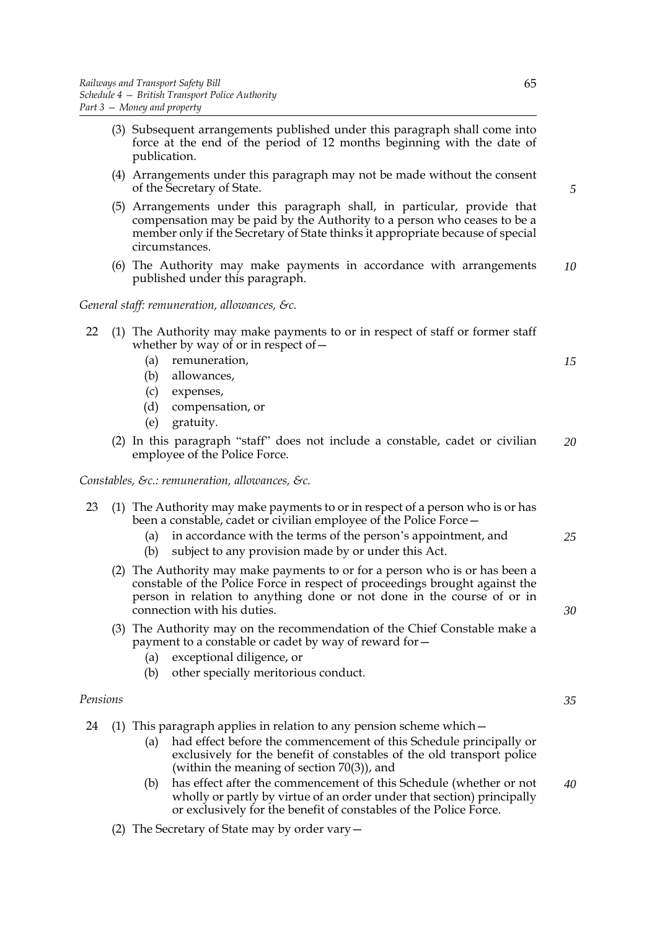- (3) Subsequent arrangements published under this paragraph shall come into force at the end of the period of 12 months beginning with the date of publication.
- (4) Arrangements under this paragraph may not be made without the consent of the Secretary of State.
- (5) Arrangements under this paragraph shall, in particular, provide that compensation may be paid by the Authority to a person who ceases to be a member only if the Secretary of State thinks it appropriate because of special circumstances.
- (6) The Authority may make payments in accordance with arrangements published under this paragraph. *10*

*General staff: remuneration, allowances, &c.*

- 22 (1) The Authority may make payments to or in respect of staff or former staff whether by way of or in respect of  $-$ 
	- (a) remuneration,
	- (b) allowances,
	- (c) expenses,
	- (d) compensation, or
	- (e) gratuity.
	- (2) In this paragraph "staff" does not include a constable, cadet or civilian employee of the Police Force. *20*

*Constables, &c.: remuneration, allowances, &c.*

- 23 (1) The Authority may make payments to or in respect of a person who is or has been a constable, cadet or civilian employee of the Police Force—
	- (a) in accordance with the terms of the person's appointment, and *25*
	- (b) subject to any provision made by or under this Act.
	- (2) The Authority may make payments to or for a person who is or has been a constable of the Police Force in respect of proceedings brought against the person in relation to anything done or not done in the course of or in connection with his duties.
	- (3) The Authority may on the recommendation of the Chief Constable make a payment to a constable or cadet by way of reward for—
		- (a) exceptional diligence, or
		- (b) other specially meritorious conduct.

#### *Pensions*

- 24 (1) This paragraph applies in relation to any pension scheme which—
	- (a) had effect before the commencement of this Schedule principally or exclusively for the benefit of constables of the old transport police (within the meaning of section 70(3)), and
	- (b) has effect after the commencement of this Schedule (whether or not wholly or partly by virtue of an order under that section) principally or exclusively for the benefit of constables of the Police Force. *40*
	- (2) The Secretary of State may by order vary—

*5*

*15*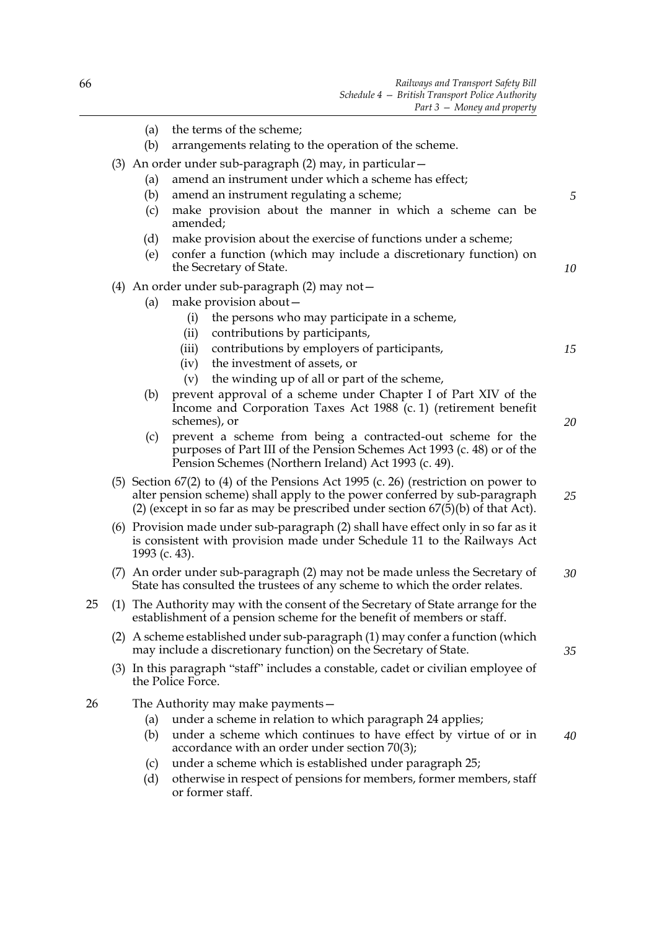(a) the terms of the scheme;

|  | (b)<br>arrangements relating to the operation of the scheme. |  |
|--|--------------------------------------------------------------|--|
|  |                                                              |  |

- (3) An order under sub-paragraph (2) may, in particular—
	- (a) amend an instrument under which a scheme has effect;
	- (b) amend an instrument regulating a scheme;
	- (c) make provision about the manner in which a scheme can be amended;
	- (d) make provision about the exercise of functions under a scheme;
	- (e) confer a function (which may include a discretionary function) on the Secretary of State.
- (4) An order under sub-paragraph (2) may not—
	- (a) make provision about—
		- (i) the persons who may participate in a scheme,
		- (ii) contributions by participants,
		- (iii) contributions by employers of participants,
		- (iv) the investment of assets, or
		- (v) the winding up of all or part of the scheme,
	- (b) prevent approval of a scheme under Chapter I of Part XIV of the Income and Corporation Taxes Act 1988 (c. 1) (retirement benefit schemes), or
	- (c) prevent a scheme from being a contracted-out scheme for the purposes of Part III of the Pension Schemes Act 1993 (c. 48) or of the Pension Schemes (Northern Ireland) Act 1993 (c. 49).
- (5) Section 67(2) to (4) of the Pensions Act 1995 (c. 26) (restriction on power to alter pension scheme) shall apply to the power conferred by sub-paragraph (2) (except in so far as may be prescribed under section 67(5)(b) of that Act). *25*
- (6) Provision made under sub-paragraph (2) shall have effect only in so far as it is consistent with provision made under Schedule 11 to the Railways Act 1993 (c. 43).
- (7) An order under sub-paragraph (2) may not be made unless the Secretary of State has consulted the trustees of any scheme to which the order relates. *30*
- 25 (1) The Authority may with the consent of the Secretary of State arrange for the establishment of a pension scheme for the benefit of members or staff.
	- (2) A scheme established under sub-paragraph (1) may confer a function (which may include a discretionary function) on the Secretary of State.
	- (3) In this paragraph "staff" includes a constable, cadet or civilian employee of the Police Force.
- 26 The Authority may make payments—
	- (a) under a scheme in relation to which paragraph 24 applies;
	- (b) under a scheme which continues to have effect by virtue of or in accordance with an order under section 70(3); *40*
	- (c) under a scheme which is established under paragraph 25;
	- (d) otherwise in respect of pensions for members, former members, staff or former staff.

*35*

*5*

*10*

*15*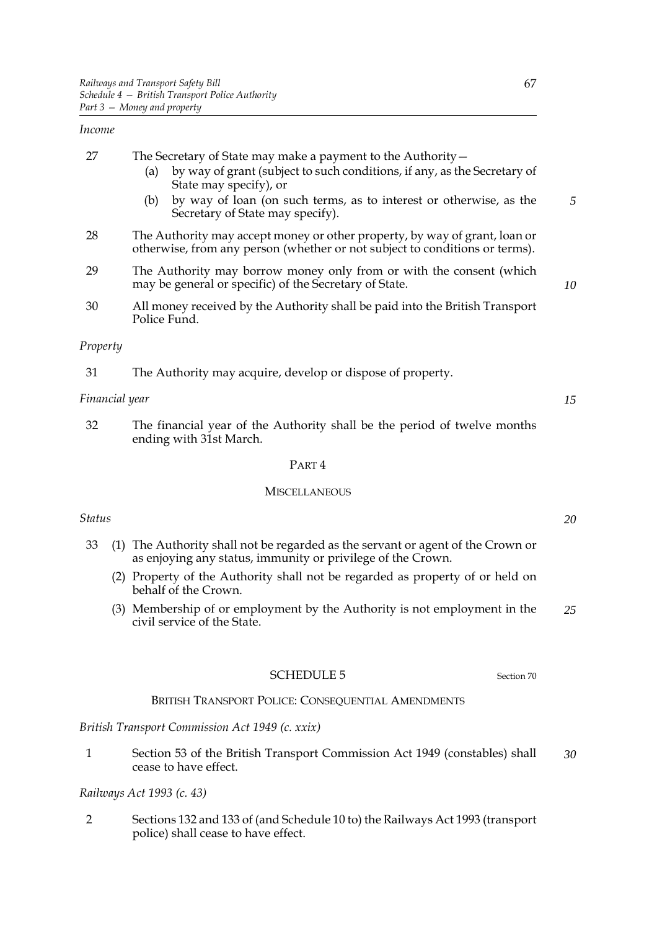#### *Income*

- 27 The Secretary of State may make a payment to the Authority—
	- (a) by way of grant (subject to such conditions, if any, as the Secretary of State may specify), or
	- (b) by way of loan (on such terms, as to interest or otherwise, as the Secretary of State may specify).
- 28 The Authority may accept money or other property, by way of grant, loan or otherwise, from any person (whether or not subject to conditions or terms).
- 29 The Authority may borrow money only from or with the consent (which may be general or specific) of the Secretary of State.
- 30 All money received by the Authority shall be paid into the British Transport Police Fund.

#### *Property*

31 The Authority may acquire, develop or dispose of property.

#### *Financial year*

32 The financial year of the Authority shall be the period of twelve months ending with 31st March.

# PART 4

#### **MISCELLANEOUS**

## *Status*

- 33 (1) The Authority shall not be regarded as the servant or agent of the Crown or as enjoying any status, immunity or privilege of the Crown.
	- (2) Property of the Authority shall not be regarded as property of or held on behalf of the Crown.
	- (3) Membership of or employment by the Authority is not employment in the civil service of the State. *25*

#### SCHEDULE 5 Section 70

## BRITISH TRANSPORT POLICE: CONSEQUENTIAL AMENDMENTS

*British Transport Commission Act 1949 (c. xxix)*

1 Section 53 of the British Transport Commission Act 1949 (constables) shall cease to have effect.

*Railways Act 1993 (c. 43)*

2 Sections 132 and 133 of (and Schedule 10 to) the Railways Act 1993 (transport police) shall cease to have effect.

*5*

*10*

*15*

*20*

*30*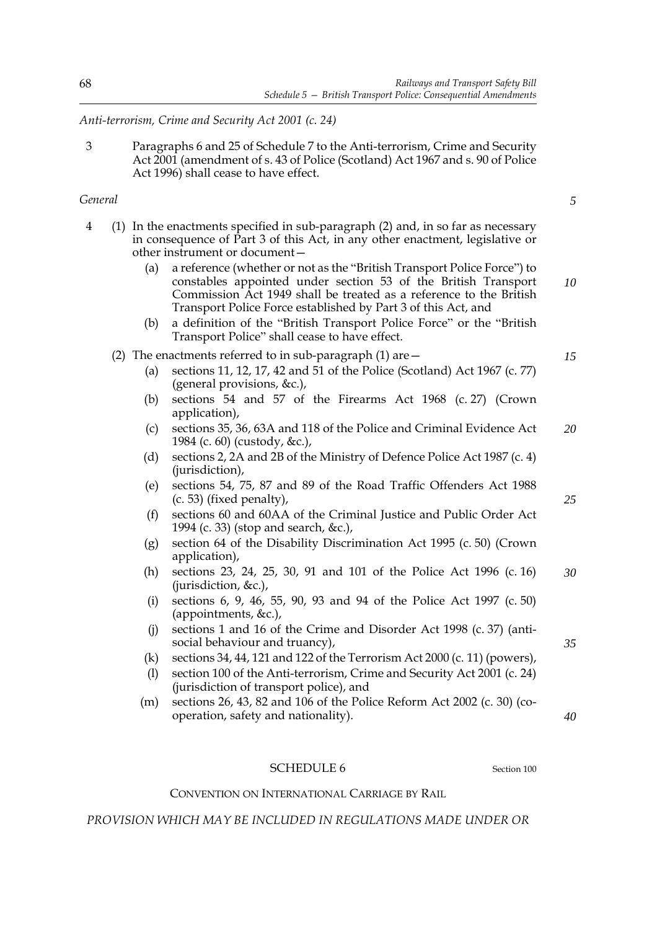*Anti-terrorism, Crime and Security Act 2001 (c. 24)*

3 Paragraphs 6 and 25 of Schedule 7 to the Anti-terrorism, Crime and Security Act 2001 (amendment of s. 43 of Police (Scotland) Act 1967 and s. 90 of Police Act 1996) shall cease to have effect.

# *General*

*5*

- 4 (1) In the enactments specified in sub-paragraph (2) and, in so far as necessary in consequence of Part 3 of this Act, in any other enactment, legislative or other instrument or document—
	- (a) a reference (whether or not as the "British Transport Police Force") to constables appointed under section 53 of the British Transport Commission Act 1949 shall be treated as a reference to the British Transport Police Force established by Part 3 of this Act, and
	- (b) a definition of the "British Transport Police Force" or the "British Transport Police" shall cease to have effect.
	- (2) The enactments referred to in sub-paragraph  $(1)$  are  $-$ 
		- (a) sections 11, 12, 17, 42 and 51 of the Police (Scotland) Act 1967 (c. 77) (general provisions, &c.),
		- (b) sections 54 and 57 of the Firearms Act 1968 (c. 27) (Crown application),
		- (c) sections 35, 36, 63A and 118 of the Police and Criminal Evidence Act 1984 (c. 60) (custody, &c.), *20*
		- (d) sections 2, 2A and 2B of the Ministry of Defence Police Act 1987 (c. 4) (jurisdiction),
		- (e) sections 54, 75, 87 and 89 of the Road Traffic Offenders Act 1988 (c. 53) (fixed penalty),
		- (f) sections 60 and 60AA of the Criminal Justice and Public Order Act 1994 (c. 33) (stop and search, &c.),
		- (g) section 64 of the Disability Discrimination Act 1995 (c. 50) (Crown application),
		- (h) sections 23, 24, 25, 30, 91 and 101 of the Police Act 1996 (c. 16) (jurisdiction, &c.), *30*
		- (i) sections 6, 9, 46, 55, 90, 93 and 94 of the Police Act 1997 (c. 50) (appointments, &c.),
		- (j) sections 1 and 16 of the Crime and Disorder Act 1998 (c. 37) (antisocial behaviour and truancy),
		- (k) sections 34, 44, 121 and 122 of the Terrorism Act 2000 (c. 11) (powers),
		- (l) section 100 of the Anti-terrorism, Crime and Security Act 2001 (c. 24) (jurisdiction of transport police), and
		- (m) sections 26, 43, 82 and 106 of the Police Reform Act 2002 (c. 30) (cooperation, safety and nationality).

# SCHEDULE 6 Section 100

CONVENTION ON INTERNATIONAL CARRIAGE BY RAIL

*PROVISION WHICH MAY BE INCLUDED IN REGULATIONS MADE UNDER OR* 

*15*

*10*

*35*

*40*

*25*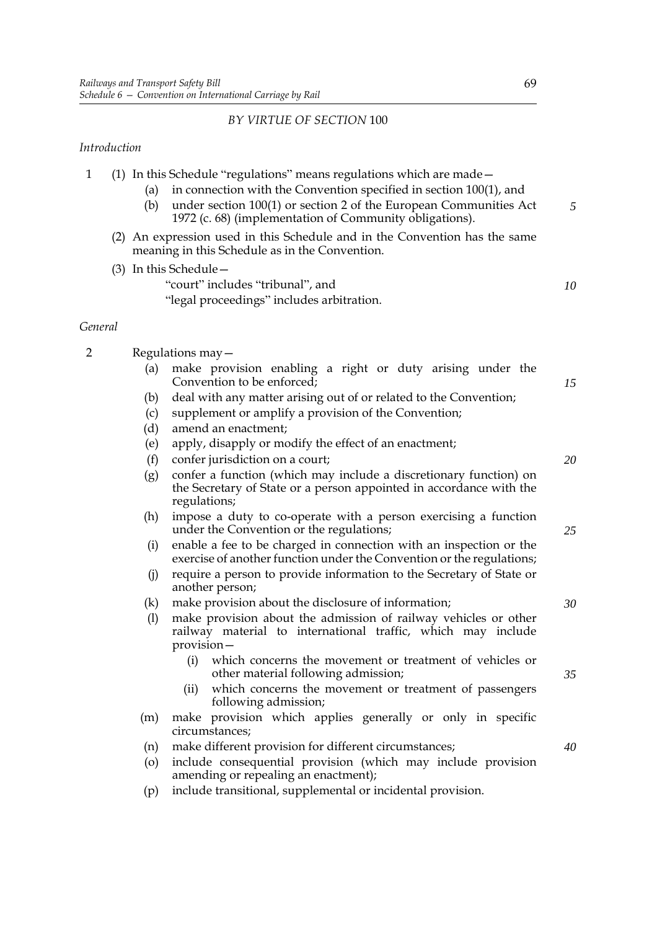# *BY VIRTUE OF SECTION* 100

# *Introduction*

| muvaatuvu      |            |                                                                                                                                                                                                                                                                               |    |
|----------------|------------|-------------------------------------------------------------------------------------------------------------------------------------------------------------------------------------------------------------------------------------------------------------------------------|----|
| 1              | (a)<br>(b) | (1) In this Schedule "regulations" means regulations which are made $-$<br>in connection with the Convention specified in section 100(1), and<br>under section 100(1) or section 2 of the European Communities Act<br>1972 (c. 68) (implementation of Community obligations). | 5  |
|                |            | (2) An expression used in this Schedule and in the Convention has the same<br>meaning in this Schedule as in the Convention.                                                                                                                                                  |    |
|                |            | $(3)$ In this Schedule –                                                                                                                                                                                                                                                      |    |
|                |            | "court" includes "tribunal", and<br>"legal proceedings" includes arbitration.                                                                                                                                                                                                 | 10 |
| General        |            |                                                                                                                                                                                                                                                                               |    |
| $\overline{2}$ |            | Regulations $may -$                                                                                                                                                                                                                                                           |    |
|                | (a)        | make provision enabling a right or duty arising under the<br>Convention to be enforced;                                                                                                                                                                                       | 15 |
|                | (b)        | deal with any matter arising out of or related to the Convention;                                                                                                                                                                                                             |    |
|                | (c)        | supplement or amplify a provision of the Convention;                                                                                                                                                                                                                          |    |
|                | (d)        | amend an enactment;<br>apply, disapply or modify the effect of an enactment;                                                                                                                                                                                                  |    |
|                | (e)<br>(f) | confer jurisdiction on a court;                                                                                                                                                                                                                                               | 20 |
|                | (g)        | confer a function (which may include a discretionary function) on<br>the Secretary of State or a person appointed in accordance with the<br>regulations;                                                                                                                      |    |
|                | (h)        | impose a duty to co-operate with a person exercising a function<br>under the Convention or the regulations;                                                                                                                                                                   | 25 |
|                | (i)        | enable a fee to be charged in connection with an inspection or the<br>exercise of another function under the Convention or the regulations;                                                                                                                                   |    |
|                | (i)        | require a person to provide information to the Secretary of State or<br>another person;                                                                                                                                                                                       |    |
|                | (k)        | make provision about the disclosure of information;                                                                                                                                                                                                                           | 30 |
|                | (1)        | make provision about the admission of railway vehicles or other<br>railway material to international traffic, which may include<br>provision                                                                                                                                  |    |
|                |            | which concerns the movement or treatment of vehicles or<br>(i)<br>other material following admission;                                                                                                                                                                         | 35 |
|                |            | which concerns the movement or treatment of passengers<br>(ii)<br>following admission;                                                                                                                                                                                        |    |
|                | (m)        | make provision which applies generally or only in specific<br>circumstances;                                                                                                                                                                                                  |    |
|                | (n)        | make different provision for different circumstances;                                                                                                                                                                                                                         | 40 |
|                | $\circ$    | include consequential provision (which may include provision<br>amending or repealing an enactment);                                                                                                                                                                          |    |
|                | (p)        | include transitional, supplemental or incidental provision.                                                                                                                                                                                                                   |    |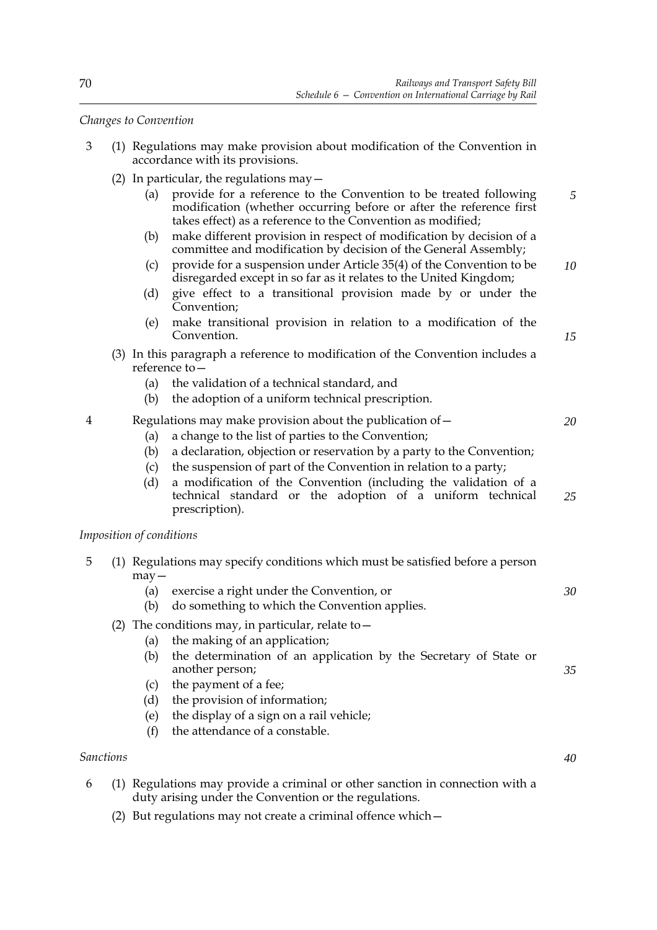*Changes to Convention*

| 3                |                          | (1) Regulations may make provision about modification of the Convention in<br>accordance with its provisions.                                                                                                                                         |    |
|------------------|--------------------------|-------------------------------------------------------------------------------------------------------------------------------------------------------------------------------------------------------------------------------------------------------|----|
|                  | (a)                      | (2) In particular, the regulations may $-$<br>provide for a reference to the Convention to be treated following<br>modification (whether occurring before or after the reference first<br>takes effect) as a reference to the Convention as modified; | 5  |
|                  | (b)<br>(c)               | make different provision in respect of modification by decision of a<br>committee and modification by decision of the General Assembly;<br>provide for a suspension under Article 35(4) of the Convention to be                                       | 10 |
|                  | (d)                      | disregarded except in so far as it relates to the United Kingdom;<br>give effect to a transitional provision made by or under the<br>Convention;                                                                                                      |    |
|                  | (e)                      | make transitional provision in relation to a modification of the<br>Convention.                                                                                                                                                                       | 15 |
|                  | reference to -           | (3) In this paragraph a reference to modification of the Convention includes a                                                                                                                                                                        |    |
|                  | (a)                      | the validation of a technical standard, and                                                                                                                                                                                                           |    |
|                  | (b)                      | the adoption of a uniform technical prescription.                                                                                                                                                                                                     |    |
| 4                |                          | Regulations may make provision about the publication of –                                                                                                                                                                                             | 20 |
|                  | (a)                      | a change to the list of parties to the Convention;                                                                                                                                                                                                    |    |
|                  | (b)                      | a declaration, objection or reservation by a party to the Convention;                                                                                                                                                                                 |    |
|                  | (c)                      | the suspension of part of the Convention in relation to a party;                                                                                                                                                                                      |    |
|                  | (d)                      | a modification of the Convention (including the validation of a<br>technical standard or the adoption of a uniform technical<br>prescription).                                                                                                        | 25 |
|                  | Imposition of conditions |                                                                                                                                                                                                                                                       |    |
| 5                | $may -$                  | (1) Regulations may specify conditions which must be satisfied before a person                                                                                                                                                                        |    |
|                  | (a)                      | exercise a right under the Convention, or                                                                                                                                                                                                             | 30 |
|                  | (b)                      | do something to which the Convention applies.                                                                                                                                                                                                         |    |
|                  |                          | (2) The conditions may, in particular, relate to $-$                                                                                                                                                                                                  |    |
|                  | (a)                      | the making of an application;                                                                                                                                                                                                                         |    |
|                  | (b)                      | the determination of an application by the Secretary of State or<br>another person;                                                                                                                                                                   | 35 |
|                  | (c)                      | the payment of a fee;                                                                                                                                                                                                                                 |    |
|                  | (d)                      | the provision of information;                                                                                                                                                                                                                         |    |
|                  | (e)                      | the display of a sign on a rail vehicle;                                                                                                                                                                                                              |    |
|                  | (f)                      | the attendance of a constable.                                                                                                                                                                                                                        |    |
| <b>Sanctions</b> |                          |                                                                                                                                                                                                                                                       | 40 |

- 6 (1) Regulations may provide a criminal or other sanction in connection with a duty arising under the Convention or the regulations.
	- (2) But regulations may not create a criminal offence which—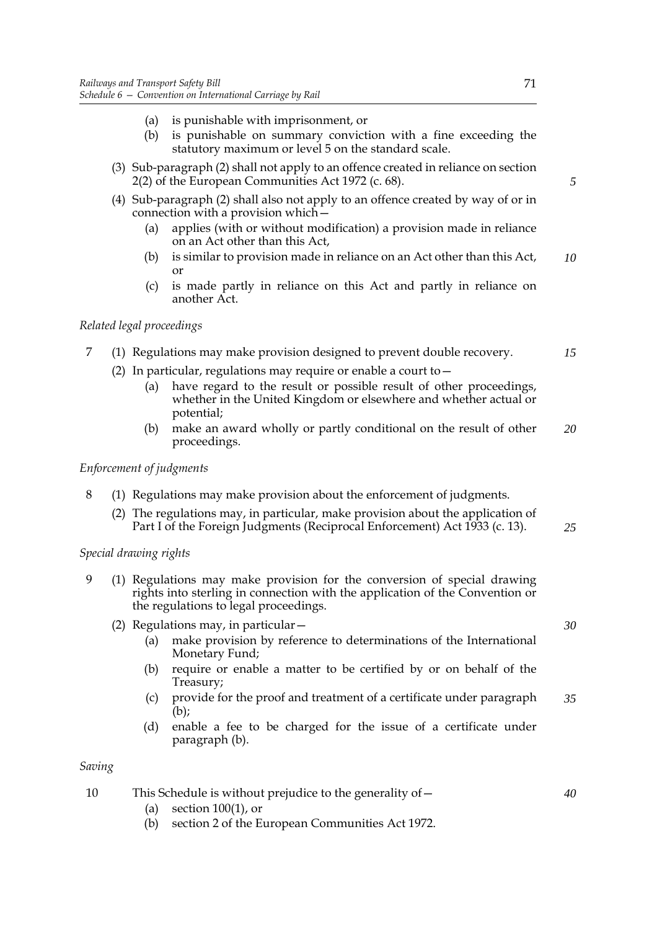- (a) is punishable with imprisonment, or
- (b) is punishable on summary conviction with a fine exceeding the statutory maximum or level 5 on the standard scale.
- (3) Sub-paragraph (2) shall not apply to an offence created in reliance on section 2(2) of the European Communities Act 1972 (c. 68).
- (4) Sub-paragraph (2) shall also not apply to an offence created by way of or in connection with a provision which—
	- (a) applies (with or without modification) a provision made in reliance on an Act other than this Act,
	- (b) is similar to provision made in reliance on an Act other than this Act, or *10*
	- (c) is made partly in reliance on this Act and partly in reliance on another Act.

# *Related legal proceedings*

- 7 (1) Regulations may make provision designed to prevent double recovery. *15*
	- (2) In particular, regulations may require or enable a court to  $-$ 
		- (a) have regard to the result or possible result of other proceedings, whether in the United Kingdom or elsewhere and whether actual or potential;
		- (b) make an award wholly or partly conditional on the result of other proceedings. *20*

# *Enforcement of judgments*

- 8 (1) Regulations may make provision about the enforcement of judgments.
	- (2) The regulations may, in particular, make provision about the application of Part I of the Foreign Judgments (Reciprocal Enforcement) Act 1933 (c. 13).

# *Special drawing rights*

- 9 (1) Regulations may make provision for the conversion of special drawing rights into sterling in connection with the application of the Convention or the regulations to legal proceedings.
	- (2) Regulations may, in particular—
		- (a) make provision by reference to determinations of the International Monetary Fund;
		- (b) require or enable a matter to be certified by or on behalf of the Treasury;
		- (c) provide for the proof and treatment of a certificate under paragraph (b); *35*
		- (d) enable a fee to be charged for the issue of a certificate under paragraph (b).

# *Saving*

| 10 | This Schedule is without prejudice to the generality of $-$ |  |
|----|-------------------------------------------------------------|--|
|    |                                                             |  |

- (a) section 100(1), or
- (b) section 2 of the European Communities Act 1972.

*5*

*25*

*30*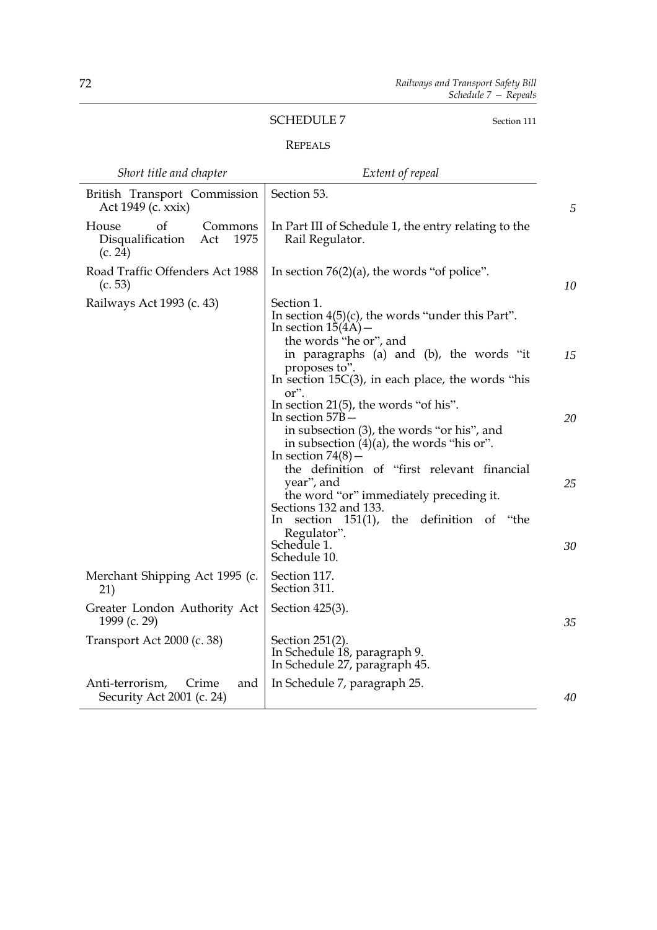# SCHEDULE 7 Section 111

# REPEALS

| Short title and chapter                                              | Extent of repeal                                                                                                                                                                                                            |    |
|----------------------------------------------------------------------|-----------------------------------------------------------------------------------------------------------------------------------------------------------------------------------------------------------------------------|----|
| British Transport Commission<br>Act 1949 (c. xxix)                   | Section 53.                                                                                                                                                                                                                 | 5  |
| of<br>House<br>Commons<br>Disqualification<br>1975<br>Act<br>(c. 24) | In Part III of Schedule 1, the entry relating to the<br>Rail Regulator.                                                                                                                                                     |    |
| Road Traffic Offenders Act 1988<br>(c. 53)                           | In section $76(2)(a)$ , the words "of police".                                                                                                                                                                              | 10 |
| Railways Act 1993 (c. 43)                                            | Section 1.<br>In section $4(5)(c)$ , the words "under this Part".<br>In section $15(4A)$ –<br>the words "he or", and<br>in paragraphs (a) and (b), the words "it<br>proposes to".                                           | 15 |
|                                                                      | In section $15C(3)$ , in each place, the words "his<br>or".<br>In section $21(5)$ , the words "of his".<br>In section $57B -$<br>in subsection (3), the words "or his", and<br>in subsection $(4)(a)$ , the words "his or". | 20 |
|                                                                      | In section $74(8)$ –<br>the definition of "first relevant financial<br>year", and<br>the word "or" immediately preceding it.<br>Sections 132 and 133.<br>the definition of "the<br>In section $151(1)$ ,<br>Regulator".     | 25 |
|                                                                      | Schedule 1.<br>Schedule 10.                                                                                                                                                                                                 | 30 |
| Merchant Shipping Act 1995 (c.<br>21)                                | Section 117.<br>Section 311.                                                                                                                                                                                                |    |
| Greater London Authority Act<br>1999 (c. 29)                         | Section 425(3).                                                                                                                                                                                                             | 35 |
| Transport Act 2000 (c. 38)                                           | Section 251(2).<br>In Schedule 18, paragraph 9.<br>In Schedule 27, paragraph 45.                                                                                                                                            |    |
| Anti-terrorism,<br>Crime<br>and<br>Security Act 2001 (c. 24)         | In Schedule 7, paragraph 25.                                                                                                                                                                                                | 40 |